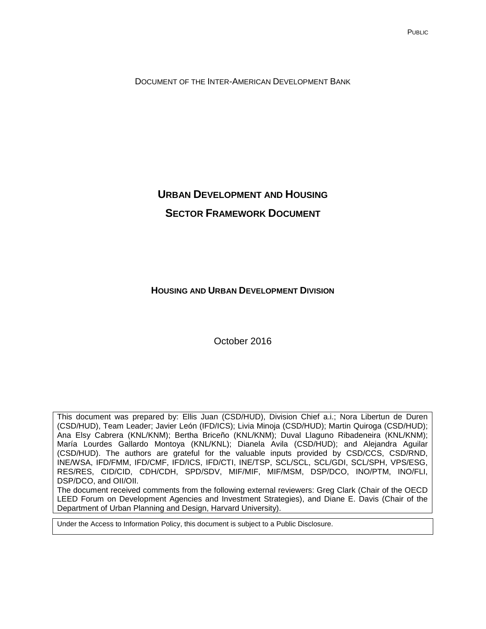DOCUMENT OF THE INTER-AMERICAN DEVELOPMENT BANK

# **URBAN DEVELOPMENT AND HOUSING SECTOR FRAMEWORK DOCUMENT**

**HOUSING AND URBAN DEVELOPMENT DIVISION**

October 2016

This document was prepared by: Ellis Juan (CSD/HUD), Division Chief a.i.; Nora Libertun de Duren (CSD/HUD), Team Leader; Javier León (IFD/ICS); Livia Minoja (CSD/HUD); Martin Quiroga (CSD/HUD); Ana Elsy Cabrera (KNL/KNM); Bertha Briceño (KNL/KNM); Duval Llaguno Ribadeneira (KNL/KNM); María Lourdes Gallardo Montoya (KNL/KNL); Dianela Avila (CSD/HUD); and Alejandra Aguilar (CSD/HUD). The authors are grateful for the valuable inputs provided by CSD/CCS, CSD/RND, INE/WSA, IFD/FMM, IFD/CMF, IFD/ICS, IFD/CTI, INE/TSP, SCL/SCL, SCL/GDI, SCL/SPH, VPS/ESG, RES/RES, CID/CID, CDH/CDH, SPD/SDV, MIF/MIF, MIF/MSM, DSP/DCO, INO/PTM, INO/FLI, DSP/DCO, and OII/OII.

The document received comments from the following external reviewers: Greg Clark (Chair of the OECD LEED Forum on Development Agencies and Investment Strategies), and Diane E. Davis (Chair of the Department of Urban Planning and Design, Harvard University).

Under the Access to Information Policy, this document is subject to a Public Disclosure.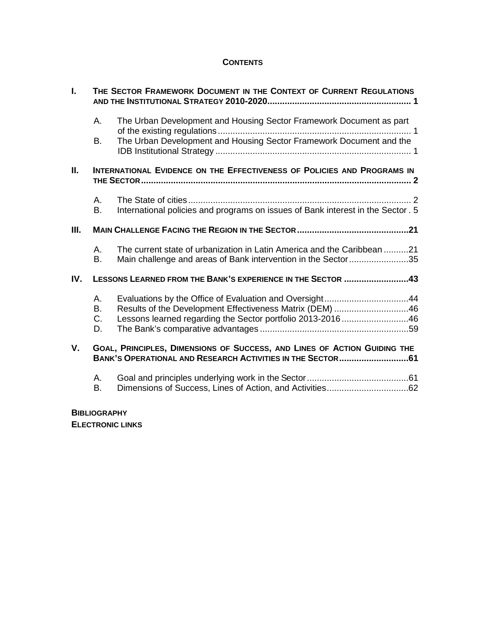# **CONTENTS**

| L.          | THE SECTOR FRAMEWORK DOCUMENT IN THE CONTEXT OF CURRENT REGULATIONS     |                                                                                                                                                                                   |  |
|-------------|-------------------------------------------------------------------------|-----------------------------------------------------------------------------------------------------------------------------------------------------------------------------------|--|
|             | Α.                                                                      | The Urban Development and Housing Sector Framework Document as part                                                                                                               |  |
|             | <b>B.</b>                                                               | The Urban Development and Housing Sector Framework Document and the                                                                                                               |  |
| II.         | INTERNATIONAL EVIDENCE ON THE EFFECTIVENESS OF POLICIES AND PROGRAMS IN |                                                                                                                                                                                   |  |
|             | А.<br><b>B.</b>                                                         | International policies and programs on issues of Bank interest in the Sector. 5                                                                                                   |  |
| III.        |                                                                         |                                                                                                                                                                                   |  |
|             | А.<br><b>B.</b>                                                         | The current state of urbanization in Latin America and the Caribbean 21<br>Main challenge and areas of Bank intervention in the Sector35                                          |  |
| IV.         |                                                                         | LESSONS LEARNED FROM THE BANK'S EXPERIENCE IN THE SECTOR 43                                                                                                                       |  |
|             | А.<br>B.<br>C.<br>D.                                                    | Evaluations by the Office of Evaluation and Oversight44<br>Results of the Development Effectiveness Matrix (DEM) 46<br>Lessons learned regarding the Sector portfolio 2013-201646 |  |
| $V_{\cdot}$ |                                                                         | GOAL, PRINCIPLES, DIMENSIONS OF SUCCESS, AND LINES OF ACTION GUIDING THE<br>BANK'S OPERATIONAL AND RESEARCH ACTIVITIES IN THE SECTOR61                                            |  |
|             | Α.<br>B.                                                                |                                                                                                                                                                                   |  |

# **BIBLIOGRAPHY**

**ELECTRONIC LINKS**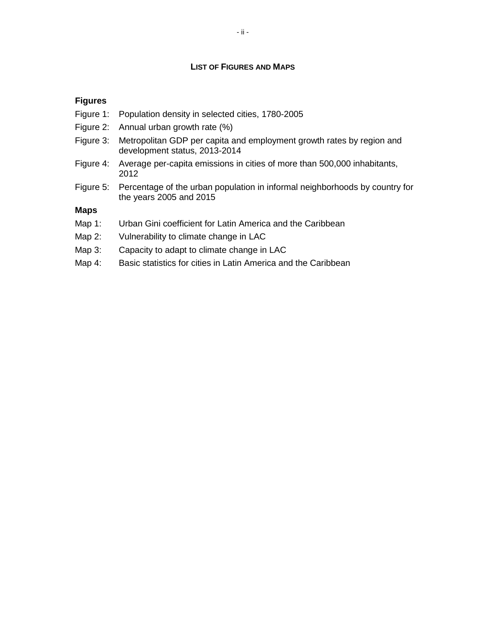#### **LIST OF FIGURES AND MAPS**

### **Figures**

- Figure 1: Population density in selected cities, 1780-2005
- Figure 2: Annual urban growth rate (%)
- Figure 3: Metropolitan GDP per capita and employment growth rates by region and development status, 2013-2014
- Figure 4: Average per-capita emissions in cities of more than 500,000 inhabitants, 2012
- Figure 5: Percentage of the urban population in informal neighborhoods by country for the years 2005 and 2015

#### **Maps**

- Map 1: Urban Gini coefficient for Latin America and the Caribbean
- Map 2: Vulnerability to climate change in LAC
- Map 3: Capacity to adapt to climate change in LAC
- Map 4: Basic statistics for cities in Latin America and the Caribbean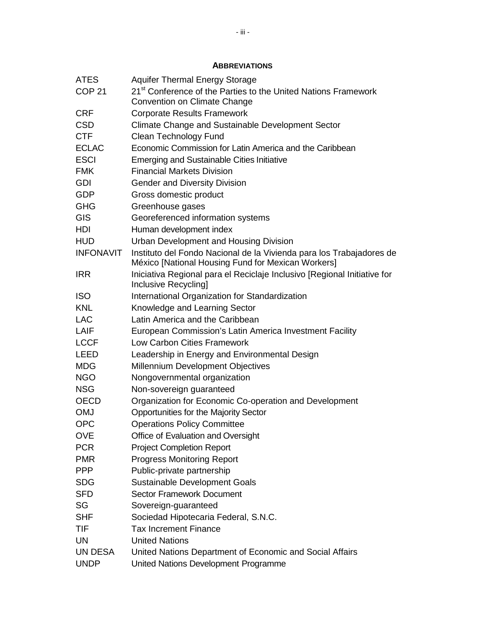# **ABBREVIATIONS**

| <b>ATES</b>       | <b>Aquifer Thermal Energy Storage</b>                                                                                      |
|-------------------|----------------------------------------------------------------------------------------------------------------------------|
| COP <sub>21</sub> | 21 <sup>st</sup> Conference of the Parties to the United Nations Framework                                                 |
|                   | Convention on Climate Change                                                                                               |
| <b>CRF</b>        | <b>Corporate Results Framework</b>                                                                                         |
| <b>CSD</b>        | Climate Change and Sustainable Development Sector                                                                          |
| <b>CTF</b>        | Clean Technology Fund                                                                                                      |
| <b>ECLAC</b>      | Economic Commission for Latin America and the Caribbean                                                                    |
| <b>ESCI</b>       | <b>Emerging and Sustainable Cities Initiative</b>                                                                          |
| <b>FMK</b>        | <b>Financial Markets Division</b>                                                                                          |
| GDI               | <b>Gender and Diversity Division</b>                                                                                       |
| <b>GDP</b>        | Gross domestic product                                                                                                     |
| <b>GHG</b>        | Greenhouse gases                                                                                                           |
| <b>GIS</b>        | Georeferenced information systems                                                                                          |
| HDI               | Human development index                                                                                                    |
| <b>HUD</b>        | <b>Urban Development and Housing Division</b>                                                                              |
| <b>INFONAVIT</b>  | Instituto del Fondo Nacional de la Vivienda para los Trabajadores de<br>México [National Housing Fund for Mexican Workers] |
| <b>IRR</b>        | Iniciativa Regional para el Reciclaje Inclusivo [Regional Initiative for<br>Inclusive Recycling]                           |
| <b>ISO</b>        | International Organization for Standardization                                                                             |
| <b>KNL</b>        | Knowledge and Learning Sector                                                                                              |
| <b>LAC</b>        | Latin America and the Caribbean                                                                                            |
| LAIF              | European Commission's Latin America Investment Facility                                                                    |
| <b>LCCF</b>       | <b>Low Carbon Cities Framework</b>                                                                                         |
| <b>LEED</b>       | Leadership in Energy and Environmental Design                                                                              |
| <b>MDG</b>        | Millennium Development Objectives                                                                                          |
| <b>NGO</b>        | Nongovernmental organization                                                                                               |
| <b>NSG</b>        | Non-sovereign guaranteed                                                                                                   |
| <b>OECD</b>       | Organization for Economic Co-operation and Development                                                                     |
| <b>OMJ</b>        | Opportunities for the Majority Sector                                                                                      |
| <b>OPC</b>        | <b>Operations Policy Committee</b>                                                                                         |
| <b>OVE</b>        | Office of Evaluation and Oversight                                                                                         |
| <b>PCR</b>        | <b>Project Completion Report</b>                                                                                           |
| <b>PMR</b>        | <b>Progress Monitoring Report</b>                                                                                          |
| <b>PPP</b>        | Public-private partnership                                                                                                 |
| <b>SDG</b>        | <b>Sustainable Development Goals</b>                                                                                       |
| <b>SFD</b>        | <b>Sector Framework Document</b>                                                                                           |
| SG                | Sovereign-guaranteed                                                                                                       |
| <b>SHF</b>        | Sociedad Hipotecaria Federal, S.N.C.                                                                                       |
| TIF               | <b>Tax Increment Finance</b>                                                                                               |
| <b>UN</b>         | <b>United Nations</b>                                                                                                      |
| UN DESA           | United Nations Department of Economic and Social Affairs                                                                   |
| <b>UNDP</b>       | United Nations Development Programme                                                                                       |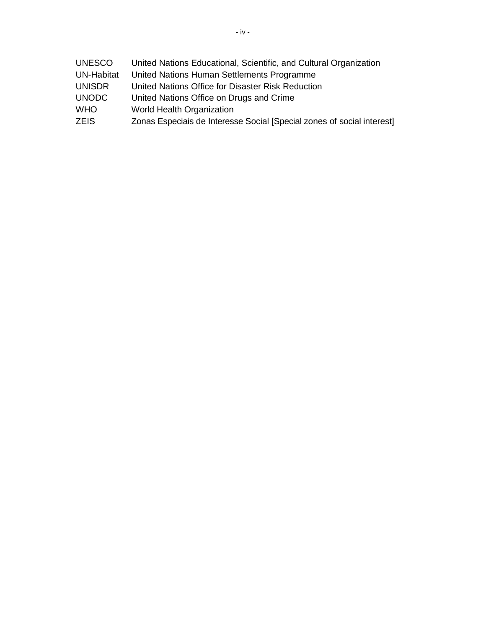| <b>UNESCO</b>     | United Nations Educational, Scientific, and Cultural Organization      |
|-------------------|------------------------------------------------------------------------|
| <b>UN-Habitat</b> | United Nations Human Settlements Programme                             |
| <b>UNISDR</b>     | United Nations Office for Disaster Risk Reduction                      |
| <b>UNODC</b>      | United Nations Office on Drugs and Crime                               |
| <b>WHO</b>        | World Health Organization                                              |
| <b>ZEIS</b>       | Zonas Especiais de Interesse Social [Special zones of social interest] |
|                   |                                                                        |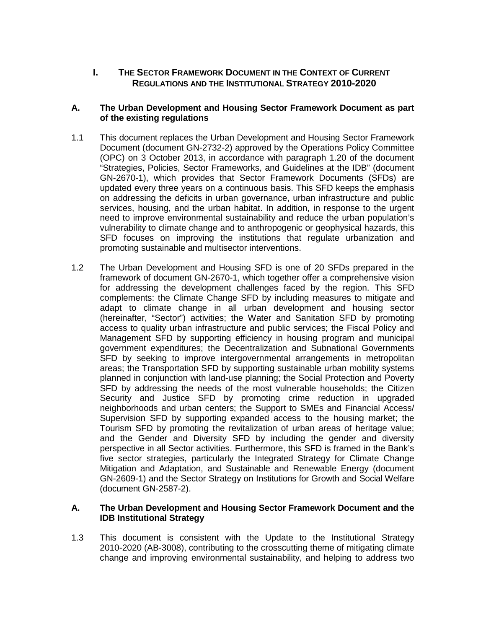# <span id="page-5-0"></span>**I. THE SECTOR FRAMEWORK DOCUMENT IN THE CONTEXT OF CURRENT REGULATIONS AND THE INSTITUTIONAL STRATEGY 2010-2020**

#### <span id="page-5-1"></span>**A. The Urban Development and Housing Sector Framework Document as part of the existing regulations**

- 1.1 This document replaces the Urban Development and Housing Sector Framework Document (document GN-2732-2) approved by the Operations Policy Committee (OPC) on 3 October 2013, in accordance with paragraph 1.20 of the document "Strategies, Policies, Sector Frameworks, and Guidelines at the IDB" (document GN-2670-1), which provides that Sector Framework Documents (SFDs) are updated every three years on a continuous basis. This SFD keeps the emphasis on addressing the deficits in urban governance, urban infrastructure and public services, housing, and the urban habitat. In addition, in response to the urgent need to improve environmental sustainability and reduce the urban population's vulnerability to climate change and to anthropogenic or geophysical hazards, this SFD focuses on improving the institutions that regulate urbanization and promoting sustainable and multisector interventions.
- 1.2 The Urban Development and Housing SFD is one of 20 SFDs prepared in the framework of document GN-2670-1, which together offer a comprehensive vision for addressing the development challenges faced by the region. This SFD complements: the Climate Change SFD by including measures to mitigate and adapt to climate change in all urban development and housing sector (hereinafter, "Sector") activities; the Water and Sanitation SFD by promoting access to quality urban infrastructure and public services; the Fiscal Policy and Management SFD by supporting efficiency in housing program and municipal government expenditures; the Decentralization and Subnational Governments SFD by seeking to improve intergovernmental arrangements in metropolitan areas; the Transportation SFD by supporting sustainable urban mobility systems planned in conjunction with land-use planning; the Social Protection and Poverty SFD by addressing the needs of the most vulnerable households; the Citizen Security and Justice SFD by promoting crime reduction in upgraded neighborhoods and urban centers; the Support to SMEs and Financial Access/ Supervision SFD by supporting expanded access to the housing market; the Tourism SFD by promoting the revitalization of urban areas of heritage value; and the Gender and Diversity SFD by including the gender and diversity perspective in all Sector activities. Furthermore, this SFD is framed in the Bank's five sector strategies, particularly the Integrated Strategy for Climate Change Mitigation and Adaptation, and Sustainable and Renewable Energy (document GN-2609-1) and the Sector Strategy on Institutions for Growth and Social Welfare (document GN-2587-2).

#### <span id="page-5-2"></span>**A. The Urban Development and Housing Sector Framework Document and the IDB Institutional Strategy**

1.3 This document is consistent with the Update to the Institutional Strategy 2010-2020 (AB-3008), contributing to the crosscutting theme of mitigating climate change and improving environmental sustainability, and helping to address two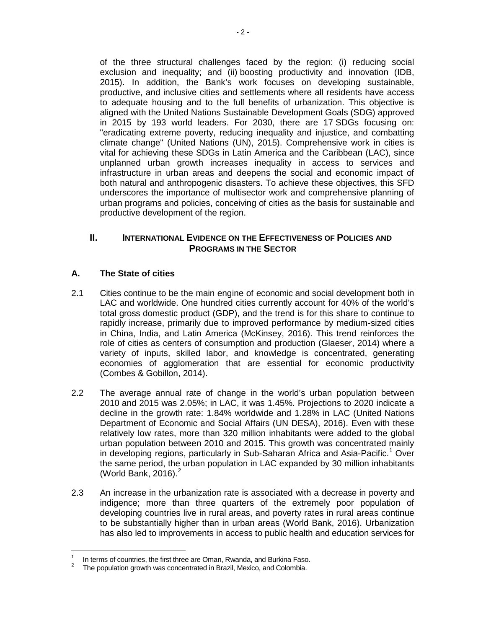of the three structural challenges faced by the region: (i) reducing social exclusion and inequality; and (ii) boosting productivity and innovation (IDB, 2015). In addition, the Bank's work focuses on developing sustainable, productive, and inclusive cities and settlements where all residents have access to adequate housing and to the full benefits of urbanization. This objective is aligned with the United Nations Sustainable Development Goals (SDG) approved in 2015 by 193 world leaders. For 2030, there are 17 SDGs focusing on: "eradicating extreme poverty, reducing inequality and injustice, and combatting climate change" (United Nations (UN), 2015). Comprehensive work in cities is vital for achieving these SDGs in Latin America and the Caribbean (LAC), since unplanned urban growth increases inequality in access to services and infrastructure in urban areas and deepens the social and economic impact of both natural and anthropogenic disasters. To achieve these objectives, this SFD underscores the importance of multisector work and comprehensive planning of urban programs and policies, conceiving of cities as the basis for sustainable and productive development of the region.

# <span id="page-6-0"></span>**II. INTERNATIONAL EVIDENCE ON THE EFFECTIVENESS OF POLICIES AND PROGRAMS IN THE SECTOR**

# <span id="page-6-1"></span>**A. The State of cities**

- 2.1 Cities continue to be the main engine of economic and social development both in LAC and worldwide. One hundred cities currently account for 40% of the world's total gross domestic product (GDP), and the trend is for this share to continue to rapidly increase, primarily due to improved performance by medium-sized cities in China, India, and Latin America (McKinsey, 2016). This trend reinforces the role of cities as centers of consumption and production (Glaeser, 2014) where a variety of inputs, skilled labor, and knowledge is concentrated, generating economies of agglomeration that are essential for economic productivity (Combes & Gobillon, 2014).
- 2.2 The average annual rate of change in the world's urban population between 2010 and 2015 was 2.05%; in LAC, it was 1.45%. Projections to 2020 indicate a decline in the growth rate: 1.84% worldwide and 1.28% in LAC (United Nations Department of Economic and Social Affairs (UN DESA), 2016). Even with these relatively low rates, more than 320 million inhabitants were added to the global urban population between 2010 and 2015. This growth was concentrated mainly in developing regions, particularly in Sub-Saharan Africa and Asia-Pacific.<sup>[1](#page-6-2)</sup> Over the same period, the urban population in LAC expanded by 30 million inhabitants (World Bank,  $2016$  $2016$ ). $^2$
- 2.3 An increase in the urbanization rate is associated with a decrease in poverty and indigence; more than three quarters of the extremely poor population of developing countries live in rural areas, and poverty rates in rural areas continue to be substantially higher than in urban areas (World Bank, 2016). Urbanization has also led to improvements in access to public health and education services for

<span id="page-6-3"></span><span id="page-6-2"></span><sup>&</sup>lt;sup>1</sup> In terms of countries, the first three are Oman, Rwanda, and Burkina Faso.<br><sup>2</sup> The population growth was concentrated in Brazil, Mexico, and Colombia.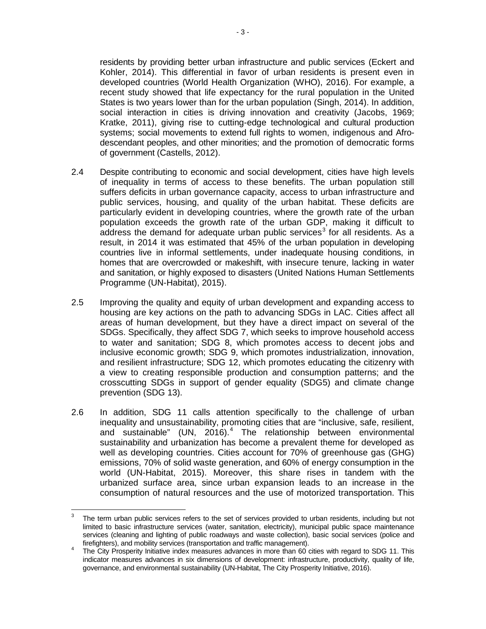residents by providing better urban infrastructure and public services (Eckert and Kohler, 2014). This differential in favor of urban residents is present even in developed countries (World Health Organization (WHO), 2016). For example, a recent study showed that life expectancy for the rural population in the United States is two years lower than for the urban population (Singh, 2014). In addition, social interaction in cities is driving innovation and creativity (Jacobs, 1969; Kratke, 2011), giving rise to cutting-edge technological and cultural production systems; social movements to extend full rights to women, indigenous and Afrodescendant peoples, and other minorities; and the promotion of democratic forms of government (Castells, 2012).

- 2.4 Despite contributing to economic and social development, cities have high levels of inequality in terms of access to these benefits. The urban population still suffers deficits in urban governance capacity, access to urban infrastructure and public services, housing, and quality of the urban habitat. These deficits are particularly evident in developing countries, where the growth rate of the urban population exceeds the growth rate of the urban GDP, making it difficult to address the demand for adequate urban public services<sup>[3](#page-7-0)</sup> for all residents. As a result, in 2014 it was estimated that 45% of the urban population in developing countries live in informal settlements, under inadequate housing conditions, in homes that are overcrowded or makeshift, with insecure tenure, lacking in water and sanitation, or highly exposed to disasters (United Nations Human Settlements Programme (UN-Habitat), 2015).
- 2.5 Improving the quality and equity of urban development and expanding access to housing are key actions on the path to advancing SDGs in LAC. Cities affect all areas of human development, but they have a direct impact on several of the SDGs. Specifically, they affect SDG 7, which seeks to improve household access to water and sanitation; SDG 8, which promotes access to decent jobs and inclusive economic growth; SDG 9, which promotes industrialization, innovation, and resilient infrastructure; SDG 12, which promotes educating the citizenry with a view to creating responsible production and consumption patterns; and the crosscutting SDGs in support of gender equality (SDG5) and climate change prevention (SDG 13).
- 2.6 In addition, SDG 11 calls attention specifically to the challenge of urban inequality and unsustainability, promoting cities that are "inclusive, safe, resilient, and sustainable" (UN, 2016).<sup>[4](#page-7-1)</sup> The relationship between environmental sustainability and urbanization has become a prevalent theme for developed as well as developing countries. Cities account for 70% of greenhouse gas (GHG) emissions, 70% of solid waste generation, and 60% of energy consumption in the world (UN-Habitat, 2015). Moreover, this share rises in tandem with the urbanized surface area, since urban expansion leads to an increase in the consumption of natural resources and the use of motorized transportation. This

<span id="page-7-0"></span>The term urban public services refers to the set of services provided to urban residents, including but not limited to basic infrastructure services (water, sanitation, electricity), municipal public space maintenance services (cleaning and lighting of public roadways and waste collection), basic social services (police and

<span id="page-7-1"></span>firefighters), and mobility services (transportation and traffic management).<br>The City Prosperity Initiative index measures advances in more than 60 cities with regard to SDG 11. This indicator measures advances in six dimensions of development: infrastructure, productivity, quality of life, governance, and environmental sustainability (UN-Habitat, The City Prosperity Initiative, 2016).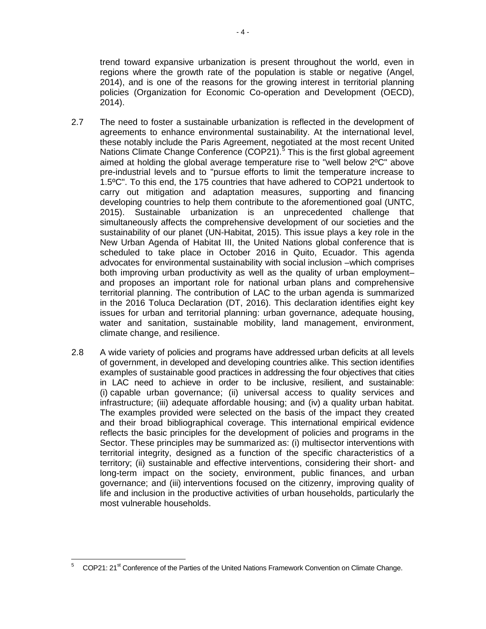trend toward expansive urbanization is present throughout the world, even in regions where the growth rate of the population is stable or negative (Angel, 2014), and is one of the reasons for the growing interest in territorial planning policies (Organization for Economic Co-operation and Development (OECD), 2014).

- 2.7 The need to foster a sustainable urbanization is reflected in the development of agreements to enhance environmental sustainability. At the international level, these notably include the Paris Agreement, negotiated at the most recent United Nations Climate Change Conference (COP21).<sup>[5](#page-8-0)</sup> This is the first global agreement aimed at holding the global average temperature rise to "well below 2ºC" above pre-industrial levels and to "pursue efforts to limit the temperature increase to 1.5ºC". To this end, the 175 countries that have adhered to COP21 undertook to carry out mitigation and adaptation measures, supporting and financing developing countries to help them contribute to the aforementioned goal (UNTC, 2015). Sustainable urbanization is an unprecedented challenge that simultaneously affects the comprehensive development of our societies and the sustainability of our planet (UN-Habitat, 2015). This issue plays a key role in the New Urban Agenda of Habitat III, the United Nations global conference that is scheduled to take place in October 2016 in Quito, Ecuador. This agenda advocates for environmental sustainability with social inclusion –which comprises both improving urban productivity as well as the quality of urban employment– and proposes an important role for national urban plans and comprehensive territorial planning. The contribution of LAC to the urban agenda is summarized in the 2016 Toluca Declaration (DT, 2016). This declaration identifies eight key issues for urban and territorial planning: urban governance, adequate housing, water and sanitation, sustainable mobility, land management, environment, climate change, and resilience.
- 2.8 A wide variety of policies and programs have addressed urban deficits at all levels of government, in developed and developing countries alike. This section identifies examples of sustainable good practices in addressing the four objectives that cities in LAC need to achieve in order to be inclusive, resilient, and sustainable: (i) capable urban governance; (ii) universal access to quality services and infrastructure; (iii) adequate affordable housing; and (iv) a quality urban habitat. The examples provided were selected on the basis of the impact they created and their broad bibliographical coverage. This international empirical evidence reflects the basic principles for the development of policies and programs in the Sector. These principles may be summarized as: (i) multisector interventions with territorial integrity, designed as a function of the specific characteristics of a territory; (ii) sustainable and effective interventions, considering their short- and long-term impact on the society, environment, public finances, and urban governance; and (iii) interventions focused on the citizenry, improving quality of life and inclusion in the productive activities of urban households, particularly the most vulnerable households.

<span id="page-8-0"></span> $5$  COP21: 21<sup>st</sup> Conference of the Parties of the United Nations Framework Convention on Climate Change.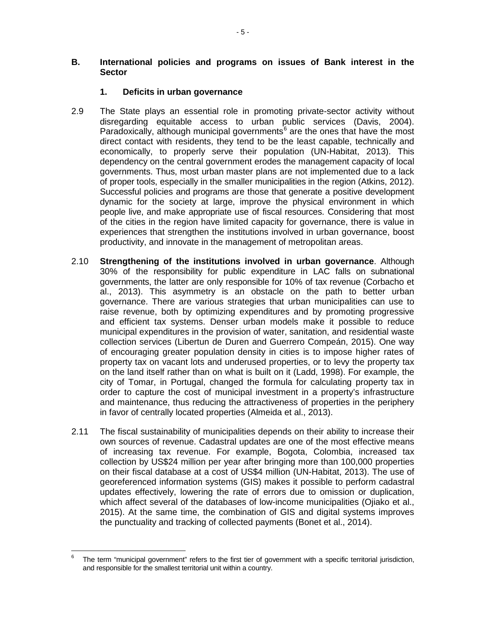#### <span id="page-9-0"></span>**B. International policies and programs on issues of Bank interest in the Sector**

### **1. Deficits in urban governance**

- 2.9 The State plays an essential role in promoting private-sector activity without disregarding equitable access to urban public services (Davis, 2004). Paradoxically, although municipal governments<sup> $6$ </sup> are the ones that have the most direct contact with residents, they tend to be the least capable, technically and economically, to properly serve their population (UN-Habitat, 2013). This dependency on the central government erodes the management capacity of local governments. Thus, most urban master plans are not implemented due to a lack of proper tools, especially in the smaller municipalities in the region (Atkins, 2012). Successful policies and programs are those that generate a positive development dynamic for the society at large, improve the physical environment in which people live, and make appropriate use of fiscal resources. Considering that most of the cities in the region have limited capacity for governance, there is value in experiences that strengthen the institutions involved in urban governance, boost productivity, and innovate in the management of metropolitan areas.
- 2.10 **Strengthening of the institutions involved in urban governance**. Although 30% of the responsibility for public expenditure in LAC falls on subnational governments, the latter are only responsible for 10% of tax revenue (Corbacho et al., 2013). This asymmetry is an obstacle on the path to better urban governance. There are various strategies that urban municipalities can use to raise revenue, both by optimizing expenditures and by promoting progressive and efficient tax systems. Denser urban models make it possible to reduce municipal expenditures in the provision of water, sanitation, and residential waste collection services (Libertun de Duren and Guerrero Compeán, 2015). One way of encouraging greater population density in cities is to impose higher rates of property tax on vacant lots and underused properties, or to levy the property tax on the land itself rather than on what is built on it (Ladd, 1998). For example, the city of Tomar, in Portugal, changed the formula for calculating property tax in order to capture the cost of municipal investment in a property's infrastructure and maintenance, thus reducing the attractiveness of properties in the periphery in favor of centrally located properties (Almeida et al., 2013).
- 2.11 The fiscal sustainability of municipalities depends on their ability to increase their own sources of revenue. Cadastral updates are one of the most effective means of increasing tax revenue. For example, Bogota, Colombia, increased tax collection by US\$24 million per year after bringing more than 100,000 properties on their fiscal database at a cost of US\$4 million (UN-Habitat, 2013). The use of georeferenced information systems (GIS) makes it possible to perform cadastral updates effectively, lowering the rate of errors due to omission or duplication, which affect several of the databases of low-income municipalities (Ojiako et al., 2015). At the same time, the combination of GIS and digital systems improves the punctuality and tracking of collected payments (Bonet et al., 2014).

<span id="page-9-1"></span> $6$  The term "municipal government" refers to the first tier of government with a specific territorial jurisdiction, and responsible for the smallest territorial unit within a country.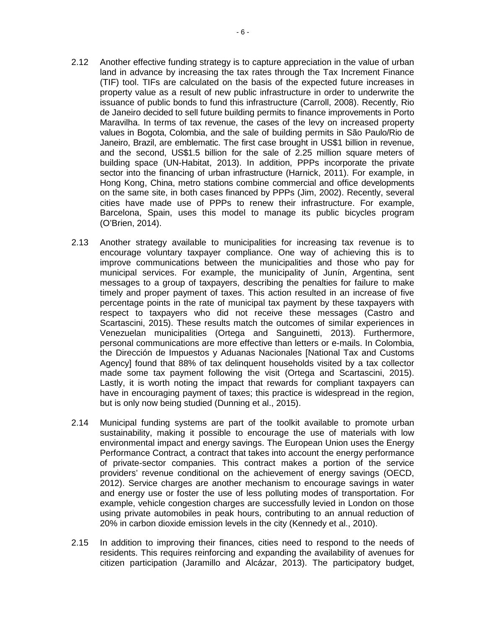- 2.12 Another effective funding strategy is to capture appreciation in the value of urban land in advance by increasing the tax rates through the Tax Increment Finance (TIF) tool. TIFs are calculated on the basis of the expected future increases in property value as a result of new public infrastructure in order to underwrite the issuance of public bonds to fund this infrastructure (Carroll, 2008). Recently, Rio de Janeiro decided to sell future building permits to finance improvements in Porto Maravilha. In terms of tax revenue, the cases of the levy on increased property values in Bogota, Colombia, and the sale of building permits in São Paulo/Rio de Janeiro, Brazil, are emblematic. The first case brought in US\$1 billion in revenue, and the second, US\$1.5 billion for the sale of 2.25 million square meters of building space (UN-Habitat, 2013). In addition, PPPs incorporate the private sector into the financing of urban infrastructure (Harnick, 2011). For example, in Hong Kong, China, metro stations combine commercial and office developments on the same site, in both cases financed by PPPs (Jim, 2002). Recently, several cities have made use of PPPs to renew their infrastructure. For example, Barcelona, Spain, uses this model to manage its public bicycles program (O'Brien, 2014).
- 2.13 Another strategy available to municipalities for increasing tax revenue is to encourage voluntary taxpayer compliance. One way of achieving this is to improve communications between the municipalities and those who pay for municipal services. For example, the municipality of Junín, Argentina, sent messages to a group of taxpayers, describing the penalties for failure to make timely and proper payment of taxes. This action resulted in an increase of five percentage points in the rate of municipal tax payment by these taxpayers with respect to taxpayers who did not receive these messages (Castro and Scartascini, 2015). These results match the outcomes of similar experiences in Venezuelan municipalities (Ortega and Sanguinetti, 2013). Furthermore, personal communications are more effective than letters or e-mails. In Colombia, the Dirección de Impuestos y Aduanas Nacionales [National Tax and Customs Agency] found that 88% of tax delinquent households visited by a tax collector made some tax payment following the visit (Ortega and Scartascini, 2015). Lastly, it is worth noting the impact that rewards for compliant taxpayers can have in encouraging payment of taxes; this practice is widespread in the region, but is only now being studied (Dunning et al., 2015).
- 2.14 Municipal funding systems are part of the toolkit available to promote urban sustainability, making it possible to encourage the use of materials with low environmental impact and energy savings. The European Union uses the Energy Performance Contract*,* a contract that takes into account the energy performance of private-sector companies. This contract makes a portion of the service providers' revenue conditional on the achievement of energy savings (OECD, 2012). Service charges are another mechanism to encourage savings in water and energy use or foster the use of less polluting modes of transportation. For example, vehicle congestion charges are successfully levied in London on those using private automobiles in peak hours, contributing to an annual reduction of 20% in carbon dioxide emission levels in the city (Kennedy et al., 2010).
- 2.15 In addition to improving their finances, cities need to respond to the needs of residents. This requires reinforcing and expanding the availability of avenues for citizen participation (Jaramillo and Alcázar, 2013). The participatory budget,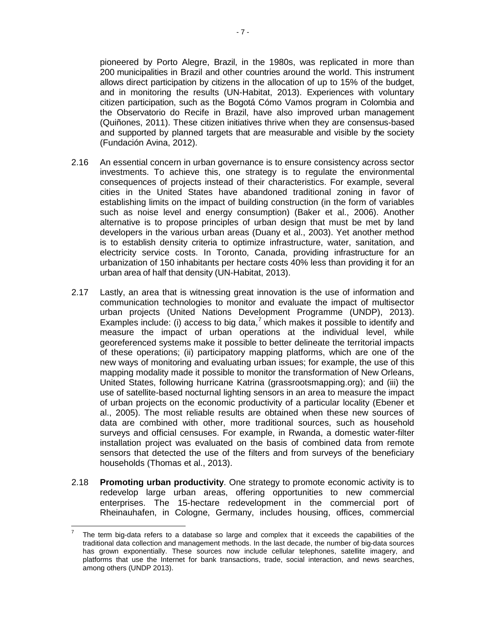pioneered by Porto Alegre, Brazil, in the 1980s, was replicated in more than 200 municipalities in Brazil and other countries around the world. This instrument allows direct participation by citizens in the allocation of up to 15% of the budget, and in monitoring the results (UN-Habitat, 2013). Experiences with voluntary citizen participation, such as the Bogotá Cómo Vamos program in Colombia and the Observatorio do Recife in Brazil, have also improved urban management (Quiñones, 2011). These citizen initiatives thrive when they are consensus-based and supported by planned targets that are measurable and visible by the society (Fundación Avina, 2012).

- 2.16 An essential concern in urban governance is to ensure consistency across sector investments. To achieve this, one strategy is to regulate the environmental consequences of projects instead of their characteristics. For example, several cities in the United States have abandoned traditional zoning in favor of establishing limits on the impact of building construction (in the form of variables such as noise level and energy consumption) (Baker et al., 2006). Another alternative is to propose principles of urban design that must be met by land developers in the various urban areas (Duany et al., 2003). Yet another method is to establish density criteria to optimize infrastructure, water, sanitation, and electricity service costs. In Toronto, Canada, providing infrastructure for an urbanization of 150 inhabitants per hectare costs 40% less than providing it for an urban area of half that density (UN-Habitat, 2013).
- 2.17 Lastly, an area that is witnessing great innovation is the use of information and communication technologies to monitor and evaluate the impact of multisector urban projects (United Nations Development Programme (UNDP), 2013). Examples include: (i) access to big data,<sup>[7](#page-11-0)</sup> which makes it possible to identify and measure the impact of urban operations at the individual level, while georeferenced systems make it possible to better delineate the territorial impacts of these operations; (ii) participatory mapping platforms, which are one of the new ways of monitoring and evaluating urban issues; for example, the use of this mapping modality made it possible to monitor the transformation of New Orleans, United States, following hurricane Katrina (grassrootsmapping.org); and (iii) the use of satellite-based nocturnal lighting sensors in an area to measure the impact of urban projects on the economic productivity of a particular locality (Ebener et al., 2005). The most reliable results are obtained when these new sources of data are combined with other, more traditional sources, such as household surveys and official censuses. For example, in Rwanda, a domestic water-filter installation project was evaluated on the basis of combined data from remote sensors that detected the use of the filters and from surveys of the beneficiary households (Thomas et al., 2013).
- 2.18 **Promoting urban productivity**. One strategy to promote economic activity is to redevelop large urban areas, offering opportunities to new commercial enterprises. The 15-hectare redevelopment in the commercial port of Rheinauhafen, in Cologne, Germany, includes housing, offices, commercial

<span id="page-11-0"></span><sup>7</sup> The term big-data refers to a database so large and complex that it exceeds the capabilities of the traditional data collection and management methods. In the last decade, the number of big-data sources has grown exponentially. These sources now include cellular telephones, satellite imagery, and platforms that use the Internet for bank transactions, trade, social interaction, and news searches, among others (UNDP 2013).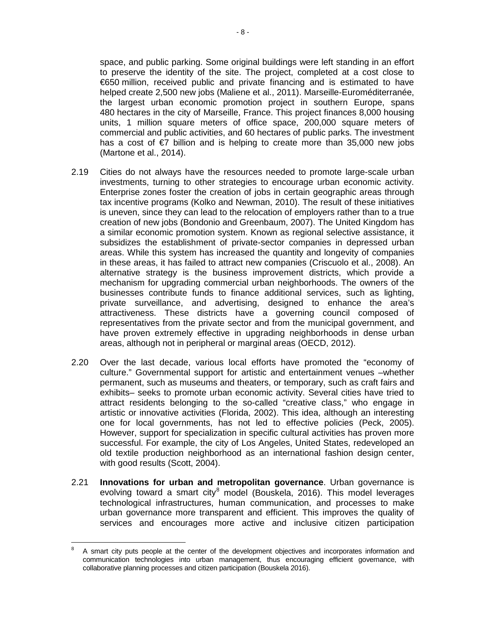space, and public parking. Some original buildings were left standing in an effort to preserve the identity of the site. The project, completed at a cost close to €650 million, received public and private financing and is estimated to have helped create 2,500 new jobs (Maliene et al., 2011). Marseille-Euroméditerranée, the largest urban economic promotion project in southern Europe, spans 480 hectares in the city of Marseille, France. This project finances 8,000 housing units, 1 million square meters of office space, 200,000 square meters of commercial and public activities, and 60 hectares of public parks. The investment has a cost of  $\epsilon$ 7 billion and is helping to create more than 35,000 new jobs (Martone et al., 2014).

- 2.19 Cities do not always have the resources needed to promote large-scale urban investments, turning to other strategies to encourage urban economic activity. Enterprise zones foster the creation of jobs in certain geographic areas through tax incentive programs (Kolko and Newman, 2010). The result of these initiatives is uneven, since they can lead to the relocation of employers rather than to a true creation of new jobs (Bondonio and Greenbaum, 2007). The United Kingdom has a similar economic promotion system. Known as regional selective assistance, it subsidizes the establishment of private-sector companies in depressed urban areas. While this system has increased the quantity and longevity of companies in these areas, it has failed to attract new companies (Criscuolo et al., 2008). An alternative strategy is the business improvement districts, which provide a mechanism for upgrading commercial urban neighborhoods. The owners of the businesses contribute funds to finance additional services, such as lighting, private surveillance, and advertising, designed to enhance the area's attractiveness. These districts have a governing council composed of representatives from the private sector and from the municipal government, and have proven extremely effective in upgrading neighborhoods in dense urban areas, although not in peripheral or marginal areas (OECD, 2012).
- 2.20 Over the last decade, various local efforts have promoted the "economy of culture." Governmental support for artistic and entertainment venues –whether permanent, such as museums and theaters, or temporary, such as craft fairs and exhibits– seeks to promote urban economic activity. Several cities have tried to attract residents belonging to the so-called "creative class," who engage in artistic or innovative activities (Florida, 2002). This idea, although an interesting one for local governments, has not led to effective policies (Peck, 2005). However, support for specialization in specific cultural activities has proven more successful. For example, the city of Los Angeles, United States, redeveloped an old textile production neighborhood as an international fashion design center, with good results (Scott, 2004).
- 2.21 **Innovations for urban and metropolitan governance**. Urban governance is evolving toward a smart city $^8$  $^8$  model (Bouskela, 2016). This model leverages technological infrastructures, human communication, and processes to make urban governance more transparent and efficient. This improves the quality of services and encourages more active and inclusive citizen participation

<span id="page-12-0"></span><sup>8</sup> A smart city puts people at the center of the development objectives and incorporates information and communication technologies into urban management, thus encouraging efficient governance, with collaborative planning processes and citizen participation (Bouskela 2016).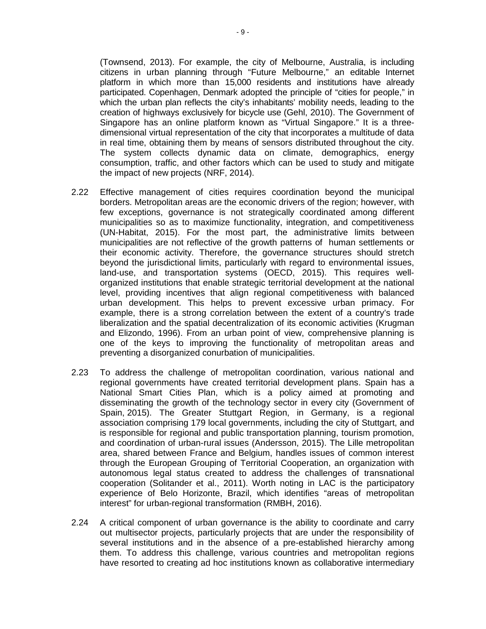(Townsend, 2013). For example, the city of Melbourne, Australia, is including citizens in urban planning through "Future Melbourne," an editable Internet platform in which more than 15,000 residents and institutions have already participated. Copenhagen, Denmark adopted the principle of "cities for people," in which the urban plan reflects the city's inhabitants' mobility needs, leading to the creation of highways exclusively for bicycle use (Gehl, 2010). The Government of Singapore has an online platform known as "Virtual Singapore." It is a threedimensional virtual representation of the city that incorporates a multitude of data in real time, obtaining them by means of sensors distributed throughout the city. The system collects dynamic data on climate, demographics, energy consumption, traffic, and other factors which can be used to study and mitigate the impact of new projects (NRF, 2014).

- 2.22 Effective management of cities requires coordination beyond the municipal borders. Metropolitan areas are the economic drivers of the region; however, with few exceptions, governance is not strategically coordinated among different municipalities so as to maximize functionality, integration, and competitiveness (UN-Habitat, 2015). For the most part, the administrative limits between municipalities are not reflective of the growth patterns of human settlements or their economic activity. Therefore, the governance structures should stretch beyond the jurisdictional limits, particularly with regard to environmental issues, land-use, and transportation systems (OECD, 2015). This requires wellorganized institutions that enable strategic territorial development at the national level, providing incentives that align regional competitiveness with balanced urban development. This helps to prevent excessive urban primacy. For example, there is a strong correlation between the extent of a country's trade liberalization and the spatial decentralization of its economic activities (Krugman and Elizondo, 1996). From an urban point of view, comprehensive planning is one of the keys to improving the functionality of metropolitan areas and preventing a disorganized conurbation of municipalities.
- 2.23 To address the challenge of metropolitan coordination, various national and regional governments have created territorial development plans. Spain has a National Smart Cities Plan, which is a policy aimed at promoting and disseminating the growth of the technology sector in every city (Government of Spain, 2015). The Greater Stuttgart Region, in Germany, is a regional association comprising 179 local governments, including the city of Stuttgart, and is responsible for regional and public transportation planning, tourism promotion, and coordination of urban-rural issues (Andersson, 2015). The Lille metropolitan area, shared between France and Belgium, handles issues of common interest through the European Grouping of Territorial Cooperation, an organization with autonomous legal status created to address the challenges of transnational cooperation (Solitander et al., 2011). Worth noting in LAC is the participatory experience of Belo Horizonte, Brazil, which identifies "areas of metropolitan interest" for urban-regional transformation (RMBH, 2016).
- 2.24 A critical component of urban governance is the ability to coordinate and carry out multisector projects, particularly projects that are under the responsibility of several institutions and in the absence of a pre-established hierarchy among them. To address this challenge, various countries and metropolitan regions have resorted to creating ad hoc institutions known as collaborative intermediary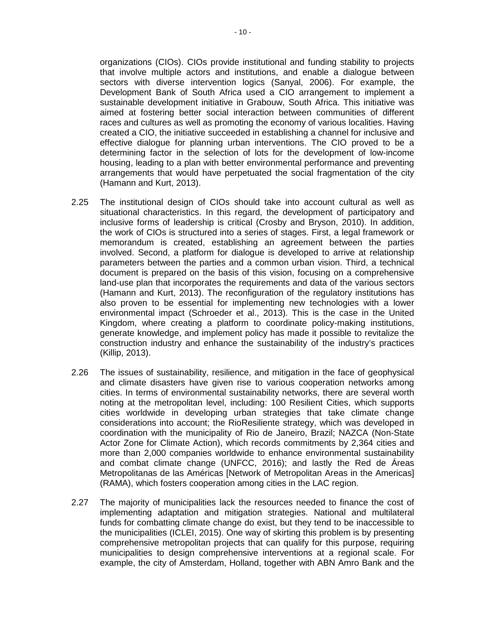organizations (CIOs). CIOs provide institutional and funding stability to projects that involve multiple actors and institutions, and enable a dialogue between sectors with diverse intervention logics (Sanyal, 2006). For example, the Development Bank of South Africa used a CIO arrangement to implement a sustainable development initiative in Grabouw, South Africa. This initiative was aimed at fostering better social interaction between communities of different races and cultures as well as promoting the economy of various localities. Having created a CIO, the initiative succeeded in establishing a channel for inclusive and effective dialogue for planning urban interventions. The CIO proved to be a determining factor in the selection of lots for the development of low-income housing, leading to a plan with better environmental performance and preventing arrangements that would have perpetuated the social fragmentation of the city (Hamann and Kurt, 2013).

- 2.25 The institutional design of CIOs should take into account cultural as well as situational characteristics. In this regard, the development of participatory and inclusive forms of leadership is critical (Crosby and Bryson, 2010). In addition, the work of CIOs is structured into a series of stages. First, a legal framework or memorandum is created, establishing an agreement between the parties involved. Second, a platform for dialogue is developed to arrive at relationship parameters between the parties and a common urban vision. Third, a technical document is prepared on the basis of this vision, focusing on a comprehensive land-use plan that incorporates the requirements and data of the various sectors (Hamann and Kurt, 2013). The reconfiguration of the regulatory institutions has also proven to be essential for implementing new technologies with a lower environmental impact (Schroeder et al., 2013). This is the case in the United Kingdom, where creating a platform to coordinate policy-making institutions, generate knowledge, and implement policy has made it possible to revitalize the construction industry and enhance the sustainability of the industry's practices (Killip, 2013).
- 2.26 The issues of sustainability, resilience, and mitigation in the face of geophysical and climate disasters have given rise to various cooperation networks among cities. In terms of environmental sustainability networks, there are several worth noting at the metropolitan level, including: 100 Resilient Cities, which supports cities worldwide in developing urban strategies that take climate change considerations into account; the RioResiliente strategy, which was developed in coordination with the municipality of Rio de Janeiro, Brazil; NAZCA (Non-State Actor Zone for Climate Action), which records commitments by 2,364 cities and more than 2,000 companies worldwide to enhance environmental sustainability and combat climate change (UNFCC, 2016); and lastly the Red de Áreas Metropolitanas de las Américas [Network of Metropolitan Areas in the Americas] (RAMA), which fosters cooperation among cities in the LAC region.
- 2.27 The majority of municipalities lack the resources needed to finance the cost of implementing adaptation and mitigation strategies. National and multilateral funds for combatting climate change do exist, but they tend to be inaccessible to the municipalities (ICLEI, 2015). One way of skirting this problem is by presenting comprehensive metropolitan projects that can qualify for this purpose, requiring municipalities to design comprehensive interventions at a regional scale. For example, the city of Amsterdam, Holland, together with ABN Amro Bank and the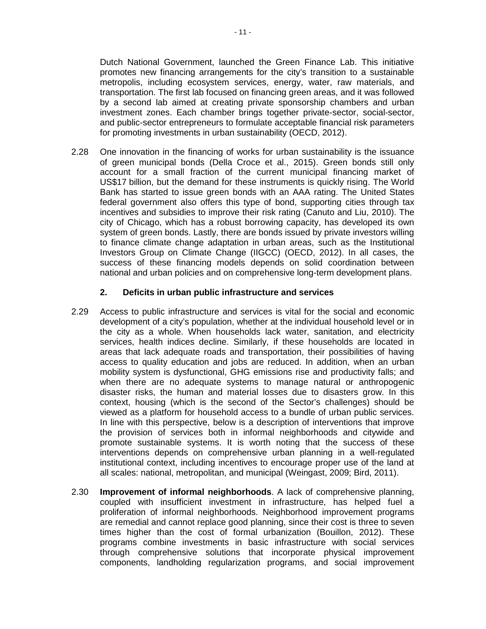Dutch National Government, launched the Green Finance Lab. This initiative promotes new financing arrangements for the city's transition to a sustainable metropolis, including ecosystem services, energy, water, raw materials, and transportation. The first lab focused on financing green areas, and it was followed by a second lab aimed at creating private sponsorship chambers and urban investment zones. Each chamber brings together private-sector, social-sector, and public-sector entrepreneurs to formulate acceptable financial risk parameters for promoting investments in urban sustainability (OECD, 2012).

2.28 One innovation in the financing of works for urban sustainability is the issuance of green municipal bonds (Della Croce et al., 2015). Green bonds still only account for a small fraction of the current municipal financing market of US\$17 billion, but the demand for these instruments is quickly rising. The World Bank has started to issue green bonds with an AAA rating. The United States federal government also offers this type of bond, supporting cities through tax incentives and subsidies to improve their risk rating (Canuto and Liu, 2010). The city of Chicago, which has a robust borrowing capacity, has developed its own system of green bonds. Lastly, there are bonds issued by private investors willing to finance climate change adaptation in urban areas, such as the Institutional Investors Group on Climate Change (IIGCC) (OECD, 2012). In all cases, the success of these financing models depends on solid coordination between national and urban policies and on comprehensive long-term development plans.

#### **2. Deficits in urban public infrastructure and services**

- 2.29 Access to public infrastructure and services is vital for the social and economic development of a city's population, whether at the individual household level or in the city as a whole. When households lack water, sanitation, and electricity services, health indices decline. Similarly, if these households are located in areas that lack adequate roads and transportation, their possibilities of having access to quality education and jobs are reduced. In addition, when an urban mobility system is dysfunctional, GHG emissions rise and productivity falls; and when there are no adequate systems to manage natural or anthropogenic disaster risks, the human and material losses due to disasters grow. In this context, housing (which is the second of the Sector's challenges) should be viewed as a platform for household access to a bundle of urban public services. In line with this perspective, below is a description of interventions that improve the provision of services both in informal neighborhoods and citywide and promote sustainable systems. It is worth noting that the success of these interventions depends on comprehensive urban planning in a well-regulated institutional context, including incentives to encourage proper use of the land at all scales: national, metropolitan, and municipal (Weingast, 2009; Bird, 2011).
- 2.30 **Improvement of informal neighborhoods**. A lack of comprehensive planning, coupled with insufficient investment in infrastructure, has helped fuel a proliferation of informal neighborhoods. Neighborhood improvement programs are remedial and cannot replace good planning, since their cost is three to seven times higher than the cost of formal urbanization (Bouillon, 2012). These programs combine investments in basic infrastructure with social services through comprehensive solutions that incorporate physical improvement components, landholding regularization programs, and social improvement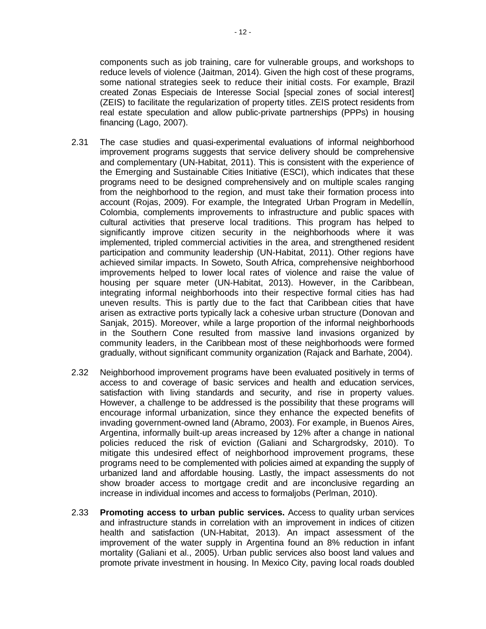real estate speculation and allow public-private partnerships (PPPs) in housing

financing (Lago, 2007).

- 2.31 The case studies and quasi-experimental evaluations of informal neighborhood improvement programs suggests that service delivery should be comprehensive and complementary (UN-Habitat, 2011). This is consistent with the experience of the Emerging and Sustainable Cities Initiative (ESCI), which indicates that these programs need to be designed comprehensively and on multiple scales ranging from the neighborhood to the region, and must take their formation process into account (Rojas, 2009). For example, the Integrated Urban Program in Medellín, Colombia, complements improvements to infrastructure and public spaces with cultural activities that preserve local traditions. This program has helped to significantly improve citizen security in the neighborhoods where it was implemented, tripled commercial activities in the area, and strengthened resident participation and community leadership (UN-Habitat, 2011). Other regions have achieved similar impacts. In Soweto, South Africa, comprehensive neighborhood improvements helped to lower local rates of violence and raise the value of housing per square meter (UN-Habitat, 2013). However, in the Caribbean, integrating informal neighborhoods into their respective formal cities has had uneven results. This is partly due to the fact that Caribbean cities that have arisen as extractive ports typically lack a cohesive urban structure (Donovan and Sanjak, 2015). Moreover, while a large proportion of the informal neighborhoods in the Southern Cone resulted from massive land invasions organized by community leaders, in the Caribbean most of these neighborhoods were formed gradually, without significant community organization (Rajack and Barhate, 2004).
- 2.32 Neighborhood improvement programs have been evaluated positively in terms of access to and coverage of basic services and health and education services, satisfaction with living standards and security, and rise in property values. However, a challenge to be addressed is the possibility that these programs will encourage informal urbanization, since they enhance the expected benefits of invading government-owned land (Abramo, 2003). For example, in Buenos Aires, Argentina, informally built-up areas increased by 12% after a change in national policies reduced the risk of eviction (Galiani and Schargrodsky, 2010). To mitigate this undesired effect of neighborhood improvement programs, these programs need to be complemented with policies aimed at expanding the supply of urbanized land and affordable housing. Lastly, the impact assessments do not show broader access to mortgage credit and are inconclusive regarding an increase in individual incomes and access to formaljobs (Perlman, 2010).
- 2.33 **Promoting access to urban public services.** Access to quality urban services and infrastructure stands in correlation with an improvement in indices of citizen health and satisfaction (UN-Habitat, 2013). An impact assessment of the improvement of the water supply in Argentina found an 8% reduction in infant mortality (Galiani et al., 2005). Urban public services also boost land values and promote private investment in housing. In Mexico City, paving local roads doubled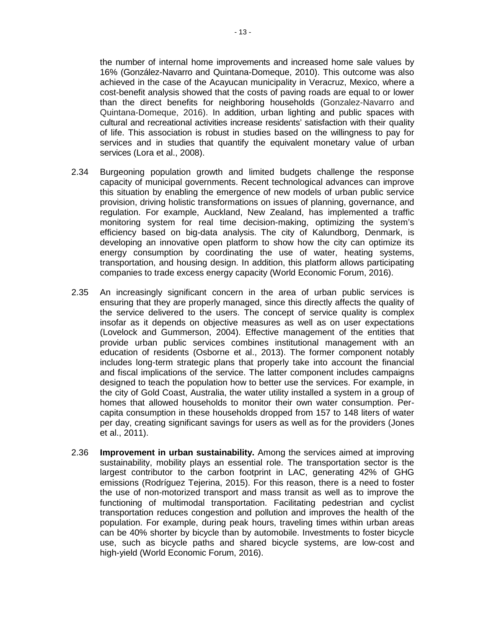the number of internal home improvements and increased home sale values by 16% (González-Navarro and Quintana-Domeque, 2010). This outcome was also achieved in the case of the Acayucan municipality in Veracruz, Mexico, where a cost-benefit analysis showed that the costs of paving roads are equal to or lower than the direct benefits for neighboring households (Gonzalez-Navarro and Quintana-Domeque, 2016). In addition, urban lighting and public spaces with cultural and recreational activities increase residents' satisfaction with their quality of life. This association is robust in studies based on the willingness to pay for services and in studies that quantify the equivalent monetary value of urban services (Lora et al., 2008).

- 2.34 Burgeoning population growth and limited budgets challenge the response capacity of municipal governments. Recent technological advances can improve this situation by enabling the emergence of new models of urban public service provision, driving holistic transformations on issues of planning, governance, and regulation. For example, Auckland, New Zealand, has implemented a traffic monitoring system for real time decision-making, optimizing the system's efficiency based on big-data analysis. The city of Kalundborg, Denmark, is developing an innovative open platform to show how the city can optimize its energy consumption by coordinating the use of water, heating systems, transportation, and housing design. In addition, this platform allows participating companies to trade excess energy capacity (World Economic Forum, 2016).
- 2.35 An increasingly significant concern in the area of urban public services is ensuring that they are properly managed, since this directly affects the quality of the service delivered to the users. The concept of service quality is complex insofar as it depends on objective measures as well as on user expectations (Lovelock and Gummerson, 2004). Effective management of the entities that provide urban public services combines institutional management with an education of residents (Osborne et al., 2013). The former component notably includes long-term strategic plans that properly take into account the financial and fiscal implications of the service. The latter component includes campaigns designed to teach the population how to better use the services. For example, in the city of Gold Coast, Australia, the water utility installed a system in a group of homes that allowed households to monitor their own water consumption. Percapita consumption in these households dropped from 157 to 148 liters of water per day, creating significant savings for users as well as for the providers (Jones et al., 2011).
- 2.36 **Improvement in urban sustainability.** Among the services aimed at improving sustainability, mobility plays an essential role. The transportation sector is the largest contributor to the carbon footprint in LAC, generating 42% of GHG emissions (Rodríguez Tejerina, 2015). For this reason, there is a need to foster the use of non-motorized transport and mass transit as well as to improve the functioning of multimodal transportation. Facilitating pedestrian and cyclist transportation reduces congestion and pollution and improves the health of the population. For example, during peak hours, traveling times within urban areas can be 40% shorter by bicycle than by automobile. Investments to foster bicycle use, such as bicycle paths and shared bicycle systems, are low-cost and high-yield (World Economic Forum, 2016).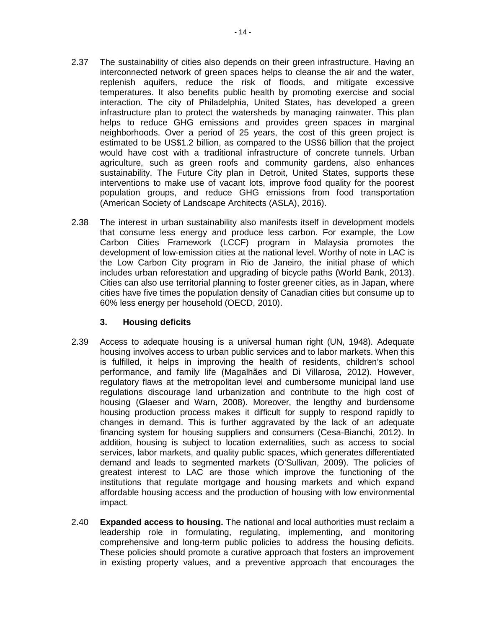- 2.37 The sustainability of cities also depends on their green infrastructure. Having an interconnected network of green spaces helps to cleanse the air and the water, replenish aquifers, reduce the risk of floods, and mitigate excessive temperatures. It also benefits public health by promoting exercise and social interaction. The city of Philadelphia, United States, has developed a green infrastructure plan to protect the watersheds by managing rainwater. This plan helps to reduce GHG emissions and provides green spaces in marginal neighborhoods. Over a period of 25 years, the cost of this green project is estimated to be US\$1.2 billion, as compared to the US\$6 billion that the project would have cost with a traditional infrastructure of concrete tunnels. Urban agriculture, such as green roofs and community gardens, also enhances sustainability. The Future City plan in Detroit, United States, supports these interventions to make use of vacant lots, improve food quality for the poorest population groups, and reduce GHG emissions from food transportation (American Society of Landscape Architects (ASLA), 2016).
- 2.38 The interest in urban sustainability also manifests itself in development models that consume less energy and produce less carbon. For example, the Low Carbon Cities Framework (LCCF) program in Malaysia promotes the development of low-emission cities at the national level. Worthy of note in LAC is the Low Carbon City program in Rio de Janeiro, the initial phase of which includes urban reforestation and upgrading of bicycle paths (World Bank, 2013). Cities can also use territorial planning to foster greener cities, as in Japan, where cities have five times the population density of Canadian cities but consume up to 60% less energy per household (OECD, 2010).

### **3. Housing deficits**

- 2.39 Access to adequate housing is a universal human right (UN, 1948). Adequate housing involves access to urban public services and to labor markets. When this is fulfilled, it helps in improving the health of residents, children's school performance, and family life (Magalhães and Di Villarosa, 2012). However, regulatory flaws at the metropolitan level and cumbersome municipal land use regulations discourage land urbanization and contribute to the high cost of housing (Glaeser and Warn, 2008). Moreover, the lengthy and burdensome housing production process makes it difficult for supply to respond rapidly to changes in demand. This is further aggravated by the lack of an adequate financing system for housing suppliers and consumers (Cesa-Bianchi, 2012). In addition, housing is subject to location externalities, such as access to social services, labor markets, and quality public spaces, which generates differentiated demand and leads to segmented markets (O'Sullivan, 2009). The policies of greatest interest to LAC are those which improve the functioning of the institutions that regulate mortgage and housing markets and which expand affordable housing access and the production of housing with low environmental impact.
- 2.40 **Expanded access to housing.** The national and local authorities must reclaim a leadership role in formulating, regulating, implementing, and monitoring comprehensive and long-term public policies to address the housing deficits. These policies should promote a curative approach that fosters an improvement in existing property values, and a preventive approach that encourages the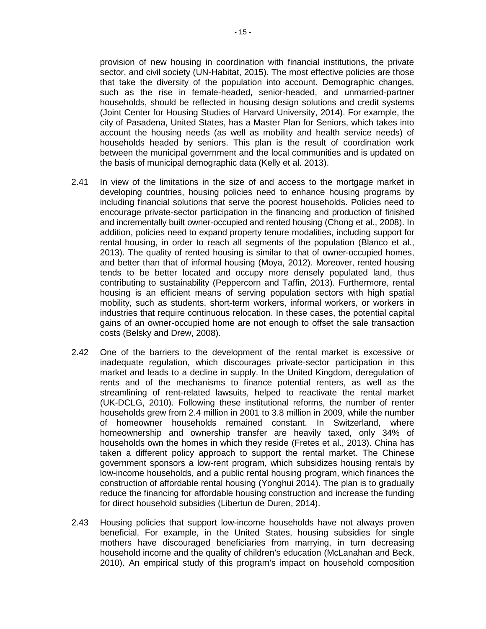provision of new housing in coordination with financial institutions, the private sector, and civil society (UN-Habitat, 2015). The most effective policies are those that take the diversity of the population into account. Demographic changes, such as the rise in female-headed, senior-headed, and unmarried-partner households, should be reflected in housing design solutions and credit systems (Joint Center for Housing Studies of Harvard University, 2014). For example, the city of Pasadena, United States, has a Master Plan for Seniors, which takes into account the housing needs (as well as mobility and health service needs) of households headed by seniors. This plan is the result of coordination work between the municipal government and the local communities and is updated on the basis of municipal demographic data (Kelly et al. 2013).

- 2.41 In view of the limitations in the size of and access to the mortgage market in developing countries, housing policies need to enhance housing programs by including financial solutions that serve the poorest households. Policies need to encourage private-sector participation in the financing and production of finished and incrementally built owner-occupied and rented housing (Chong et al., 2008). In addition, policies need to expand property tenure modalities, including support for rental housing, in order to reach all segments of the population (Blanco et al., 2013). The quality of rented housing is similar to that of owner-occupied homes, and better than that of informal housing (Moya, 2012). Moreover, rented housing tends to be better located and occupy more densely populated land, thus contributing to sustainability (Peppercorn and Taffin, 2013). Furthermore, rental housing is an efficient means of serving population sectors with high spatial mobility, such as students, short-term workers, informal workers, or workers in industries that require continuous relocation. In these cases, the potential capital gains of an owner-occupied home are not enough to offset the sale transaction costs (Belsky and Drew, 2008).
- 2.42 One of the barriers to the development of the rental market is excessive or inadequate regulation, which discourages private-sector participation in this market and leads to a decline in supply. In the United Kingdom, deregulation of rents and of the mechanisms to finance potential renters, as well as the streamlining of rent-related lawsuits, helped to reactivate the rental market (UK-DCLG, 2010). Following these institutional reforms, the number of renter households grew from 2.4 million in 2001 to 3.8 million in 2009, while the number of homeowner households remained constant. In Switzerland, where homeownership and ownership transfer are heavily taxed, only 34% of households own the homes in which they reside (Fretes et al., 2013). China has taken a different policy approach to support the rental market. The Chinese government sponsors a low-rent program, which subsidizes housing rentals by low-income households, and a public rental housing program, which finances the construction of affordable rental housing (Yonghui 2014). The plan is to gradually reduce the financing for affordable housing construction and increase the funding for direct household subsidies (Libertun de Duren, 2014).
- 2.43 Housing policies that support low-income households have not always proven beneficial. For example, in the United States, housing subsidies for single mothers have discouraged beneficiaries from marrying, in turn decreasing household income and the quality of children's education (McLanahan and Beck, 2010). An empirical study of this program's impact on household composition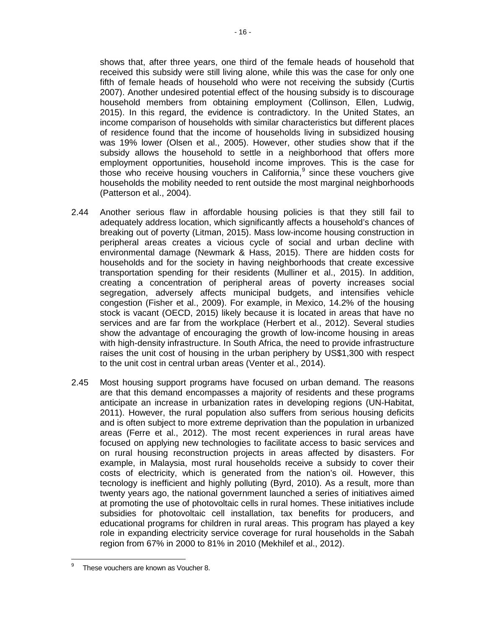shows that, after three years, one third of the female heads of household that received this subsidy were still living alone, while this was the case for only one fifth of female heads of household who were not receiving the subsidy (Curtis 2007). Another undesired potential effect of the housing subsidy is to discourage household members from obtaining employment (Collinson, Ellen, Ludwig, 2015). In this regard, the evidence is contradictory. In the United States, an income comparison of households with similar characteristics but different places of residence found that the income of households living in subsidized housing was 19% lower (Olsen et al., 2005). However, other studies show that if the subsidy allows the household to settle in a neighborhood that offers more employment opportunities, household income improves. This is the case for those who receive housing vouchers in California,<sup>[9](#page-20-0)</sup> since these vouchers give households the mobility needed to rent outside the most marginal neighborhoods (Patterson et al., 2004).

- 2.44 Another serious flaw in affordable housing policies is that they still fail to adequately address location, which significantly affects a household's chances of breaking out of poverty (Litman, 2015). Mass low-income housing construction in peripheral areas creates a vicious cycle of social and urban decline with environmental damage (Newmark & Hass, 2015). There are hidden costs for households and for the society in having neighborhoods that create excessive transportation spending for their residents (Mulliner et al., 2015). In addition, creating a concentration of peripheral areas of poverty increases social segregation, adversely affects municipal budgets, and intensifies vehicle congestion (Fisher et al., 2009). For example, in Mexico, 14.2% of the housing stock is vacant (OECD, 2015) likely because it is located in areas that have no services and are far from the workplace (Herbert et al., 2012). Several studies show the advantage of encouraging the growth of low-income housing in areas with high-density infrastructure. In South Africa, the need to provide infrastructure raises the unit cost of housing in the urban periphery by US\$1,300 with respect to the unit cost in central urban areas (Venter et al., 2014).
- 2.45 Most housing support programs have focused on urban demand. The reasons are that this demand encompasses a majority of residents and these programs anticipate an increase in urbanization rates in developing regions (UN-Habitat, 2011). However, the rural population also suffers from serious housing deficits and is often subject to more extreme deprivation than the population in urbanized areas (Ferre et al., 2012). The most recent experiences in rural areas have focused on applying new technologies to facilitate access to basic services and on rural housing reconstruction projects in areas affected by disasters. For example, in Malaysia, most rural households receive a subsidy to cover their costs of electricity, which is generated from the nation's oil. However, this tecnology is inefficient and highly polluting (Byrd, 2010). As a result, more than twenty years ago, the national government launched a series of initiatives aimed at promoting the use of photovoltaic cells in rural homes. These initiatives include subsidies for photovoltaic cell installation, tax benefits for producers, and educational programs for children in rural areas. This program has played a key role in expanding electricity service coverage for rural households in the Sabah region from 67% in 2000 to 81% in 2010 (Mekhilef et al., 2012).

<span id="page-20-0"></span>These vouchers are known as Voucher 8.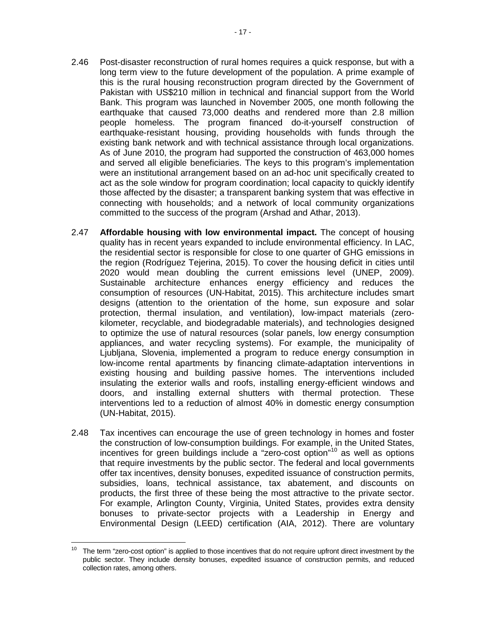- 2.46 Post-disaster reconstruction of rural homes requires a quick response, but with a long term view to the future development of the population. A prime example of this is the rural housing reconstruction program directed by the Government of Pakistan with US\$210 million in technical and financial support from the World Bank. This program was launched in November 2005, one month following the earthquake that caused 73,000 deaths and rendered more than 2.8 million people homeless. The program financed do-it-yourself construction of earthquake-resistant housing, providing households with funds through the existing bank network and with technical assistance through local organizations. As of June 2010, the program had supported the construction of 463,000 homes and served all eligible beneficiaries. The keys to this program's implementation were an institutional arrangement based on an ad-hoc unit specifically created to act as the sole window for program coordination; local capacity to quickly identify those affected by the disaster; a transparent banking system that was effective in connecting with households; and a network of local community organizations committed to the success of the program (Arshad and Athar, 2013).
- 2.47 **Affordable housing with low environmental impact.** The concept of housing quality has in recent years expanded to include environmental efficiency. In LAC, the residential sector is responsible for close to one quarter of GHG emissions in the region (Rodríguez Tejerina, 2015). To cover the housing deficit in cities until 2020 would mean doubling the current emissions level (UNEP, 2009). Sustainable architecture enhances energy efficiency and reduces the consumption of resources (UN-Habitat, 2015). This architecture includes smart designs (attention to the orientation of the home, sun exposure and solar protection, thermal insulation, and ventilation), low-impact materials (zerokilometer, recyclable, and biodegradable materials), and technologies designed to optimize the use of natural resources (solar panels, low energy consumption appliances, and water recycling systems). For example, the municipality of Ljubljana, Slovenia, implemented a program to reduce energy consumption in low-income rental apartments by financing climate-adaptation interventions in existing housing and building passive homes. The interventions included insulating the exterior walls and roofs, installing energy-efficient windows and doors, and installing external shutters with thermal protection. These interventions led to a reduction of almost 40% in domestic energy consumption (UN-Habitat, 2015).
- 2.48 Tax incentives can encourage the use of green technology in homes and foster the construction of low-consumption buildings. For example, in the United States, incentives for green buildings include a "zero-cost option"[10](#page-21-0) as well as options that require investments by the public sector. The federal and local governments offer tax incentives, density bonuses, expedited issuance of construction permits, subsidies, loans, technical assistance, tax abatement, and discounts on products, the first three of these being the most attractive to the private sector. For example, Arlington County, Virginia, United States, provides extra density bonuses to private-sector projects with a Leadership in Energy and Environmental Design (LEED) certification (AIA, 2012). There are voluntary

<span id="page-21-0"></span> $10$  The term "zero-cost option" is applied to those incentives that do not require upfront direct investment by the public sector. They include density bonuses, expedited issuance of construction permits, and reduced collection rates, among others.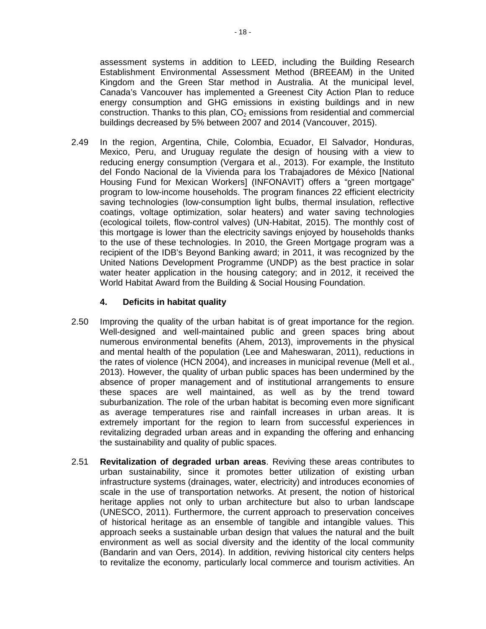assessment systems in addition to LEED, including the Building Research Establishment Environmental Assessment Method (BREEAM) in the United Kingdom and the Green Star method in Australia. At the municipal level, Canada's Vancouver has implemented a Greenest City Action Plan to reduce energy consumption and GHG emissions in existing buildings and in new construction. Thanks to this plan,  $CO<sub>2</sub>$  emissions from residential and commercial buildings decreased by 5% between 2007 and 2014 (Vancouver, 2015).

2.49 In the region, Argentina, Chile, Colombia, Ecuador, El Salvador, Honduras, Mexico, Peru, and Uruguay regulate the design of housing with a view to reducing energy consumption (Vergara et al., 2013). For example, the Instituto del Fondo Nacional de la Vivienda para los Trabajadores de México [National Housing Fund for Mexican Workers] (INFONAVIT) offers a "green mortgage" program to low-income households. The program finances 22 efficient electricity saving technologies (low-consumption light bulbs, thermal insulation, reflective coatings, voltage optimization, solar heaters) and water saving technologies (ecological toilets, flow-control valves) (UN-Habitat, 2015). The monthly cost of this mortgage is lower than the electricity savings enjoyed by households thanks to the use of these technologies. In 2010, the Green Mortgage program was a recipient of the IDB's Beyond Banking award; in 2011, it was recognized by the United Nations Development Programme (UNDP) as the best practice in solar water heater application in the housing category; and in 2012, it received the World Habitat Award from the Building & Social Housing Foundation.

#### **4. Deficits in habitat quality**

- 2.50 Improving the quality of the urban habitat is of great importance for the region. Well-designed and well-maintained public and green spaces bring about numerous environmental benefits (Ahem, 2013), improvements in the physical and mental health of the population (Lee and Maheswaran, 2011), reductions in the rates of violence (HCN 2004), and increases in municipal revenue (Mell et al., 2013). However, the quality of urban public spaces has been undermined by the absence of proper management and of institutional arrangements to ensure these spaces are well maintained, as well as by the trend toward suburbanization. The role of the urban habitat is becoming even more significant as average temperatures rise and rainfall increases in urban areas. It is extremely important for the region to learn from successful experiences in revitalizing degraded urban areas and in expanding the offering and enhancing the sustainability and quality of public spaces.
- 2.51 **Revitalization of degraded urban areas**. Reviving these areas contributes to urban sustainability, since it promotes better utilization of existing urban infrastructure systems (drainages, water, electricity) and introduces economies of scale in the use of transportation networks. At present, the notion of historical heritage applies not only to urban architecture but also to urban landscape (UNESCO, 2011). Furthermore, the current approach to preservation conceives of historical heritage as an ensemble of tangible and intangible values. This approach seeks a sustainable urban design that values the natural and the built environment as well as social diversity and the identity of the local community (Bandarin and van Oers, 2014). In addition, reviving historical city centers helps to revitalize the economy, particularly local commerce and tourism activities. An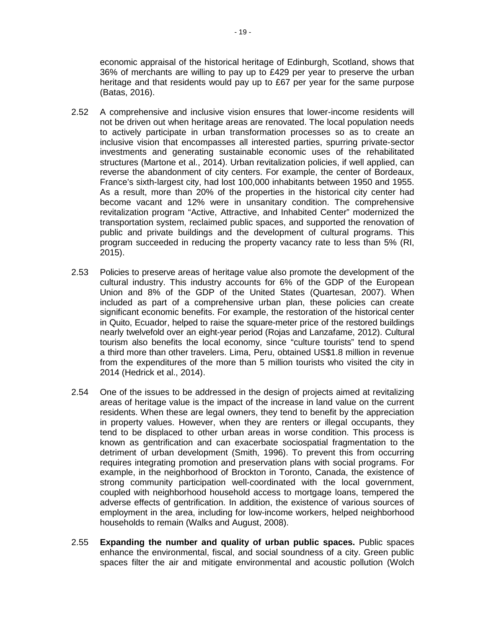economic appraisal of the historical heritage of Edinburgh, Scotland, shows that 36% of merchants are willing to pay up to £429 per year to preserve the urban heritage and that residents would pay up to £67 per year for the same purpose (Batas, 2016).

- 2.52 A comprehensive and inclusive vision ensures that lower-income residents will not be driven out when heritage areas are renovated. The local population needs to actively participate in urban transformation processes so as to create an inclusive vision that encompasses all interested parties, spurring private-sector investments and generating sustainable economic uses of the rehabilitated structures (Martone et al., 2014). Urban revitalization policies, if well applied, can reverse the abandonment of city centers. For example, the center of Bordeaux, France's sixth-largest city, had lost 100,000 inhabitants between 1950 and 1955. As a result, more than 20% of the properties in the historical city center had become vacant and 12% were in unsanitary condition. The comprehensive revitalization program "Active, Attractive, and Inhabited Center" modernized the transportation system, reclaimed public spaces, and supported the renovation of public and private buildings and the development of cultural programs. This program succeeded in reducing the property vacancy rate to less than 5% (RI, 2015).
- 2.53 Policies to preserve areas of heritage value also promote the development of the cultural industry. This industry accounts for 6% of the GDP of the European Union and 8% of the GDP of the United States (Quartesan, 2007). When included as part of a comprehensive urban plan, these policies can create significant economic benefits. For example, the restoration of the historical center in Quito, Ecuador, helped to raise the square-meter price of the restored buildings nearly twelvefold over an eight-year period (Rojas and Lanzafame, 2012). Cultural tourism also benefits the local economy, since "culture tourists" tend to spend a third more than other travelers. Lima, Peru, obtained US\$1.8 million in revenue from the expenditures of the more than 5 million tourists who visited the city in 2014 (Hedrick et al., 2014).
- 2.54 One of the issues to be addressed in the design of projects aimed at revitalizing areas of heritage value is the impact of the increase in land value on the current residents. When these are legal owners, they tend to benefit by the appreciation in property values. However, when they are renters or illegal occupants, they tend to be displaced to other urban areas in worse condition. This process is known as gentrification and can exacerbate sociospatial fragmentation to the detriment of urban development (Smith, 1996). To prevent this from occurring requires integrating promotion and preservation plans with social programs. For example, in the neighborhood of Brockton in Toronto, Canada, the existence of strong community participation well-coordinated with the local government, coupled with neighborhood household access to mortgage loans, tempered the adverse effects of gentrification. In addition, the existence of various sources of employment in the area, including for low-income workers, helped neighborhood households to remain (Walks and August, 2008).
- 2.55 **Expanding the number and quality of urban public spaces.** Public spaces enhance the environmental, fiscal, and social soundness of a city. Green public spaces filter the air and mitigate environmental and acoustic pollution (Wolch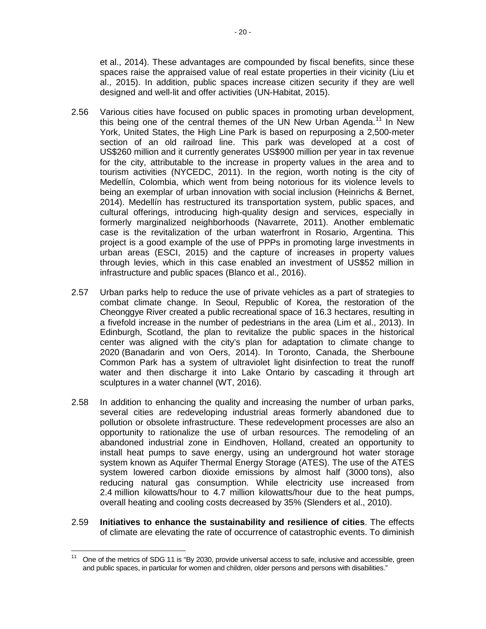et al., 2014). These advantages are compounded by fiscal benefits, since these spaces raise the appraised value of real estate properties in their vicinity (Liu et al., 2015). In addition, public spaces increase citizen security if they are well designed and well-lit and offer activities (UN-Habitat, 2015).

- 2.56 Various cities have focused on public spaces in promoting urban development, this being one of the central themes of the UN New Urban Agenda.<sup>[11](#page-24-0)</sup> In New York, United States, the High Line Park is based on repurposing a 2,500-meter section of an old railroad line. This park was developed at a cost of US\$260 million and it currently generates US\$900 million per year in tax revenue for the city, attributable to the increase in property values in the area and to tourism activities (NYCEDC, 2011). In the region, worth noting is the city of Medellín, Colombia, which went from being notorious for its violence levels to being an exemplar of urban innovation with social inclusion (Heinrichs & Bernet, 2014). Medellín has restructured its transportation system, public spaces, and cultural offerings, introducing high-quality design and services, especially in formerly marginalized neighborhoods (Navarrete, 2011). Another emblematic case is the revitalization of the urban waterfront in Rosario, Argentina. This project is a good example of the use of PPPs in promoting large investments in urban areas (ESCI, 2015) and the capture of increases in property values through levies, which in this case enabled an investment of US\$52 million in infrastructure and public spaces (Blanco et al., 2016).
- 2.57 Urban parks help to reduce the use of private vehicles as a part of strategies to combat climate change. In Seoul, Republic of Korea, the restoration of the Cheonggye River created a public recreational space of 16.3 hectares, resulting in a fivefold increase in the number of pedestrians in the area (Lim et al., 2013). In Edinburgh, Scotland, the plan to revitalize the public spaces in the historical center was aligned with the city's plan for adaptation to climate change to 2020 (Banadarin and von Oers, 2014). In Toronto, Canada, the Sherboune Common Park has a system of ultraviolet light disinfection to treat the runoff water and then discharge it into Lake Ontario by cascading it through art sculptures in a water channel (WT, 2016).
- 2.58 In addition to enhancing the quality and increasing the number of urban parks, several cities are redeveloping industrial areas formerly abandoned due to pollution or obsolete infrastructure. These redevelopment processes are also an opportunity to rationalize the use of urban resources. The remodeling of an abandoned industrial zone in Eindhoven, Holland, created an opportunity to install heat pumps to save energy, using an underground hot water storage system known as Aquifer Thermal Energy Storage (ATES). The use of the ATES system lowered carbon dioxide emissions by almost half (3000 tons), also reducing natural gas consumption. While electricity use increased from 2.4 million kilowatts/hour to 4.7 million kilowatts/hour due to the heat pumps, overall heating and cooling costs decreased by 35% (Slenders et al., 2010).
- 2.59 **Initiatives to enhance the sustainability and resilience of cities**. The effects of climate are elevating the rate of occurrence of catastrophic events. To diminish

<span id="page-24-0"></span> $11$  One of the metrics of SDG 11 is "By 2030, provide universal access to safe, inclusive and accessible, green and public spaces, in particular for women and children, older persons and persons with disabilities."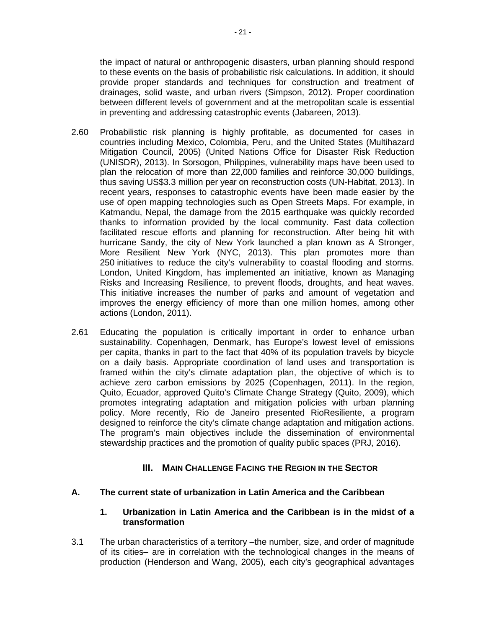the impact of natural or anthropogenic disasters, urban planning should respond to these events on the basis of probabilistic risk calculations. In addition, it should provide proper standards and techniques for construction and treatment of drainages, solid waste, and urban rivers (Simpson, 2012). Proper coordination between different levels of government and at the metropolitan scale is essential in preventing and addressing catastrophic events (Jabareen, 2013).

- 2.60 Probabilistic risk planning is highly profitable, as documented for cases in countries including Mexico, Colombia, Peru, and the United States (Multihazard Mitigation Council, 2005) (United Nations Office for Disaster Risk Reduction (UNISDR), 2013). In Sorsogon, Philippines, vulnerability maps have been used to plan the relocation of more than 22,000 families and reinforce 30,000 buildings, thus saving US\$3.3 million per year on reconstruction costs (UN-Habitat, 2013). In recent years, responses to catastrophic events have been made easier by the use of open mapping technologies such as Open Streets Maps. For example, in Katmandu, Nepal, the damage from the 2015 earthquake was quickly recorded thanks to information provided by the local community. Fast data collection facilitated rescue efforts and planning for reconstruction. After being hit with hurricane Sandy, the city of New York launched a plan known as A Stronger, More Resilient New York (NYC, 2013). This plan promotes more than 250 initiatives to reduce the city's vulnerability to coastal flooding and storms. London, United Kingdom, has implemented an initiative, known as Managing Risks and Increasing Resilience, to prevent floods, droughts, and heat waves. This initiative increases the number of parks and amount of vegetation and improves the energy efficiency of more than one million homes, among other actions (London, 2011).
- 2.61 Educating the population is critically important in order to enhance urban sustainability. Copenhagen, Denmark, has Europe's lowest level of emissions per capita, thanks in part to the fact that 40% of its population travels by bicycle on a daily basis. Appropriate coordination of land uses and transportation is framed within the city's climate adaptation plan, the objective of which is to achieve zero carbon emissions by 2025 (Copenhagen, 2011). In the region, Quito, Ecuador, approved Quito's Climate Change Strategy (Quito, 2009), which promotes integrating adaptation and mitigation policies with urban planning policy. More recently, Rio de Janeiro presented RioResiliente, a program designed to reinforce the city's climate change adaptation and mitigation actions. The program's main objectives include the dissemination of environmental stewardship practices and the promotion of quality public spaces (PRJ, 2016).

# **III. MAIN CHALLENGE FACING THE REGION IN THE SECTOR**

#### <span id="page-25-1"></span><span id="page-25-0"></span>**A. The current state of urbanization in Latin America and the Caribbean**

#### **1. Urbanization in Latin America and the Caribbean is in the midst of a transformation**

3.1 The urban characteristics of a territory –the number, size, and order of magnitude of its cities– are in correlation with the technological changes in the means of production (Henderson and Wang, 2005), each city's geographical advantages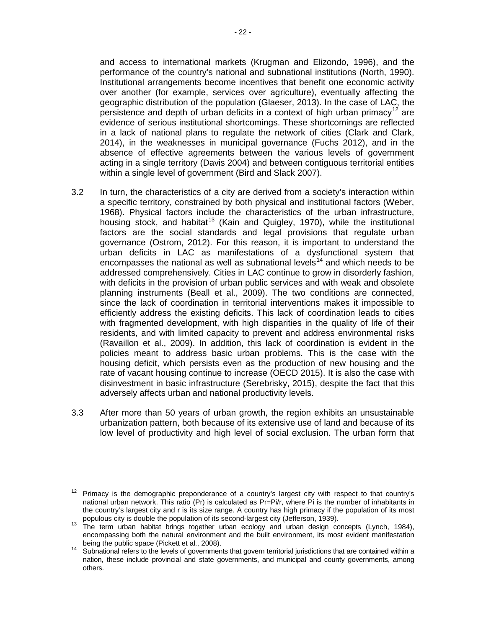and access to international markets (Krugman and Elizondo, 1996), and the performance of the country's national and subnational institutions (North, 1990). Institutional arrangements become incentives that benefit one economic activity over another (for example, services over agriculture), eventually affecting the geographic distribution of the population (Glaeser, 2013). In the case of LAC, the persistence and depth of urban deficits in a context of high urban primacy<sup>[12](#page-26-0)</sup> are evidence of serious institutional shortcomings. These shortcomings are reflected in a lack of national plans to regulate the network of cities (Clark and Clark, 2014), in the weaknesses in municipal governance (Fuchs 2012), and in the absence of effective agreements between the various levels of government acting in a single territory (Davis 2004) and between contiguous territorial entities within a single level of government (Bird and Slack 2007).

- 3.2 In turn, the characteristics of a city are derived from a society's interaction within a specific territory, constrained by both physical and institutional factors (Weber, 1968). Physical factors include the characteristics of the urban infrastructure, housing stock, and habitat<sup>[13](#page-26-1)</sup> (Kain and Quigley, 1970), while the institutional factors are the social standards and legal provisions that regulate urban governance (Ostrom, 2012). For this reason, it is important to understand the urban deficits in LAC as manifestations of a dysfunctional system that encompasses the national as well as subnational levels<sup>[14](#page-26-2)</sup> and which needs to be addressed comprehensively. Cities in LAC continue to grow in disorderly fashion, with deficits in the provision of urban public services and with weak and obsolete planning instruments (Beall et al., 2009). The two conditions are connected, since the lack of coordination in territorial interventions makes it impossible to efficiently address the existing deficits. This lack of coordination leads to cities with fragmented development, with high disparities in the quality of life of their residents, and with limited capacity to prevent and address environmental risks (Ravaillon et al., 2009). In addition, this lack of coordination is evident in the policies meant to address basic urban problems. This is the case with the housing deficit, which persists even as the production of new housing and the rate of vacant housing continue to increase (OECD 2015). It is also the case with disinvestment in basic infrastructure (Serebrisky, 2015), despite the fact that this adversely affects urban and national productivity levels.
- 3.3 After more than 50 years of urban growth, the region exhibits an unsustainable urbanization pattern, both because of its extensive use of land and because of its low level of productivity and high level of social exclusion. The urban form that

<span id="page-26-0"></span> $12$  Primacy is the demographic preponderance of a country's largest city with respect to that country's national urban network. This ratio (Pr) is calculated as Pr=Pi/r, where Pi is the number of inhabitants in the country's largest city and r is its size range. A country has high primacy if the population of its most populous city is double the population of its second-largest city (Jefferson, 1939).

<span id="page-26-1"></span>populous city is double the population of its second-largest city (Jefferson, 1999). 13 The term urban habitat brings together urban ecology and urban design concepts (Lynch, 1984), encompassing both the natural environment and the built environment, its most evident manifestation

<span id="page-26-2"></span>being the public space (Pickett et al., 2008).<br><sup>14</sup> Subnational refers to the levels of governments that govern territorial jurisdictions that are contained within a nation, these include provincial and state governments, and municipal and county governments, among others.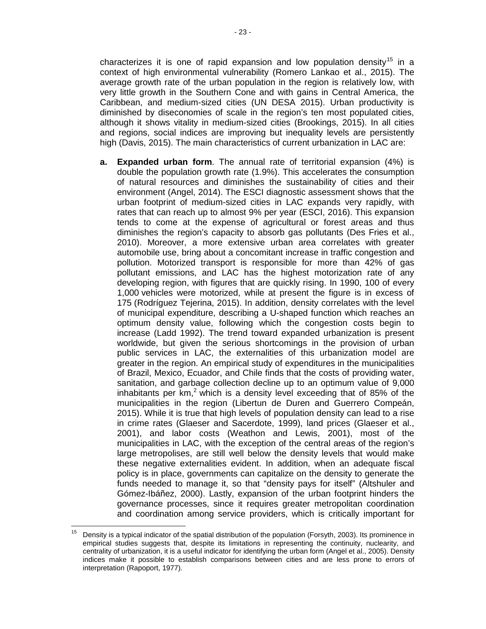characterizes it is one of rapid expansion and low population density<sup>[15](#page-27-0)</sup> in a context of high environmental vulnerability (Romero Lankao et al., 2015). The average growth rate of the urban population in the region is relatively low, with very little growth in the Southern Cone and with gains in Central America, the Caribbean, and medium-sized cities (UN DESA 2015). Urban productivity is diminished by diseconomies of scale in the region's ten most populated cities, although it shows vitality in medium-sized cities (Brookings, 2015). In all cities and regions, social indices are improving but inequality levels are persistently

high (Davis, 2015). The main characteristics of current urbanization in LAC are:

**a. Expanded urban form**. The annual rate of territorial expansion (4%) is double the population growth rate (1.9%). This accelerates the consumption of natural resources and diminishes the sustainability of cities and their environment (Angel, 2014). The ESCI diagnostic assessment shows that the urban footprint of medium-sized cities in LAC expands very rapidly, with rates that can reach up to almost 9% per year (ESCI, 2016). This expansion tends to come at the expense of agricultural or forest areas and thus diminishes the region's capacity to absorb gas pollutants (Des Fries et al., 2010). Moreover, a more extensive urban area correlates with greater automobile use, bring about a concomitant increase in traffic congestion and pollution. Motorized transport is responsible for more than 42% of gas pollutant emissions, and LAC has the highest motorization rate of any developing region, with figures that are quickly rising. In 1990, 100 of every 1,000 vehicles were motorized, while at present the figure is in excess of 175 (Rodríguez Tejerina, 2015). In addition, density correlates with the level of municipal expenditure, describing a U-shaped function which reaches an optimum density value, following which the congestion costs begin to increase (Ladd 1992). The trend toward expanded urbanization is present worldwide, but given the serious shortcomings in the provision of urban public services in LAC, the externalities of this urbanization model are greater in the region. An empirical study of expenditures in the municipalities of Brazil, Mexico, Ecuador, and Chile finds that the costs of providing water, sanitation, and garbage collection decline up to an optimum value of 9,000 inhabitants per  $km<sup>2</sup>$  which is a density level exceeding that of 85% of the municipalities in the region (Libertun de Duren and Guerrero Compeán, 2015). While it is true that high levels of population density can lead to a rise in crime rates (Glaeser and Sacerdote, 1999), land prices (Glaeser et al., 2001), and labor costs (Weathon and Lewis, 2001), most of the municipalities in LAC, with the exception of the central areas of the region's large metropolises, are still well below the density levels that would make these negative externalities evident. In addition, when an adequate fiscal policy is in place, governments can capitalize on the density to generate the funds needed to manage it, so that "density pays for itself" (Altshuler and Gómez-Ibáñez, 2000). Lastly, expansion of the urban footprint hinders the governance processes, since it requires greater metropolitan coordination and coordination among service providers, which is critically important for

<span id="page-27-0"></span><sup>15</sup> Density is a typical indicator of the spatial distribution of the population (Forsyth, 2003). Its prominence in empirical studies suggests that, despite its limitations in representing the continuity, nuclearity, and centrality of urbanization, it is a useful indicator for identifying the urban form (Angel et al., 2005). Density indices make it possible to establish comparisons between cities and are less prone to errors of interpretation (Rapoport, 1977).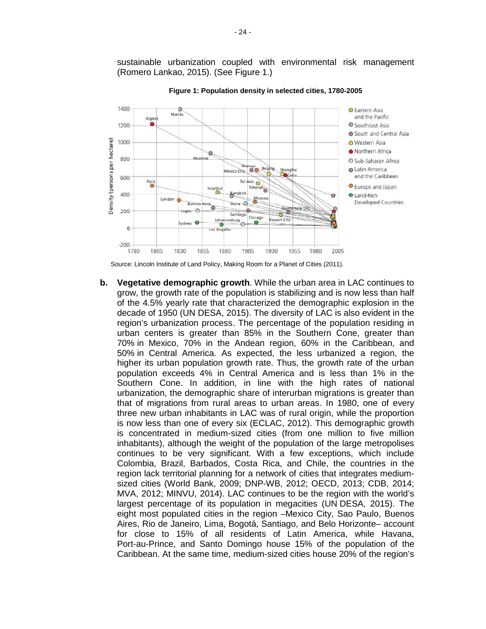sustainable urbanization coupled with environmental risk management (Romero Lankao, 2015). (See Figure 1.)



**Figure 1: Population density in selected cities, 1780-2005**

Source: Lincoln Institute of Land Policy, Making Room for a Planet of Cities (2011).

**b. Vegetative demographic growth**. While the urban area in LAC continues to grow, the growth rate of the population is stabilizing and is now less than half of the 4.5% yearly rate that characterized the demographic explosion in the decade of 1950 (UN DESA, 2015). The diversity of LAC is also evident in the region's urbanization process. The percentage of the population residing in urban centers is greater than 85% in the Southern Cone, greater than 70% in Mexico, 70% in the Andean region, 60% in the Caribbean, and 50% in Central America. As expected, the less urbanized a region, the higher its urban population growth rate. Thus, the growth rate of the urban population exceeds 4% in Central America and is less than 1% in the Southern Cone. In addition, in line with the high rates of national urbanization, the demographic share of interurban migrations is greater than that of migrations from rural areas to urban areas. In 1980, one of every three new urban inhabitants in LAC was of rural origin, while the proportion is now less than one of every six (ECLAC, 2012). This demographic growth is concentrated in medium-sized cities (from one million to five million inhabitants), although the weight of the population of the large metropolises continues to be very significant. With a few exceptions, which include Colombia, Brazil, Barbados, Costa Rica, and Chile, the countries in the region lack territorial planning for a network of cities that integrates mediumsized cities (World Bank, 2009; DNP-WB, 2012; OECD, 2013; CDB, 2014; MVA, 2012; MINVU, 2014). LAC continues to be the region with the world's largest percentage of its population in megacities (UN DESA, 2015). The eight most populated cities in the region –Mexico City, Sao Paulo, Buenos Aires, Rio de Janeiro, Lima, Bogotá, Santiago, and Belo Horizonte– account for close to 15% of all residents of Latin America, while Havana, Port-au-Prince, and Santo Domingo house 15% of the population of the Caribbean. At the same time, medium-sized cities house 20% of the region's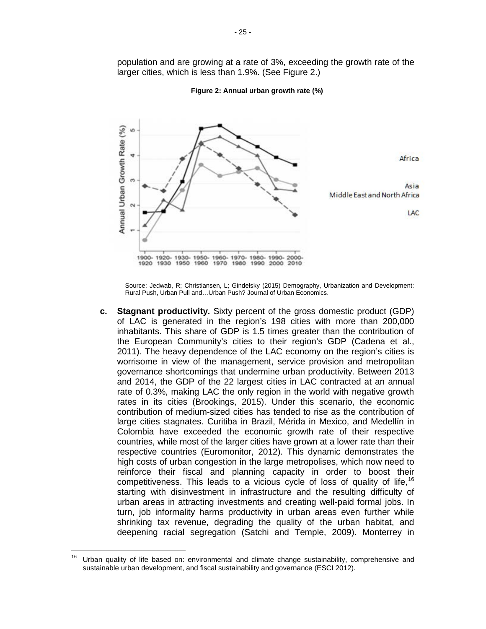Annual Urban Growth Rate (%) w è Africa Asia Middle East and North Africa  $\sim$ LAC 1920-1930-1950-1960-1970-1980-1990-2000 1900-

population and are growing at a rate of 3%, exceeding the growth rate of the larger cities, which is less than 1.9%. (See Figure 2.)

#### **Figure 2: Annual urban growth rate (%)**

Source: Jedwab, R; Christiansen, L; Gindelsky (2015) Demography, Urbanization and Development: Rural Push, Urban Pull and…Urban Push? Journal of Urban Economics.

2000

2010

1990

1920

1930

1950 1960

1970

1980

**c. Stagnant productivity.** Sixty percent of the gross domestic product (GDP) of LAC is generated in the region's 198 cities with more than 200,000 inhabitants. This share of GDP is 1.5 times greater than the contribution of the European Community's cities to their region's GDP (Cadena et al., 2011). The heavy dependence of the LAC economy on the region's cities is worrisome in view of the management, service provision and metropolitan governance shortcomings that undermine urban productivity. Between 2013 and 2014, the GDP of the 22 largest cities in LAC contracted at an annual rate of 0.3%, making LAC the only region in the world with negative growth rates in its cities (Brookings, 2015). Under this scenario, the economic contribution of medium-sized cities has tended to rise as the contribution of large cities stagnates. Curitiba in Brazil, Mérida in Mexico, and Medellín in Colombia have exceeded the economic growth rate of their respective countries, while most of the larger cities have grown at a lower rate than their respective countries (Euromonitor, 2012). This dynamic demonstrates the high costs of urban congestion in the large metropolises, which now need to reinforce their fiscal and planning capacity in order to boost their competitiveness. This leads to a vicious cycle of loss of quality of life,  $16$ starting with disinvestment in infrastructure and the resulting difficulty of urban areas in attracting investments and creating well-paid formal jobs. In turn, job informality harms productivity in urban areas even further while shrinking tax revenue, degrading the quality of the urban habitat, and deepening racial segregation (Satchi and Temple, 2009). Monterrey in

<span id="page-29-0"></span> $16$  Urban quality of life based on: environmental and climate change sustainability, comprehensive and sustainable urban development, and fiscal sustainability and governance (ESCI 2012).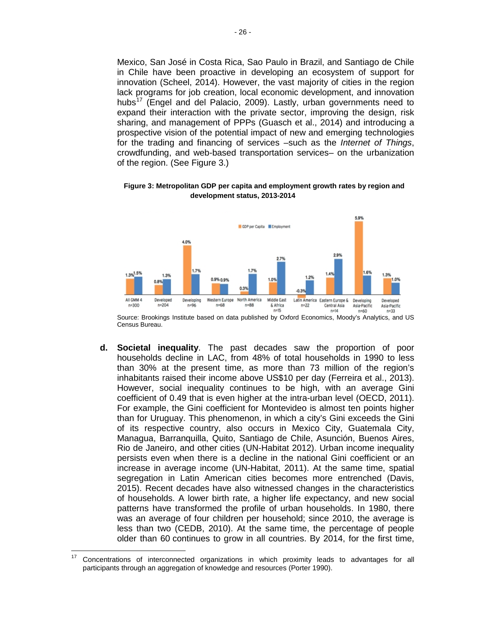Mexico, San José in Costa Rica, Sao Paulo in Brazil, and Santiago de Chile in Chile have been proactive in developing an ecosystem of support for innovation (Scheel, 2014). However, the vast majority of cities in the region lack programs for job creation, local economic development, and innovation hubs<sup>[17](#page-30-0)</sup> (Engel and del Palacio, 2009). Lastly, urban governments need to expand their interaction with the private sector, improving the design, risk sharing, and management of PPPs (Guasch et al., 2014) and introducing a prospective vision of the potential impact of new and emerging technologies for the trading and financing of services –such as the *Internet of Things*, crowdfunding, and web-based transportation services– on the urbanization of the region. (See Figure 3.)



**Figure 3: Metropolitan GDP per capita and employment growth rates by region and development status, 2013-2014**

Source: Brookings Institute based on data published by Oxford Economics, Moody's Analytics, and US Census Bureau.

**d. Societal inequality**. The past decades saw the proportion of poor households decline in LAC, from 48% of total households in 1990 to less than 30% at the present time, as more than 73 million of the region's inhabitants raised their income above US\$10 per day (Ferreira et al., 2013). However, social inequality continues to be high, with an average Gini coefficient of 0.49 that is even higher at the intra-urban level (OECD, 2011). For example, the Gini coefficient for Montevideo is almost ten points higher than for Uruguay. This phenomenon, in which a city's Gini exceeds the Gini of its respective country, also occurs in Mexico City, Guatemala City, Managua, Barranquilla, Quito, Santiago de Chile, Asunción, Buenos Aires, Rio de Janeiro, and other cities (UN-Habitat 2012). Urban income inequality persists even when there is a decline in the national Gini coefficient or an increase in average income (UN-Habitat, 2011). At the same time, spatial segregation in Latin American cities becomes more entrenched (Davis, 2015). Recent decades have also witnessed changes in the characteristics of households. A lower birth rate, a higher life expectancy, and new social patterns have transformed the profile of urban households. In 1980, there was an average of four children per household; since 2010, the average is less than two (CEDB, 2010). At the same time, the percentage of people older than 60 continues to grow in all countries. By 2014, for the first time,

<span id="page-30-0"></span> $17$  Concentrations of interconnected organizations in which proximity leads to advantages for all participants through an aggregation of knowledge and resources (Porter 1990).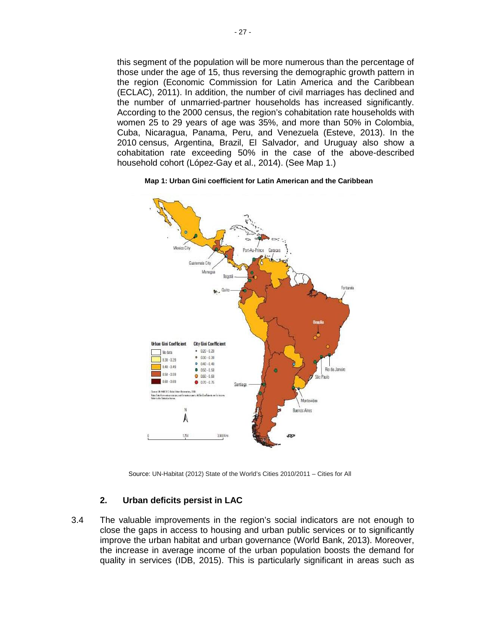this segment of the population will be more numerous than the percentage of those under the age of 15, thus reversing the demographic growth pattern in the region [\(Economic Commission for Latin America and the Caribbean](http://www.cepal.org/en) (ECLAC), 2011). In addition, the number of civil marriages has declined and the number of unmarried-partner households has increased significantly. According to the 2000 census, the region's cohabitation rate households with women 25 to 29 years of age was 35%, and more than 50% in Colombia, Cuba, Nicaragua, Panama, Peru, and Venezuela (Esteve, 2013). In the 2010 census, Argentina, Brazil, El Salvador, and Uruguay also show a cohabitation rate exceeding 50% in the case of the above-described household cohort (López-Gay et al., 2014). (See Map 1.)

#### **Map 1: Urban Gini coefficient for Latin American and the Caribbean**



Source: UN-Habitat (2012) State of the World's Cities 2010/2011 – Cities for All

### **2. Urban deficits persist in LAC**

3.4 The valuable improvements in the region's social indicators are not enough to close the gaps in access to housing and urban public services or to significantly improve the urban habitat and urban governance (World Bank, 2013). Moreover, the increase in average income of the urban population boosts the demand for quality in services (IDB, 2015). This is particularly significant in areas such as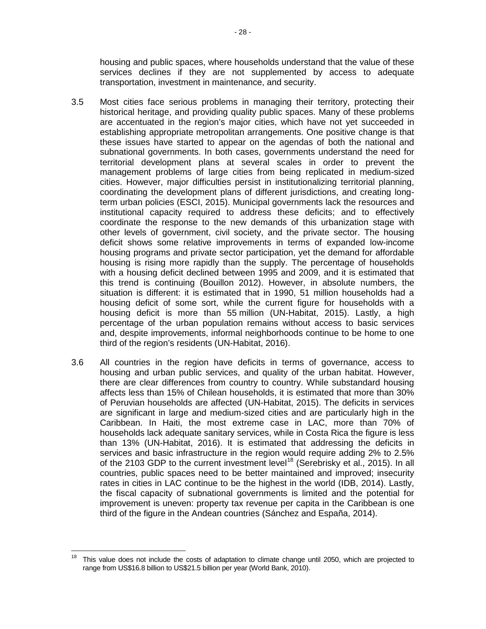housing and public spaces, where households understand that the value of these services declines if they are not supplemented by access to adequate transportation, investment in maintenance, and security.

- 3.5 Most cities face serious problems in managing their territory, protecting their historical heritage, and providing quality public spaces. Many of these problems are accentuated in the region's major cities, which have not yet succeeded in establishing appropriate metropolitan arrangements. One positive change is that these issues have started to appear on the agendas of both the national and subnational governments. In both cases, governments understand the need for territorial development plans at several scales in order to prevent the management problems of large cities from being replicated in medium-sized cities. However, major difficulties persist in institutionalizing territorial planning, coordinating the development plans of different jurisdictions, and creating longterm urban policies (ESCI, 2015). Municipal governments lack the resources and institutional capacity required to address these deficits; and to effectively coordinate the response to the new demands of this urbanization stage with other levels of government, civil society, and the private sector. The housing deficit shows some relative improvements in terms of expanded low-income housing programs and private sector participation, yet the demand for affordable housing is rising more rapidly than the supply. The percentage of households with a housing deficit declined between 1995 and 2009, and it is estimated that this trend is continuing (Bouillon 2012). However, in absolute numbers, the situation is different: it is estimated that in 1990, 51 million households had a housing deficit of some sort, while the current figure for households with a housing deficit is more than 55 million (UN-Habitat, 2015). Lastly, a high percentage of the urban population remains without access to basic services and, despite improvements, informal neighborhoods continue to be home to one third of the region's residents (UN-Habitat, 2016).
- 3.6 All countries in the region have deficits in terms of governance, access to housing and urban public services, and quality of the urban habitat. However, there are clear differences from country to country. While substandard housing affects less than 15% of Chilean households, it is estimated that more than 30% of Peruvian households are affected (UN-Habitat, 2015). The deficits in services are significant in large and medium-sized cities and are particularly high in the Caribbean. In Haiti, the most extreme case in LAC, more than 70% of households lack adequate sanitary services, while in Costa Rica the figure is less than 13% (UN-Habitat, 2016). It is estimated that addressing the deficits in services and basic infrastructure in the region would require adding 2% to 2.5% of the 2103 GDP to the current investment level<sup>[18](#page-32-0)</sup> (Serebrisky et al., 2015). In all countries, public spaces need to be better maintained and improved; insecurity rates in cities in LAC continue to be the highest in the world (IDB, 2014). Lastly, the fiscal capacity of subnational governments is limited and the potential for improvement is uneven: property tax revenue per capita in the Caribbean is one third of the figure in the Andean countries (Sánchez and España, 2014).

<span id="page-32-0"></span> $18$  This value does not include the costs of adaptation to climate change until 2050, which are projected to range from US\$16.8 billion to US\$21.5 billion per year (World Bank, 2010).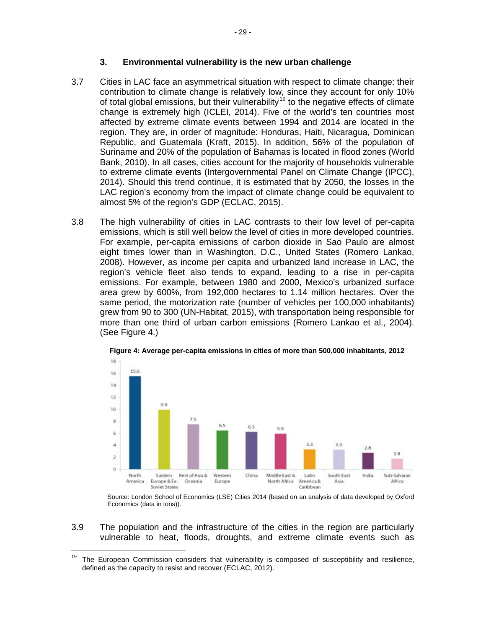#### **3. Environmental vulnerability is the new urban challenge**

- 3.7 Cities in LAC face an asymmetrical situation with respect to climate change: their contribution to climate change is relatively low, since they account for only 10% of total global emissions, but their vulnerability<sup>[19](#page-33-0)</sup> to the negative effects of climate change is extremely high (ICLEI, 2014). Five of the world's ten countries most affected by extreme climate events between 1994 and 2014 are located in the region. They are, in order of magnitude: Honduras, Haiti, Nicaragua, Dominican Republic, and Guatemala (Kraft, 2015). In addition, 56% of the population of Suriname and 20% of the population of Bahamas is located in flood zones (World Bank, 2010). In all cases, cities account for the majority of households vulnerable to extreme climate events (Intergovernmental Panel on Climate Change (IPCC), 2014). Should this trend continue, it is estimated that by 2050, the losses in the LAC region's economy from the impact of climate change could be equivalent to almost 5% of the region's GDP (ECLAC, 2015).
- 3.8 The high vulnerability of cities in LAC contrasts to their low level of per-capita emissions, which is still well below the level of cities in more developed countries. For example, per-capita emissions of carbon dioxide in Sao Paulo are almost eight times lower than in Washington, D.C., United States (Romero Lankao, 2008). However, as income per capita and urbanized land increase in LAC, the region's vehicle fleet also tends to expand, leading to a rise in per-capita emissions. For example, between 1980 and 2000, Mexico's urbanized surface area grew by 600%, from 192,000 hectares to 1.14 million hectares. Over the same period, the motorization rate (number of vehicles per 100,000 inhabitants) grew from 90 to 300 (UN-Habitat, 2015), with transportation being responsible for more than one third of urban carbon emissions (Romero Lankao et al., 2004). (See Figure 4.)



**Figure 4: Average per-capita emissions in cities of more than 500,000 inhabitants, 2012**

Source: London School of Economics (LSE) Cities 2014 (based on an analysis of data developed by Oxford Economics (data in tons)).

3.9 The population and the infrastructure of the cities in the region are particularly vulnerable to heat, floods, droughts, and extreme climate events such as

<span id="page-33-0"></span> $19$  The European Commission considers that vulnerability is composed of susceptibility and resilience, defined as the capacity to resist and recover (ECLAC, 2012).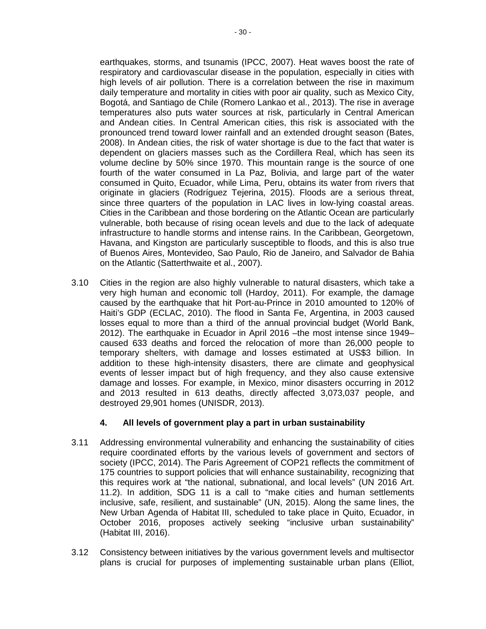earthquakes, storms, and tsunamis (IPCC, 2007). Heat waves boost the rate of respiratory and cardiovascular disease in the population, especially in cities with high levels of air pollution. There is a correlation between the rise in maximum daily temperature and mortality in cities with poor air quality, such as Mexico City, Bogotá, and Santiago de Chile (Romero Lankao et al., 2013). The rise in average temperatures also puts water sources at risk, particularly in Central American and Andean cities. In Central American cities, this risk is associated with the pronounced trend toward lower rainfall and an extended drought season (Bates, 2008). In Andean cities, the risk of water shortage is due to the fact that water is dependent on glaciers masses such as the Cordillera Real, which has seen its volume decline by 50% since 1970. This mountain range is the source of one fourth of the water consumed in La Paz, Bolivia, and large part of the water consumed in Quito, Ecuador, while Lima, Peru, obtains its water from rivers that originate in glaciers (Rodríguez Tejerina, 2015). Floods are a serious threat, since three quarters of the population in LAC lives in low-lying coastal areas. Cities in the Caribbean and those bordering on the Atlantic Ocean are particularly vulnerable, both because of rising ocean levels and due to the lack of adequate infrastructure to handle storms and intense rains. In the Caribbean, Georgetown, Havana, and Kingston are particularly susceptible to floods, and this is also true of Buenos Aires, Montevideo, Sao Paulo, Rio de Janeiro, and Salvador de Bahia

3.10 Cities in the region are also highly vulnerable to natural disasters, which take a very high human and economic toll (Hardoy, 2011). For example, the damage caused by the earthquake that hit Port-au-Prince in 2010 amounted to 120% of Haiti's GDP (ECLAC, 2010). The flood in Santa Fe, Argentina, in 2003 caused losses equal to more than a third of the annual provincial budget (World Bank, 2012). The earthquake in Ecuador in April 2016 –the most intense since 1949– caused 633 deaths and forced the relocation of more than 26,000 people to temporary shelters, with damage and losses estimated at US\$3 billion. In addition to these high-intensity disasters, there are climate and geophysical events of lesser impact but of high frequency, and they also cause extensive damage and losses. For example, in Mexico, minor disasters occurring in 2012 and 2013 resulted in 613 deaths, directly affected 3,073,037 people, and destroyed 29,901 homes (UNISDR, 2013).

on the Atlantic (Satterthwaite et al., 2007).

### **4. All levels of government play a part in urban sustainability**

- 3.11 Addressing environmental vulnerability and enhancing the sustainability of cities require coordinated efforts by the various levels of government and sectors of society (IPCC, 2014). The Paris Agreement of COP21 reflects the commitment of 175 countries to support policies that will enhance sustainability, recognizing that this requires work at "the national, subnational, and local levels" (UN 2016 Art. 11.2). In addition, SDG 11 is a call to "make cities and human settlements inclusive, safe, resilient, and sustainable" (UN, 2015). Along the same lines, the New Urban Agenda of Habitat III, scheduled to take place in Quito, Ecuador, in October 2016, proposes actively seeking "inclusive urban sustainability" (Habitat III, 2016).
- 3.12 Consistency between initiatives by the various government levels and multisector plans is crucial for purposes of implementing sustainable urban plans (Elliot,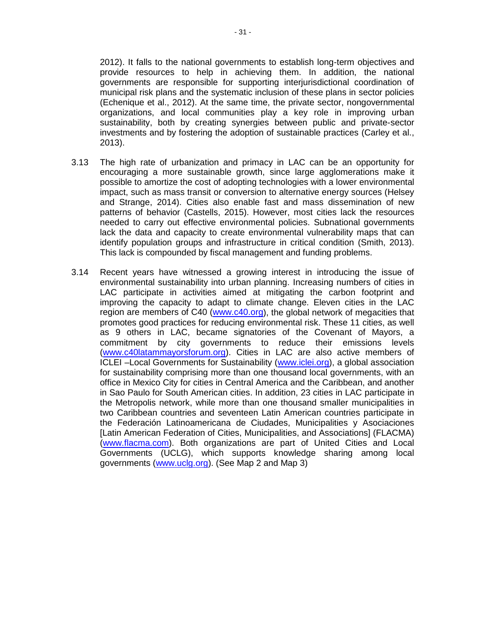2012). It falls to the national governments to establish long-term objectives and provide resources to help in achieving them. In addition, the national governments are responsible for supporting interjurisdictional coordination of municipal risk plans and the systematic inclusion of these plans in sector policies (Echenique et al., 2012). At the same time, the private sector, nongovernmental organizations, and local communities play a key role in improving urban sustainability, both by creating synergies between public and private-sector investments and by fostering the adoption of sustainable practices (Carley et al., 2013).

- 3.13 The high rate of urbanization and primacy in LAC can be an opportunity for encouraging a more sustainable growth, since large agglomerations make it possible to amortize the cost of adopting technologies with a lower environmental impact, such as mass transit or conversion to alternative energy sources (Helsey and Strange, 2014). Cities also enable fast and mass dissemination of new patterns of behavior (Castells, 2015). However, most cities lack the resources needed to carry out effective environmental policies. Subnational governments lack the data and capacity to create environmental vulnerability maps that can identify population groups and infrastructure in critical condition (Smith, 2013). This lack is compounded by fiscal management and funding problems.
- 3.14 Recent years have witnessed a growing interest in introducing the issue of environmental sustainability into urban planning. Increasing numbers of cities in LAC participate in activities aimed at mitigating the carbon footprint and improving the capacity to adapt to climate change. Eleven cities in the LAC region are members of C40 [\(www.c40.org\)](http://www.c40.org/), the global network of megacities that promotes good practices for reducing environmental risk. These 11 cities, as well as 9 others in LAC, became signatories of the Covenant of Mayors, a commitment by city governments to reduce their emissions levels [\(www.c40latammayorsforum.org\)](http://www.c40latammayorsforum.org/). Cities in LAC are also active members of ICLEI –Local Governments for Sustainability [\(www.iclei.org\)](http://www.iclei.org/), a global association for sustainability comprising more than one thousand local governments, with an office in Mexico City for cities in Central America and the Caribbean, and another in Sao Paulo for South American cities. In addition, 23 cities in LAC participate in the Metropolis network, while more than one thousand smaller municipalities in two Caribbean countries and seventeen Latin American countries participate in the Federación Latinoamericana de Ciudades, Municipalities y Asociaciones [Latin American Federation of Cities, Municipalities, and Associations] (FLACMA) [\(www.flacma.com\)](http://www.flacma.com/). Both organizations are part of United Cities and Local Governments (UCLG), which supports knowledge sharing among local governments [\(www.uclg.org\)](http://www.uclg.org/). (See Map 2 and Map 3)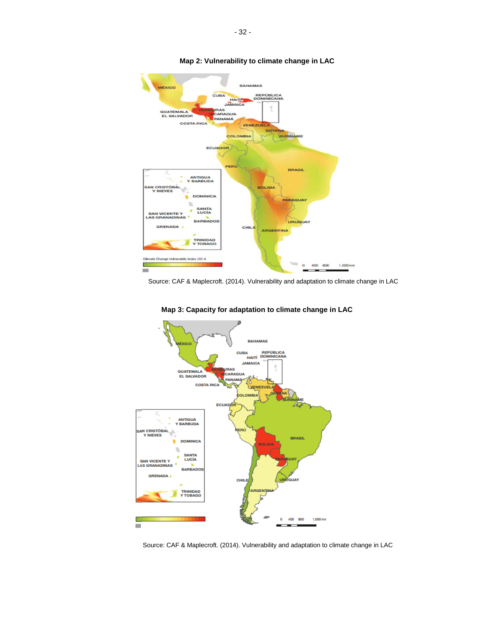

#### **Map 2: Vulnerability to climate change in LAC**

Source: CAF & Maplecroft. (2014). Vulnerability and adaptation to climate change in LAC



**Map 3: Capacity for adaptation to climate change in LAC**

Source: CAF & Maplecroft. (2014). Vulnerability and adaptation to climate change in LAC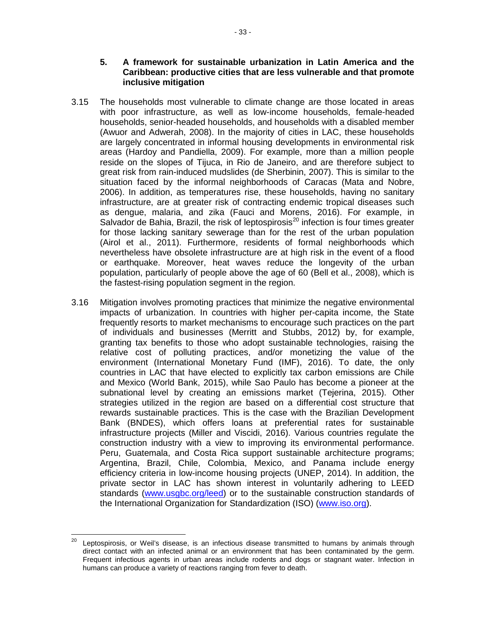- 3.15 The households most vulnerable to climate change are those located in areas with poor infrastructure, as well as low-income households, female-headed households, senior-headed households, and households with a disabled member (Awuor and Adwerah, 2008). In the majority of cities in LAC, these households are largely concentrated in informal housing developments in environmental risk areas (Hardoy and Pandiella, 2009). For example, more than a million people reside on the slopes of Tijuca, in Rio de Janeiro, and are therefore subject to great risk from rain-induced mudslides (de Sherbinin, 2007). This is similar to the situation faced by the informal neighborhoods of Caracas (Mata and Nobre, 2006). In addition, as temperatures rise, these households, having no sanitary infrastructure, are at greater risk of contracting endemic tropical diseases such as dengue, malaria, and zika (Fauci and Morens, 2016). For example, in Salvador de Bahia, Brazil, the risk of leptospirosis<sup>[20](#page-37-0)</sup> infection is four times greater for those lacking sanitary sewerage than for the rest of the urban population (Airol et al., 2011). Furthermore, residents of formal neighborhoods which nevertheless have obsolete infrastructure are at high risk in the event of a flood or earthquake. Moreover, heat waves reduce the longevity of the urban population, particularly of people above the age of 60 (Bell et al., 2008), which is the fastest-rising population segment in the region.
- 3.16 Mitigation involves promoting practices that minimize the negative environmental impacts of urbanization. In countries with higher per-capita income, the State frequently resorts to market mechanisms to encourage such practices on the part of individuals and businesses (Merritt and Stubbs, 2012) by, for example, granting tax benefits to those who adopt sustainable technologies, raising the relative cost of polluting practices, and/or monetizing the value of the environment (International Monetary Fund (IMF), 2016). To date, the only countries in LAC that have elected to explicitly tax carbon emissions are Chile and Mexico (World Bank, 2015), while Sao Paulo has become a pioneer at the subnational level by creating an emissions market (Tejerina, 2015). Other strategies utilized in the region are based on a differential cost structure that rewards sustainable practices. This is the case with the Brazilian Development Bank (BNDES), which offers loans at preferential rates for sustainable infrastructure projects (Miller and Viscidi, 2016). Various countries regulate the construction industry with a view to improving its environmental performance. Peru, Guatemala, and Costa Rica support sustainable architecture programs; Argentina, Brazil, Chile, Colombia, Mexico, and Panama include energy efficiency criteria in low-income housing projects (UNEP, 2014). In addition, the private sector in LAC has shown interest in voluntarily adhering to LEED standards [\(www.usgbc.org/leed\)](http://www.usgbc.org/leed) or to the sustainable construction standards of the International Organization for Standardization (ISO) [\(www.iso.org\)](http://www.iso.org/iso/sustainable_development).

<span id="page-37-0"></span> $20$  Leptospirosis, or Weil's disease, is an infectious disease transmitted to humans by animals through [direct contact with an infected animal or an environment that has been contaminated by the germ.](http://www.msal.gob.ar/index.php/programas-y-planes/111-leptospirosis) Frequent infectious agents in urban areas include rodents and dogs or stagnant water. Infection in humans can produce a variety of reactions ranging from fever to death.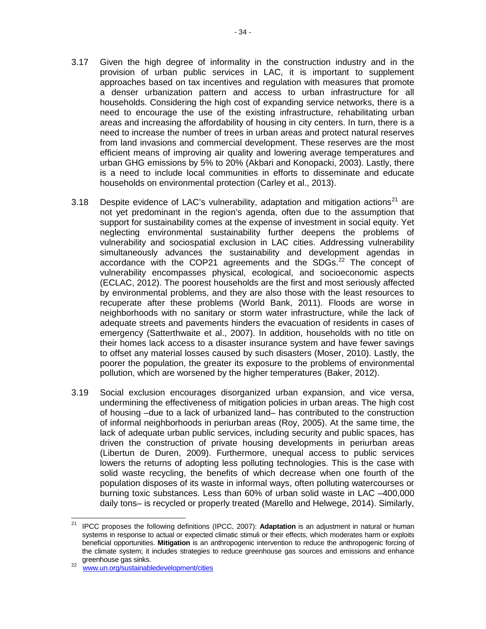- 3.17 Given the high degree of informality in the construction industry and in the provision of urban public services in LAC, it is important to supplement approaches based on tax incentives and regulation with measures that promote a denser urbanization pattern and access to urban infrastructure for all households. Considering the high cost of expanding service networks, there is a need to encourage the use of the existing infrastructure, rehabilitating urban areas and increasing the affordability of housing in city centers. In turn, there is a need to increase the number of trees in urban areas and protect natural reserves from land invasions and commercial development. These reserves are the most efficient means of improving air quality and lowering average temperatures and urban GHG emissions by 5% to 20% (Akbari and Konopacki, 2003). Lastly, there is a need to include local communities in efforts to disseminate and educate households on environmental protection (Carley et al., 2013).
- 3.18 Despite evidence of LAC's vulnerability, adaptation and mitigation actions<sup>[21](#page-38-0)</sup> are not yet predominant in the region's agenda, often due to the assumption that support for sustainability comes at the expense of investment in social equity. Yet neglecting environmental sustainability further deepens the problems of vulnerability and sociospatial exclusion in LAC cities. Addressing vulnerability simultaneously advances the sustainability and development agendas in accordance with the COP21 agreements and the SDGs. $^{22}$  $^{22}$  $^{22}$  The concept of vulnerability encompasses physical, ecological, and socioeconomic aspects (ECLAC, 2012). The poorest households are the first and most seriously affected by environmental problems, and they are also those with the least resources to recuperate after these problems (World Bank, 2011). Floods are worse in neighborhoods with no sanitary or storm water infrastructure, while the lack of adequate streets and pavements hinders the evacuation of residents in cases of emergency (Satterthwaite et al., 2007). In addition, households with no title on their homes lack access to a disaster insurance system and have fewer savings to offset any material losses caused by such disasters (Moser, 2010). Lastly, the poorer the population, the greater its exposure to the problems of environmental pollution, which are worsened by the higher temperatures (Baker, 2012).
- 3.19 Social exclusion encourages disorganized urban expansion, and vice versa, undermining the effectiveness of mitigation policies in urban areas. The high cost of housing –due to a lack of urbanized land– has contributed to the construction of informal neighborhoods in periurban areas (Roy, 2005). At the same time, the lack of adequate urban public services, including security and public spaces, has driven the construction of private housing developments in periurban areas (Libertun de Duren, 2009). Furthermore, unequal access to public services lowers the returns of adopting less polluting technologies. This is the case with solid waste recycling, the benefits of which decrease when one fourth of the population disposes of its waste in informal ways, often polluting watercourses or burning toxic substances. Less than 60% of urban solid waste in LAC –400,000 daily tons– is recycled or properly treated (Marello and Helwege, 2014). Similarly,

<span id="page-38-0"></span><sup>21</sup> IPCC proposes the following definitions (IPCC, 2007): **Adaptation** is an adjustment in natural or human systems in response to actual or expected climatic stimuli or their effects, which moderates harm or exploits beneficial opportunities. **Mitigation** is an anthropogenic intervention to reduce the anthropogenic forcing of the climate system; it includes strategies to reduce greenhouse gas sources and emissions and enhance greenhouse gas sinks.

<span id="page-38-1"></span>greenhouse gas sinks. <sup>22</sup> [www.un.org/sustainabledevelopment/cities](http://www.un.org/sustainabledevelopment/cities)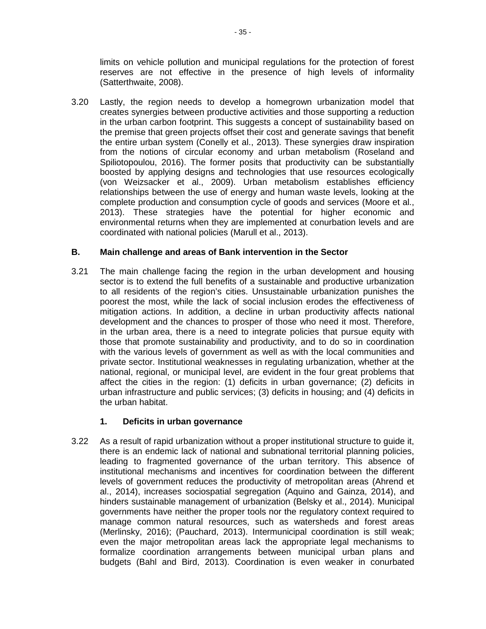limits on vehicle pollution and municipal regulations for the protection of forest reserves are not effective in the presence of high levels of informality (Satterthwaite, 2008).

3.20 Lastly, the region needs to develop a homegrown urbanization model that creates synergies between productive activities and those supporting a reduction in the urban carbon footprint. This suggests a concept of sustainability based on the premise that green projects offset their cost and generate savings that benefit the entire urban system (Conelly et al., 2013). These synergies draw inspiration from the notions of circular economy and urban metabolism (Roseland and Spiliotopoulou, 2016). The former posits that productivity can be substantially boosted by applying designs and technologies that use resources ecologically (von Weizsacker et al., 2009). Urban metabolism establishes efficiency relationships between the use of energy and human waste levels, looking at the complete production and consumption cycle of goods and services (Moore et al., 2013). These strategies have the potential for higher economic and environmental returns when they are implemented at conurbation levels and are coordinated with national policies (Marull et al., 2013).

#### **B. Main challenge and areas of Bank intervention in the Sector**

3.21 The main challenge facing the region in the urban development and housing sector is to extend the full benefits of a sustainable and productive urbanization to all residents of the region's cities. Unsustainable urbanization punishes the poorest the most, while the lack of social inclusion erodes the effectiveness of mitigation actions. In addition, a decline in urban productivity affects national development and the chances to prosper of those who need it most. Therefore, in the urban area, there is a need to integrate policies that pursue equity with those that promote sustainability and productivity, and to do so in coordination with the various levels of government as well as with the local communities and private sector. Institutional weaknesses in regulating urbanization, whether at the national, regional, or municipal level, are evident in the four great problems that affect the cities in the region: (1) deficits in urban governance; (2) deficits in urban infrastructure and public services; (3) deficits in housing; and (4) deficits in the urban habitat.

#### **1. Deficits in urban governance**

3.22 As a result of rapid urbanization without a proper institutional structure to guide it, there is an endemic lack of national and subnational territorial planning policies, leading to fragmented governance of the urban territory. This absence of institutional mechanisms and incentives for coordination between the different levels of government reduces the productivity of metropolitan areas (Ahrend et al., 2014), increases sociospatial segregation (Aquino and Gainza, 2014), and hinders sustainable management of urbanization (Belsky et al., 2014). Municipal governments have neither the proper tools nor the regulatory context required to manage common natural resources, such as watersheds and forest areas (Merlinsky, 2016); (Pauchard, 2013). Intermunicipal coordination is still weak; even the major metropolitan areas lack the appropriate legal mechanisms to formalize coordination arrangements between municipal urban plans and budgets (Bahl and Bird, 2013). Coordination is even weaker in conurbated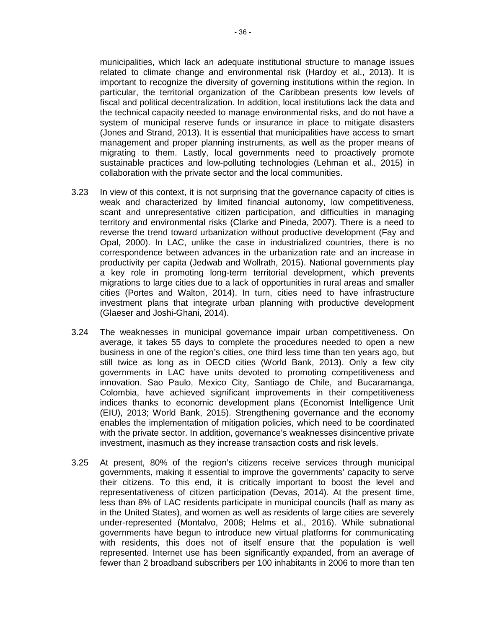municipalities, which lack an adequate institutional structure to manage issues related to climate change and environmental risk (Hardoy et al., 2013). It is important to recognize the diversity of governing institutions within the region. In particular, the territorial organization of the Caribbean presents low levels of fiscal and political decentralization. In addition, local institutions lack the data and the technical capacity needed to manage environmental risks, and do not have a system of municipal reserve funds or insurance in place to mitigate disasters (Jones and Strand, 2013). It is essential that municipalities have access to smart management and proper planning instruments, as well as the proper means of migrating to them. Lastly, local governments need to proactively promote sustainable practices and low-polluting technologies (Lehman et al., 2015) in collaboration with the private sector and the local communities.

- 3.23 In view of this context, it is not surprising that the governance capacity of cities is weak and characterized by limited financial autonomy, low competitiveness, scant and unrepresentative citizen participation, and difficulties in managing territory and environmental risks (Clarke and Pineda, 2007). There is a need to reverse the trend toward urbanization without productive development (Fay and Opal, 2000). In LAC, unlike the case in industrialized countries, there is no correspondence between advances in the urbanization rate and an increase in productivity per capita (Jedwab and Wollrath, 2015). National governments play a key role in promoting long-term territorial development, which prevents migrations to large cities due to a lack of opportunities in rural areas and smaller cities (Portes and Walton, 2014). In turn, cities need to have infrastructure investment plans that integrate urban planning with productive development (Glaeser and Joshi-Ghani, 2014).
- 3.24 The weaknesses in municipal governance impair urban competitiveness. On average, it takes 55 days to complete the procedures needed to open a new business in one of the region's cities, one third less time than ten years ago, but still twice as long as in OECD cities (World Bank, 2013). Only a few city governments in LAC have units devoted to promoting competitiveness and innovation. Sao Paulo, Mexico City, Santiago de Chile, and Bucaramanga, Colombia, have achieved significant improvements in their competitiveness indices thanks to economic development plans (Economist Intelligence Unit (EIU), 2013; World Bank, 2015). Strengthening governance and the economy enables the implementation of mitigation policies, which need to be coordinated with the private sector. In addition, governance's weaknesses disincentive private investment, inasmuch as they increase transaction costs and risk levels.
- 3.25 At present, 80% of the region's citizens receive services through municipal governments, making it essential to improve the governments' capacity to serve their citizens. To this end, it is critically important to boost the level and representativeness of citizen participation (Devas, 2014). At the present time, less than 8% of LAC residents participate in municipal councils (half as many as in the United States), and women as well as residents of large cities are severely under-represented (Montalvo, 2008; Helms et al., 2016). While subnational governments have begun to introduce new virtual platforms for communicating with residents, this does not of itself ensure that the population is well represented. Internet use has been significantly expanded, from an average of fewer than 2 broadband subscribers per 100 inhabitants in 2006 to more than ten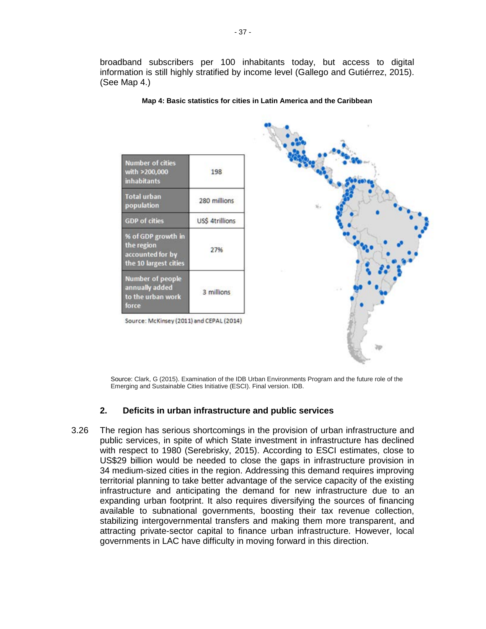broadband subscribers per 100 inhabitants today, but access to digital information is still highly stratified by income level (Gallego and Gutiérrez, 2015). (See Map 4.)

| <b>Number of cities</b><br>with >200,000<br><i>inhabitants</i>                | 198             |
|-------------------------------------------------------------------------------|-----------------|
| <b>Total urban</b><br>population                                              | 280 millions    |
| <b>GDP</b> of cities                                                          | US\$ 4trillions |
| % of GDP growth in<br>the region<br>accounted for by<br>the 10 largest cities | 27%             |
| <b>Number of people</b><br>annually added<br>to the urban work<br>force       | 3 millions      |

**Map 4: Basic statistics for cities in Latin America and the Caribbean**



Source: Clark, G (2015). Examination of the IDB Urban Environments Program and the future role of the Emerging and Sustainable Cities Initiative (ESCI). Final version. IDB.

### **2. Deficits in urban infrastructure and public services**

3.26 The region has serious shortcomings in the provision of urban infrastructure and public services, in spite of which State investment in infrastructure has declined with respect to 1980 (Serebrisky, 2015). According to ESCI estimates, close to US\$29 billion would be needed to close the gaps in infrastructure provision in 34 medium-sized cities in the region. Addressing this demand requires improving territorial planning to take better advantage of the service capacity of the existing infrastructure and anticipating the demand for new infrastructure due to an expanding urban footprint. It also requires diversifying the sources of financing available to subnational governments, boosting their tax revenue collection, stabilizing intergovernmental transfers and making them more transparent, and attracting private-sector capital to finance urban infrastructure. However, local governments in LAC have difficulty in moving forward in this direction.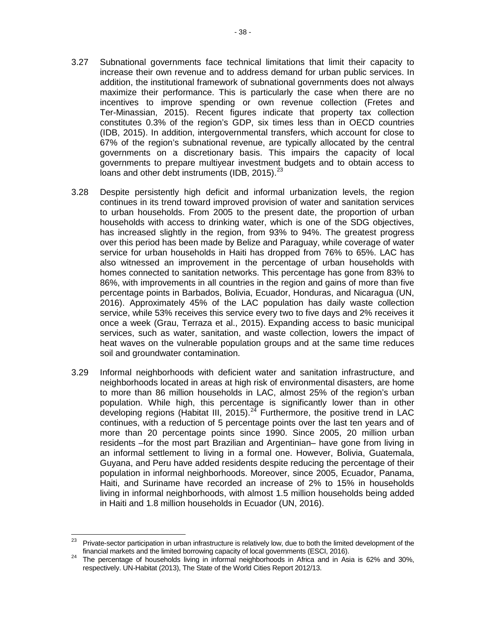- 3.27 Subnational governments face technical limitations that limit their capacity to increase their own revenue and to address demand for urban public services. In addition, the institutional framework of subnational governments does not always maximize their performance. This is particularly the case when there are no incentives to improve spending or own revenue collection (Fretes and Ter-Minassian, 2015). Recent figures indicate that property tax collection constitutes 0.3% of the region's GDP, six times less than in OECD countries (IDB, 2015). In addition, intergovernmental transfers, which account for close to 67% of the region's subnational revenue, are typically allocated by the central governments on a discretionary basis. This impairs the capacity of local governments to prepare multiyear investment budgets and to obtain access to loans and other debt instruments (IDB, 2015).<sup>[23](#page-42-0)</sup>
- 3.28 Despite persistently high deficit and informal urbanization levels, the region continues in its trend toward improved provision of water and sanitation services to urban households. From 2005 to the present date, the proportion of urban households with access to drinking water, which is one of the SDG objectives, has increased slightly in the region, from 93% to 94%. The greatest progress over this period has been made by Belize and Paraguay, while coverage of water service for urban households in Haiti has dropped from 76% to 65%. LAC has also witnessed an improvement in the percentage of urban households with homes connected to sanitation networks. This percentage has gone from 83% to 86%, with improvements in all countries in the region and gains of more than five percentage points in Barbados, Bolivia, Ecuador, Honduras, and Nicaragua (UN, 2016). Approximately 45% of the LAC population has daily waste collection service, while 53% receives this service every two to five days and 2% receives it once a week (Grau, Terraza et al., 2015). Expanding access to basic municipal services, such as water, sanitation, and waste collection, lowers the impact of heat waves on the vulnerable population groups and at the same time reduces soil and groundwater contamination.
- 3.29 Informal neighborhoods with deficient water and sanitation infrastructure, and neighborhoods located in areas at high risk of environmental disasters, are home to more than 86 million households in LAC, almost 25% of the region's urban population. While high, this percentage is significantly lower than in other developing regions (Habitat III, 2015).<sup>[24](#page-42-1)</sup> Furthermore, the positive trend in LAC continues, with a reduction of 5 percentage points over the last ten years and of more than 20 percentage points since 1990. Since 2005, 20 million urban residents –for the most part Brazilian and Argentinian– have gone from living in an informal settlement to living in a formal one. However, Bolivia, Guatemala, Guyana, and Peru have added residents despite reducing the percentage of their population in informal neighborhoods. Moreover, since 2005, Ecuador, Panama, Haiti, and Suriname have recorded an increase of 2% to 15% in households living in informal neighborhoods, with almost 1.5 million households being added in Haiti and 1.8 million households in Ecuador (UN, 2016).

<span id="page-42-0"></span> $23$  Private-sector participation in urban infrastructure is relatively low, due to both the limited development of the

<span id="page-42-1"></span>financial markets and the limited borrowing capacity of local governments (ESCI, 2016). <sup>24</sup> The percentage of households living in informal neighborhoods in Africa and in Asia is 62% and 30%, respectively. UN-Habitat (2013), The State of the World Cities Report 2012/13.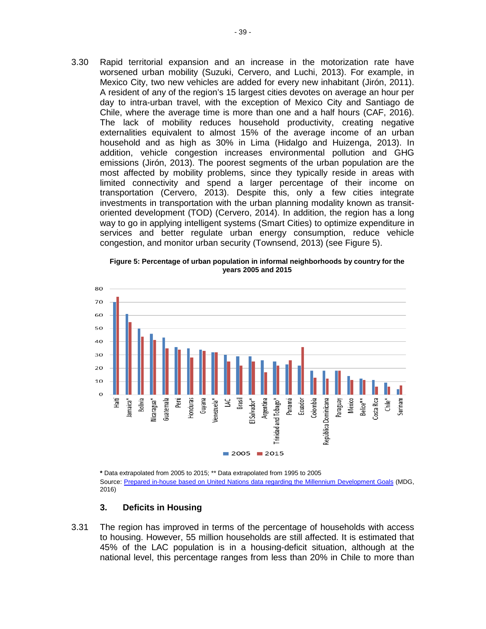3.30 Rapid territorial expansion and an increase in the motorization rate have worsened urban mobility (Suzuki, Cervero, and Luchi, 2013). For example, in Mexico City, two new vehicles are added for every new inhabitant (Jirón, 2011). A resident of any of the region's 15 largest cities devotes on average an hour per day to intra-urban travel, with the exception of Mexico City and Santiago de Chile, where the average time is more than one and a half hours (CAF, 2016). The lack of mobility reduces household productivity, creating negative externalities equivalent to almost 15% of the average income of an urban household and as high as 30% in Lima (Hidalgo and Huizenga, 2013). In addition, vehicle congestion increases environmental pollution and GHG emissions (Jirón, 2013). The poorest segments of the urban population are the most affected by mobility problems, since they typically reside in areas with limited connectivity and spend a larger percentage of their income on transportation (Cervero, 2013). Despite this, only a few cities integrate investments in transportation with the urban planning modality known as transitoriented development (TOD) (Cervero, 2014). In addition, the region has a long way to go in applying intelligent systems (Smart Cities) to optimize expenditure in services and better regulate urban energy consumption, reduce vehicle congestion, and monitor urban security (Townsend, 2013) (see Figure 5).

**Figure 5: Percentage of urban population in informal neighborhoods by country for the years 2005 and 2015**



**\*** Data extrapolated from 2005 to 2015; \*\* Data extrapolated from 1995 to 2005 Source: [Prepared in-house based on United Nations data regarding the Millennium Development Goals](http://data.un.org/) (MDG, 2016)

#### **3. Deficits in Housing**

3.31 The region has improved in terms of the percentage of households with access to housing. However, 55 million households are still affected. It is estimated that 45% of the LAC population is in a housing-deficit situation, although at the national level, this percentage ranges from less than 20% in Chile to more than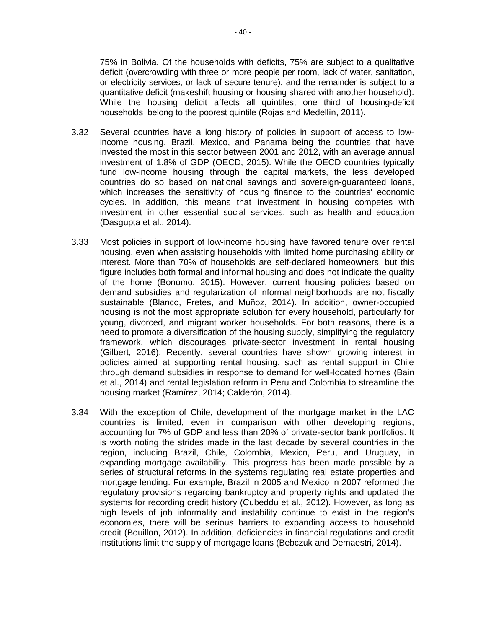75% in Bolivia. Of the households with deficits, 75% are subject to a qualitative deficit (overcrowding with three or more people per room, lack of water, sanitation, or electricity services, or lack of secure tenure), and the remainder is subject to a quantitative deficit (makeshift housing or housing shared with another household). While the housing deficit affects all quintiles, one third of housing-deficit households belong to the poorest quintile (Rojas and Medellín, 2011).

- 3.32 Several countries have a long history of policies in support of access to lowincome housing, Brazil, Mexico, and Panama being the countries that have invested the most in this sector between 2001 and 2012, with an average annual investment of 1.8% of GDP (OECD, 2015). While the OECD countries typically fund low-income housing through the capital markets, the less developed countries do so based on national savings and sovereign-guaranteed loans, which increases the sensitivity of housing finance to the countries' economic cycles. In addition, this means that investment in housing competes with investment in other essential social services, such as health and education (Dasgupta et al., 2014).
- 3.33 Most policies in support of low-income housing have favored tenure over rental housing, even when assisting households with limited home purchasing ability or interest. More than 70% of households are self-declared homeowners, but this figure includes both formal and informal housing and does not indicate the quality of the home (Bonomo, 2015). However, current housing policies based on demand subsidies and regularization of informal neighborhoods are not fiscally sustainable (Blanco, Fretes, and Muñoz, 2014). In addition, owner-occupied housing is not the most appropriate solution for every household, particularly for young, divorced, and migrant worker households. For both reasons, there is a need to promote a diversification of the housing supply, simplifying the regulatory framework, which discourages private-sector investment in rental housing (Gilbert, 2016). Recently, several countries have shown growing interest in policies aimed at supporting rental housing, such as rental support in Chile through demand subsidies in response to demand for well-located homes (Bain et al., 2014) and rental legislation reform in Peru and Colombia to streamline the housing market (Ramírez, 2014; Calderón, 2014).
- 3.34 With the exception of Chile, development of the mortgage market in the LAC countries is limited, even in comparison with other developing regions, accounting for 7% of GDP and less than 20% of private-sector bank portfolios. It is worth noting the strides made in the last decade by several countries in the region, including Brazil, Chile, Colombia, Mexico, Peru, and Uruguay, in expanding mortgage availability. This progress has been made possible by a series of structural reforms in the systems regulating real estate properties and mortgage lending. For example, Brazil in 2005 and Mexico in 2007 reformed the regulatory provisions regarding bankruptcy and property rights and updated the systems for recording credit history (Cubeddu et al., 2012). However, as long as high levels of job informality and instability continue to exist in the region's economies, there will be serious barriers to expanding access to household credit (Bouillon, 2012). In addition, deficiencies in financial regulations and credit institutions limit the supply of mortgage loans (Bebczuk and Demaestri, 2014).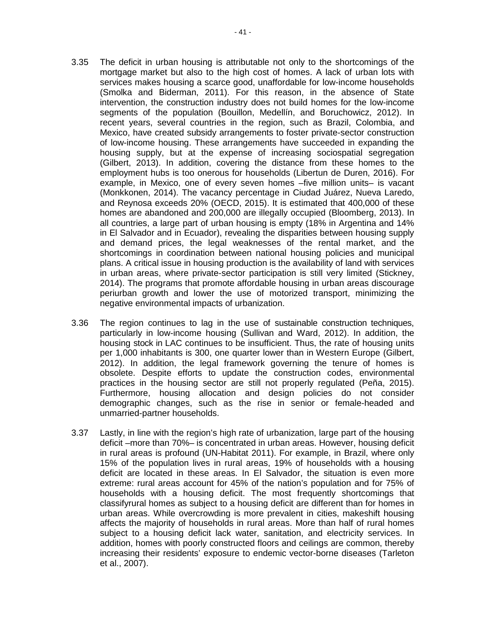- 3.35 The deficit in urban housing is attributable not only to the shortcomings of the mortgage market but also to the high cost of homes. A lack of urban lots with services makes housing a scarce good, unaffordable for low-income households (Smolka and Biderman, 2011). For this reason, in the absence of State intervention, the construction industry does not build homes for the low-income segments of the population (Bouillon, Medellín, and Boruchowicz, 2012). In recent years, several countries in the region, such as Brazil, Colombia, and Mexico, have created subsidy arrangements to foster private-sector construction of low-income housing. These arrangements have succeeded in expanding the housing supply, but at the expense of increasing sociospatial segregation (Gilbert, 2013). In addition, covering the distance from these homes to the employment hubs is too onerous for households (Libertun de Duren, 2016). For example, in Mexico, one of every seven homes –five million units– is vacant (Monkkonen, 2014). The vacancy percentage in Ciudad Juárez, Nueva Laredo, and Reynosa exceeds 20% (OECD, 2015). It is estimated that 400,000 of these homes are abandoned and 200,000 are illegally occupied (Bloomberg, 2013). In all countries, a large part of urban housing is empty (18% in Argentina and 14% in El Salvador and in Ecuador), revealing the disparities between housing supply and demand prices, the legal weaknesses of the rental market, and the shortcomings in coordination between national housing policies and municipal plans. A critical issue in housing production is the availability of land with services in urban areas, where private-sector participation is still very limited (Stickney, 2014). The programs that promote affordable housing in urban areas discourage periurban growth and lower the use of motorized transport, minimizing the negative environmental impacts of urbanization.
- 3.36 The region continues to lag in the use of sustainable construction techniques, particularly in low-income housing (Sullivan and Ward, 2012). In addition, the housing stock in LAC continues to be insufficient. Thus, the rate of housing units per 1,000 inhabitants is 300, one quarter lower than in Western Europe (Gilbert, 2012). In addition, the legal framework governing the tenure of homes is obsolete. Despite efforts to update the construction codes, environmental practices in the housing sector are still not properly regulated (Peña, 2015). Furthermore, housing allocation and design policies do not consider demographic changes, such as the rise in senior or female-headed and unmarried-partner households.
- 3.37 Lastly, in line with the region's high rate of urbanization, large part of the housing deficit –more than 70%– is concentrated in urban areas. However, housing deficit in rural areas is profound (UN-Habitat 2011). For example, in Brazil, where only 15% of the population lives in rural areas, 19% of households with a housing deficit are located in these areas. In El Salvador, the situation is even more extreme: rural areas account for 45% of the nation's population and for 75% of households with a housing deficit. The most frequently shortcomings that classifyrural homes as subject to a housing deficit are different than for homes in urban areas. While overcrowding is more prevalent in cities, makeshift housing affects the majority of households in rural areas. More than half of rural homes subject to a housing deficit lack water, sanitation, and electricity services. In addition, homes with poorly constructed floors and ceilings are common, thereby increasing their residents' exposure to endemic vector-borne diseases (Tarleton et al., 2007).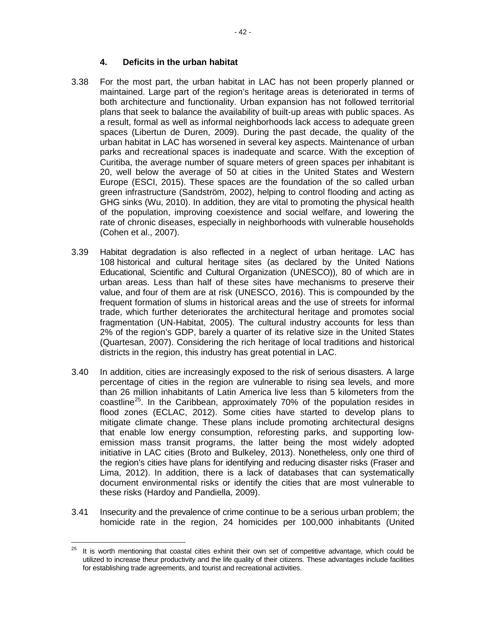### **4. Deficits in the urban habitat**

- 3.38 For the most part, the urban habitat in LAC has not been properly planned or maintained. Large part of the region's heritage areas is deteriorated in terms of both architecture and functionality. Urban expansion has not followed territorial plans that seek to balance the availability of built-up areas with public spaces. As a result, formal as well as informal neighborhoods lack access to adequate green spaces (Libertun de Duren, 2009). During the past decade, the quality of the urban habitat in LAC has worsened in several key aspects. Maintenance of urban parks and recreational spaces is inadequate and scarce. With the exception of Curitiba, the average number of square meters of green spaces per inhabitant is 20, well below the average of 50 at cities in the United States and Western Europe (ESCI, 2015). These spaces are the foundation of the so called urban green infrastructure (Sandström, 2002), helping to control flooding and acting as GHG sinks (Wu, 2010). In addition, they are vital to promoting the physical health of the population, improving coexistence and social welfare, and lowering the rate of chronic diseases, especially in neighborhoods with vulnerable households (Cohen et al., 2007).
- 3.39 Habitat degradation is also reflected in a neglect of urban heritage. LAC has 108 historical and cultural heritage sites (as declared by the United Nations Educational, Scientific and Cultural Organization (UNESCO)), 80 of which are in urban areas. Less than half of these sites have mechanisms to preserve their value, and four of them are at risk (UNESCO, 2016). This is compounded by the frequent formation of slums in historical areas and the use of streets for informal trade, which further deteriorates the architectural heritage and promotes social fragmentation (UN-Habitat, 2005). The cultural industry accounts for less than 2% of the region's GDP, barely a quarter of its relative size in the United States (Quartesan, 2007). Considering the rich heritage of local traditions and historical districts in the region, this industry has great potential in LAC.
- 3.40 In addition, cities are increasingly exposed to the risk of serious disasters. A large percentage of cities in the region are vulnerable to rising sea levels, and more than 26 million inhabitants of Latin America live less than 5 kilometers from the coastline<sup>25</sup>. In the Caribbean, approximately 70% of the population resides in flood zones (ECLAC, 2012). Some cities have started to develop plans to mitigate climate change. These plans include promoting architectural designs that enable low energy consumption, reforesting parks, and supporting lowemission mass transit programs, the latter being the most widely adopted initiative in LAC cities (Broto and Bulkeley, 2013). Nonetheless, only one third of the region's cities have plans for identifying and reducing disaster risks (Fraser and Lima, 2012). In addition, there is a lack of databases that can systematically document environmental risks or identify the cities that are most vulnerable to these risks (Hardoy and Pandiella, 2009).
- 3.41 Insecurity and the prevalence of crime continue to be a serious urban problem; the homicide rate in the region, 24 homicides per 100,000 inhabitants (United

<span id="page-46-0"></span> $25$  It is worth mentioning that coastal cities exhinit their own set of competitive advantage, which could be utilized to increase theur productivity and the life quality of their citizens. These advantages include facilities for establishing trade agreements, and tourist and recreational activities.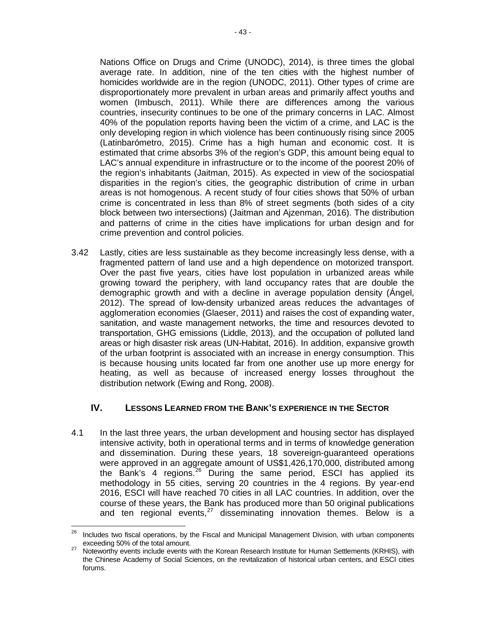- 43 -

average rate. In addition, nine of the ten cities with the highest number of homicides worldwide are in the region (UNODC, 2011). Other types of crime are disproportionately more prevalent in urban areas and primarily affect youths and women (Imbusch, 2011). While there are differences among the various countries, insecurity continues to be one of the primary concerns in LAC. Almost 40% of the population reports having been the victim of a crime, and LAC is the only developing region in which violence has been continuously rising since 2005 (Latinbarómetro, 2015). Crime has a high human and economic cost. It is estimated that crime absorbs 3% of the region's GDP, this amount being equal to LAC's annual expenditure in infrastructure or to the income of the poorest 20% of the region's inhabitants (Jaitman, 2015). As expected in view of the sociospatial disparities in the region's cities, the geographic distribution of crime in urban areas is not homogenous. A recent study of four cities shows that 50% of urban crime is concentrated in less than 8% of street segments (both sides of a city block between two intersections) (Jaitman and Ajzenman, 2016). The distribution and patterns of crime in the cities have implications for urban design and for crime prevention and control policies.

3.42 Lastly, cities are less sustainable as they become increasingly less dense, with a fragmented pattern of land use and a high dependence on motorized transport. Over the past five years, cities have lost population in urbanized areas while growing toward the periphery, with land occupancy rates that are double the demographic growth and with a decline in average population density (Ángel, 2012). The spread of low-density urbanized areas reduces the advantages of agglomeration economies (Glaeser, 2011) and raises the cost of expanding water, sanitation, and waste management networks, the time and resources devoted to transportation, GHG emissions (Liddle, 2013), and the occupation of polluted land areas or high disaster risk areas (UN-Habitat, 2016). In addition, expansive growth of the urban footprint is associated with an increase in energy consumption. This is because housing units located far from one another use up more energy for heating, as well as because of increased energy losses throughout the distribution network (Ewing and Rong, 2008).

# **IV. LESSONS LEARNED FROM THE BANK'S EXPERIENCE IN THE SECTOR**

4.1 In the last three years, the urban development and housing sector has displayed intensive activity, both in operational terms and in terms of knowledge generation and dissemination. During these years, 18 sovereign-guaranteed operations were approved in an aggregate amount of US\$1,426,170,000, distributed among the Bank's 4 regions.<sup>[26](#page-47-0)</sup> During the same period, ESCI has applied its methodology in 55 cities, serving 20 countries in the 4 regions. By year-end 2016, ESCI will have reached 70 cities in all LAC countries. In addition, over the course of these years, the Bank has produced more than 50 original publications and ten regional events, $27$  disseminating innovation themes. Below is a

<span id="page-47-0"></span><sup>&</sup>lt;sup>26</sup> Includes two fiscal operations, by the Fiscal and Municipal Management Division, with urban components exceeding 50% of the total amount.<br>Noteworthy events include events with the Korean Research Institute for Human Settlements (KRHIS), with

<span id="page-47-1"></span>the Chinese Academy of Social Sciences, on the revitalization of historical urban centers, and ESCI cities forums.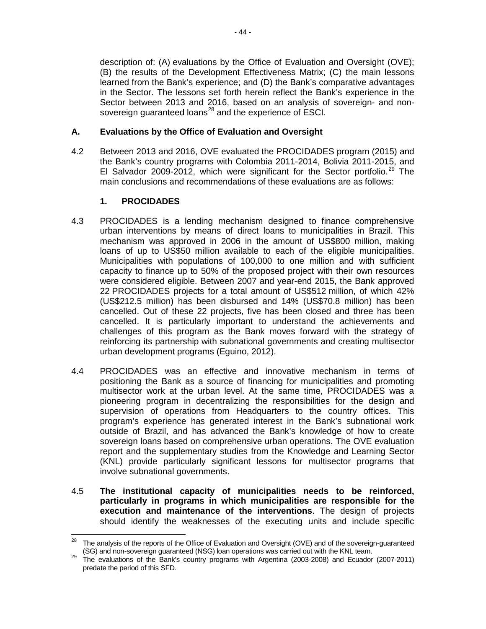description of: (A) evaluations by the Office of Evaluation and Oversight (OVE); (B) the results of the Development Effectiveness Matrix; (C) the main lessons learned from the Bank's experience; and (D) the Bank's comparative advantages in the Sector. The lessons set forth herein reflect the Bank's experience in the Sector between 2013 and 2016, based on an analysis of sovereign- and nonsovereign guaranteed loans $^{28}$  $^{28}$  $^{28}$  and the experience of ESCI.

### **A. Evaluations by the Office of Evaluation and Oversight**

4.2 Between 2013 and 2016, OVE evaluated the PROCIDADES program (2015) and the Bank's country programs with Colombia 2011-2014, Bolivia 2011-2015, and El Salvador 2009-2012, which were significant for the Sector portfolio.<sup>[29](#page-48-1)</sup> The main conclusions and recommendations of these evaluations are as follows:

#### **1. PROCIDADES**

- 4.3 PROCIDADES is a lending mechanism designed to finance comprehensive urban interventions by means of direct loans to municipalities in Brazil. This mechanism was approved in 2006 in the amount of US\$800 million, making loans of up to US\$50 million available to each of the eligible municipalities. Municipalities with populations of 100,000 to one million and with sufficient capacity to finance up to 50% of the proposed project with their own resources were considered eligible. Between 2007 and year-end 2015, the Bank approved 22 PROCIDADES projects for a total amount of US\$512 million, of which 42% (US\$212.5 million) has been disbursed and 14% (US\$70.8 million) has been cancelled. Out of these 22 projects, five has been closed and three has been cancelled. It is particularly important to understand the achievements and challenges of this program as the Bank moves forward with the strategy of reinforcing its partnership with subnational governments and creating multisector urban development programs (Eguino, 2012).
- 4.4 PROCIDADES was an effective and innovative mechanism in terms of positioning the Bank as a source of financing for municipalities and promoting multisector work at the urban level. At the same time, PROCIDADES was a pioneering program in decentralizing the responsibilities for the design and supervision of operations from Headquarters to the country offices. This program's experience has generated interest in the Bank's subnational work outside of Brazil, and has advanced the Bank's knowledge of how to create sovereign loans based on comprehensive urban operations. The OVE evaluation report and the supplementary studies from the Knowledge and Learning Sector (KNL) provide particularly significant lessons for multisector programs that involve subnational governments.
- 4.5 **The institutional capacity of municipalities needs to be reinforced, particularly in programs in which municipalities are responsible for the execution and maintenance of the interventions**. The design of projects should identify the weaknesses of the executing units and include specific

<span id="page-48-0"></span><sup>&</sup>lt;sup>28</sup> The analysis of the reports of the Office of Evaluation and Oversight (OVE) and of the sovereign-guaranteed (SG) and non-sovereign guaranteed (NSG) loan operations was carried out with the KNL team.

<span id="page-48-1"></span> $\frac{29}{2}$  The evaluations of the Bank's country programs with Argentina (2003-2008) and Ecuador (2007-2011) predate the period of this SFD.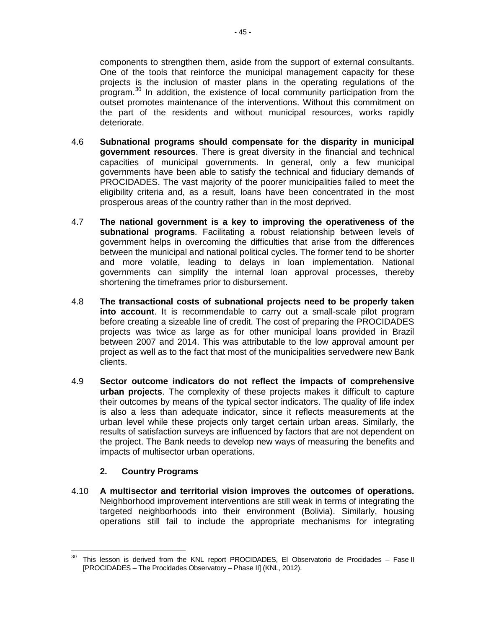components to strengthen them, aside from the support of external consultants. One of the tools that reinforce the municipal management capacity for these projects is the inclusion of master plans in the operating regulations of the program.<sup>[30](#page-49-0)</sup> In addition, the existence of local community participation from the outset promotes maintenance of the interventions. Without this commitment on the part of the residents and without municipal resources, works rapidly deteriorate.

- 4.6 **Subnational programs should compensate for the disparity in municipal government resources**. There is great diversity in the financial and technical capacities of municipal governments. In general, only a few municipal governments have been able to satisfy the technical and fiduciary demands of PROCIDADES. The vast majority of the poorer municipalities failed to meet the eligibility criteria and, as a result, loans have been concentrated in the most prosperous areas of the country rather than in the most deprived.
- 4.7 **The national government is a key to improving the operativeness of the subnational programs**. Facilitating a robust relationship between levels of government helps in overcoming the difficulties that arise from the differences between the municipal and national political cycles. The former tend to be shorter and more volatile, leading to delays in loan implementation. National governments can simplify the internal loan approval processes, thereby shortening the timeframes prior to disbursement.
- 4.8 **The transactional costs of subnational projects need to be properly taken into account**. It is recommendable to carry out a small-scale pilot program before creating a sizeable line of credit. The cost of preparing the PROCIDADES projects was twice as large as for other municipal loans provided in Brazil between 2007 and 2014. This was attributable to the low approval amount per project as well as to the fact that most of the municipalities servedwere new Bank clients.
- 4.9 **Sector outcome indicators do not reflect the impacts of comprehensive urban projects**. The complexity of these projects makes it difficult to capture their outcomes by means of the typical sector indicators. The quality of life index is also a less than adequate indicator, since it reflects measurements at the urban level while these projects only target certain urban areas. Similarly, the results of satisfaction surveys are influenced by factors that are not dependent on the project. The Bank needs to develop new ways of measuring the benefits and impacts of multisector urban operations.

# **2. Country Programs**

4.10 **A multisector and territorial vision improves the outcomes of operations.** Neighborhood improvement interventions are still weak in terms of integrating the targeted neighborhoods into their environment (Bolivia). Similarly, housing operations still fail to include the appropriate mechanisms for integrating

<span id="page-49-0"></span> $30$  This lesson is derived from the KNL report PROCIDADES, El Observatorio de Procidades – Fase II [PROCIDADES – The Procidades Observatory – Phase II] (KNL, 2012).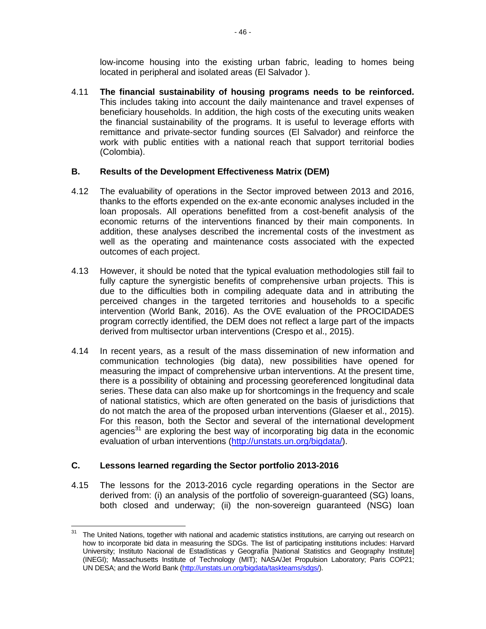low-income housing into the existing urban fabric, leading to homes being located in peripheral and isolated areas (El Salvador ).

4.11 **The financial sustainability of housing programs needs to be reinforced.** This includes taking into account the daily maintenance and travel expenses of beneficiary households. In addition, the high costs of the executing units weaken the financial sustainability of the programs. It is useful to leverage efforts with remittance and private-sector funding sources (El Salvador) and reinforce the work with public entities with a national reach that support territorial bodies (Colombia).

#### **B. Results of the Development Effectiveness Matrix (DEM)**

- 4.12 The evaluability of operations in the Sector improved between 2013 and 2016, thanks to the efforts expended on the ex-ante economic analyses included in the loan proposals. All operations benefitted from a cost-benefit analysis of the economic returns of the interventions financed by their main components. In addition, these analyses described the incremental costs of the investment as well as the operating and maintenance costs associated with the expected outcomes of each project.
- 4.13 However, it should be noted that the typical evaluation methodologies still fail to fully capture the synergistic benefits of comprehensive urban projects. This is due to the difficulties both in compiling adequate data and in attributing the perceived changes in the targeted territories and households to a specific intervention (World Bank, 2016). As the OVE evaluation of the PROCIDADES program correctly identified, the DEM does not reflect a large part of the impacts derived from multisector urban interventions (Crespo et al., 2015).
- 4.14 In recent years, as a result of the mass dissemination of new information and communication technologies (big data), new possibilities have opened for measuring the impact of comprehensive urban interventions. At the present time, there is a possibility of obtaining and processing georeferenced longitudinal data series. These data can also make up for shortcomings in the frequency and scale of national statistics, which are often generated on the basis of jurisdictions that do not match the area of the proposed urban interventions (Glaeser et al., 2015). For this reason, both the Sector and several of the international development agencies<sup>[31](#page-50-0)</sup> are exploring the best way of incorporating big data in the economic evaluation of urban interventions [\(http://unstats.un.org/bigdata/\)](http://unstats.un.org/bigdata/).

# **C. Lessons learned regarding the Sector portfolio 2013-2016**

4.15 The lessons for the 2013-2016 cycle regarding operations in the Sector are derived from: (i) an analysis of the portfolio of sovereign-guaranteed (SG) loans, both closed and underway; (ii) the non-sovereign guaranteed (NSG) loan

<span id="page-50-0"></span>The United Nations, together with national and academic statistics institutions, are carrying out research on how to incorporate bid data in measuring the SDGs. The list of participating institutions includes: Harvard University; Instituto Nacional de Estadísticas y Geografía [National Statistics and Geography Institute] (INEGI); Massachusetts Institute of Technology (MIT); NASA/Jet Propulsion Laboratory; Paris COP21; UN DESA; and the World Bank [\(http://unstats.un.org/bigdata/taskteams/sdgs/\)](http://unstats.un.org/bigdata/taskteams/sdgs/).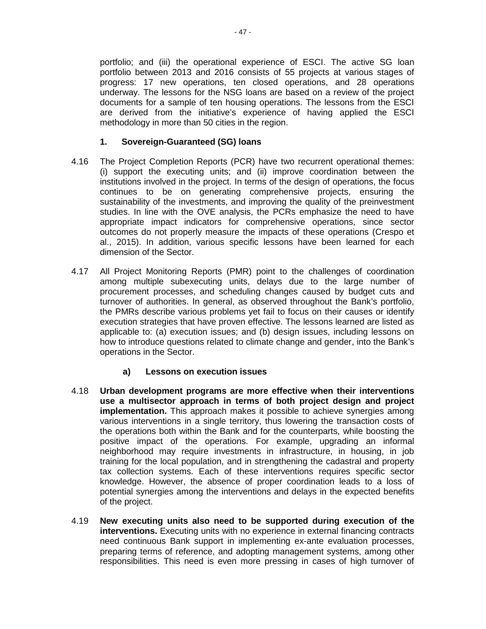portfolio; and (iii) the operational experience of ESCI. The active SG loan portfolio between 2013 and 2016 consists of 55 projects at various stages of progress: 17 new operations, ten closed operations, and 28 operations underway. The lessons for the NSG loans are based on a review of the project documents for a sample of ten housing operations. The lessons from the ESCI are derived from the initiative's experience of having applied the ESCI methodology in more than 50 cities in the region.

# **1. Sovereign-Guaranteed (SG) loans**

- 4.16 The Project Completion Reports (PCR) have two recurrent operational themes: (i) support the executing units; and (ii) improve coordination between the institutions involved in the project. In terms of the design of operations, the focus continues to be on generating comprehensive projects, ensuring the sustainability of the investments, and improving the quality of the preinvestment studies. In line with the OVE analysis, the PCRs emphasize the need to have appropriate impact indicators for comprehensive operations, since sector outcomes do not properly measure the impacts of these operations (Crespo et al., 2015). In addition, various specific lessons have been learned for each dimension of the Sector.
- 4.17 All Project Monitoring Reports (PMR) point to the challenges of coordination among multiple subexecuting units, delays due to the large number of procurement processes, and scheduling changes caused by budget cuts and turnover of authorities. In general, as observed throughout the Bank's portfolio, the PMRs describe various problems yet fail to focus on their causes or identify execution strategies that have proven effective. The lessons learned are listed as applicable to: (a) execution issues; and (b) design issues, including lessons on how to introduce questions related to climate change and gender, into the Bank's operations in the Sector.

# **a) Lessons on execution issues**

- 4.18 **Urban development programs are more effective when their interventions use a multisector approach in terms of both project design and project implementation.** This approach makes it possible to achieve synergies among various interventions in a single territory, thus lowering the transaction costs of the operations both within the Bank and for the counterparts, while boosting the positive impact of the operations. For example, upgrading an informal neighborhood may require investments in infrastructure, in housing, in job training for the local population, and in strengthening the cadastral and property tax collection systems. Each of these interventions requires specific sector knowledge. However, the absence of proper coordination leads to a loss of potential synergies among the interventions and delays in the expected benefits of the project.
- 4.19 **New executing units also need to be supported during execution of the interventions.** Executing units with no experience in external financing contracts need continuous Bank support in implementing ex-ante evaluation processes, preparing terms of reference, and adopting management systems, among other responsibilities. This need is even more pressing in cases of high turnover of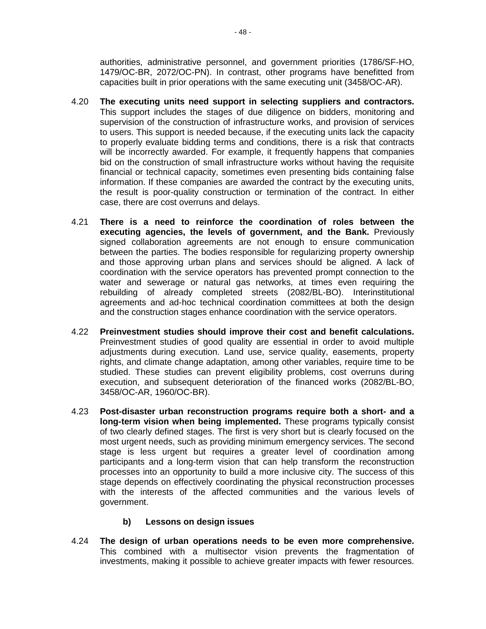authorities, administrative personnel, and government priorities (1786/SF-HO, 1479/OC-BR, 2072/OC-PN). In contrast, other programs have benefitted from capacities built in prior operations with the same executing unit (3458/OC-AR).

- 4.20 **The executing units need support in selecting suppliers and contractors.** This support includes the stages of due diligence on bidders, monitoring and supervision of the construction of infrastructure works, and provision of services to users. This support is needed because, if the executing units lack the capacity to properly evaluate bidding terms and conditions, there is a risk that contracts will be incorrectly awarded. For example, it frequently happens that companies bid on the construction of small infrastructure works without having the requisite financial or technical capacity, sometimes even presenting bids containing false information. If these companies are awarded the contract by the executing units, the result is poor-quality construction or termination of the contract. In either case, there are cost overruns and delays.
- 4.21 **There is a need to reinforce the coordination of roles between the executing agencies, the levels of government, and the Bank.** Previously signed collaboration agreements are not enough to ensure communication between the parties. The bodies responsible for regularizing property ownership and those approving urban plans and services should be aligned. A lack of coordination with the service operators has prevented prompt connection to the water and sewerage or natural gas networks, at times even requiring the rebuilding of already completed streets (2082/BL-BO). Interinstitutional agreements and ad-hoc technical coordination committees at both the design and the construction stages enhance coordination with the service operators.
- 4.22 **Preinvestment studies should improve their cost and benefit calculations.**  Preinvestment studies of good quality are essential in order to avoid multiple adjustments during execution. Land use, service quality, easements, property rights, and climate change adaptation, among other variables, require time to be studied. These studies can prevent eligibility problems, cost overruns during execution, and subsequent deterioration of the financed works (2082/BL-BO, 3458/OC-AR, 1960/OC-BR).
- 4.23 **Post-disaster urban reconstruction programs require both a short- and a long-term vision when being implemented.** These programs typically consist of two clearly defined stages. The first is very short but is clearly focused on the most urgent needs, such as providing minimum emergency services. The second stage is less urgent but requires a greater level of coordination among participants and a long-term vision that can help transform the reconstruction processes into an opportunity to build a more inclusive city. The success of this stage depends on effectively coordinating the physical reconstruction processes with the interests of the affected communities and the various levels of government.

# **b) Lessons on design issues**

4.24 **The design of urban operations needs to be even more comprehensive.** This combined with a multisector vision prevents the fragmentation of investments, making it possible to achieve greater impacts with fewer resources.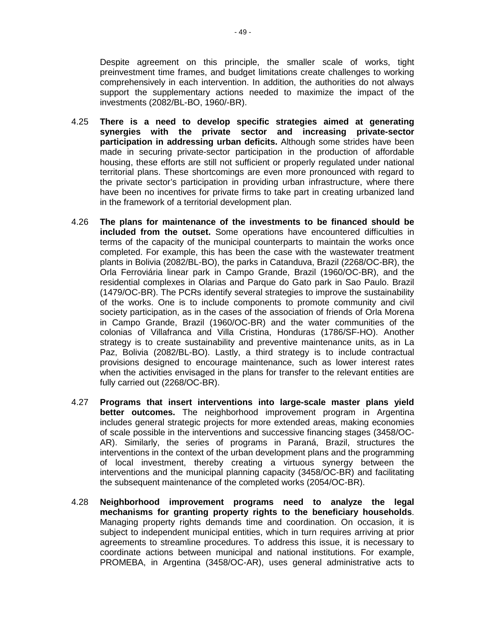Despite agreement on this principle, the smaller scale of works, tight preinvestment time frames, and budget limitations create challenges to working comprehensively in each intervention. In addition, the authorities do not always support the supplementary actions needed to maximize the impact of the investments (2082/BL-BO, 1960/-BR).

- 4.25 **There is a need to develop specific strategies aimed at generating synergies with the private sector and increasing private-sector participation in addressing urban deficits.** Although some strides have been made in securing private-sector participation in the production of affordable housing, these efforts are still not sufficient or properly regulated under national territorial plans. These shortcomings are even more pronounced with regard to the private sector's participation in providing urban infrastructure, where there have been no incentives for private firms to take part in creating urbanized land in the framework of a territorial development plan.
- 4.26 **The plans for maintenance of the investments to be financed should be included from the outset.** Some operations have encountered difficulties in terms of the capacity of the municipal counterparts to maintain the works once completed. For example, this has been the case with the wastewater treatment plants in Bolivia (2082/BL-BO), the parks in Catanduva, Brazil (2268/OC-BR), the Orla Ferroviária linear park in Campo Grande, Brazil (1960/OC-BR), and the residential complexes in Olarias and Parque do Gato park in Sao Paulo. Brazil (1479/OC-BR). The PCRs identify several strategies to improve the sustainability of the works. One is to include components to promote community and civil society participation, as in the cases of the association of friends of Orla Morena in Campo Grande, Brazil (1960/OC-BR) and the water communities of the colonias of Villafranca and Villa Cristina, Honduras (1786/SF-HO). Another strategy is to create sustainability and preventive maintenance units, as in La Paz, Bolivia (2082/BL-BO). Lastly, a third strategy is to include contractual provisions designed to encourage maintenance, such as lower interest rates when the activities envisaged in the plans for transfer to the relevant entities are fully carried out (2268/OC-BR).
- 4.27 **Programs that insert interventions into large-scale master plans yield better outcomes.** The neighborhood improvement program in Argentina includes general strategic projects for more extended areas, making economies of scale possible in the interventions and successive financing stages (3458/OC-AR). Similarly, the series of programs in Paraná, Brazil, structures the interventions in the context of the urban development plans and the programming of local investment, thereby creating a virtuous synergy between the interventions and the municipal planning capacity (3458/OC-BR) and facilitating the subsequent maintenance of the completed works (2054/OC-BR).
- 4.28 **Neighborhood improvement programs need to analyze the legal mechanisms for granting property rights to the beneficiary households**. Managing property rights demands time and coordination. On occasion, it is subject to independent municipal entities, which in turn requires arriving at prior agreements to streamline procedures. To address this issue, it is necessary to coordinate actions between municipal and national institutions. For example, PROMEBA, in Argentina (3458/OC-AR), uses general administrative acts to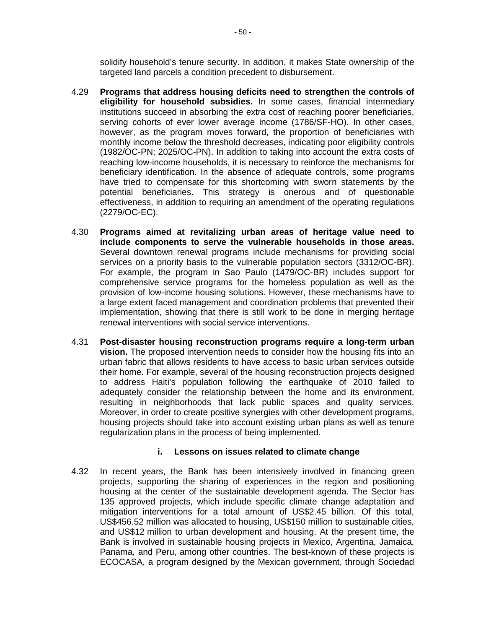solidify household's tenure security. In addition, it makes State ownership of the targeted land parcels a condition precedent to disbursement.

- 4.29 **Programs that address housing deficits need to strengthen the controls of eligibility for household subsidies.** In some cases, financial intermediary institutions succeed in absorbing the extra cost of reaching poorer beneficiaries, serving cohorts of ever lower average income (1786/SF-HO). In other cases, however, as the program moves forward, the proportion of beneficiaries with monthly income below the threshold decreases, indicating poor eligibility controls (1982/OC-PN; 2025/OC-PN). In addition to taking into account the extra costs of reaching low-income households, it is necessary to reinforce the mechanisms for beneficiary identification. In the absence of adequate controls, some programs have tried to compensate for this shortcoming with sworn statements by the potential beneficiaries. This strategy is onerous and of questionable effectiveness, in addition to requiring an amendment of the operating regulations (2279/OC-EC).
- 4.30 **Programs aimed at revitalizing urban areas of heritage value need to include components to serve the vulnerable households in those areas.**  Several downtown renewal programs include mechanisms for providing social services on a priority basis to the vulnerable population sectors (3312/OC-BR). For example, the program in Sao Paulo (1479/OC-BR) includes support for comprehensive service programs for the homeless population as well as the provision of low-income housing solutions. However, these mechanisms have to a large extent faced management and coordination problems that prevented their implementation, showing that there is still work to be done in merging heritage renewal interventions with social service interventions.
- 4.31 **Post-disaster housing reconstruction programs require a long-term urban vision.** The proposed intervention needs to consider how the housing fits into an urban fabric that allows residents to have access to basic urban services outside their home. For example, several of the housing reconstruction projects designed to address Haiti's population following the earthquake of 2010 failed to adequately consider the relationship between the home and its environment, resulting in neighborhoods that lack public spaces and quality services. Moreover, in order to create positive synergies with other development programs, housing projects should take into account existing urban plans as well as tenure regularization plans in the process of being implemented.

# **i. Lessons on issues related to climate change**

4.32 In recent years, the Bank has been intensively involved in financing green projects, supporting the sharing of experiences in the region and positioning housing at the center of the sustainable development agenda. The Sector has 135 approved projects, which include specific climate change adaptation and mitigation interventions for a total amount of US\$2.45 billion. Of this total, US\$456.52 million was allocated to housing, US\$150 million to sustainable cities, and US\$12 million to urban development and housing. At the present time, the Bank is involved in sustainable housing projects in Mexico, Argentina, Jamaica, Panama, and Peru, among other countries. The best-known of these projects is ECOCASA, a program designed by the Mexican government, through Sociedad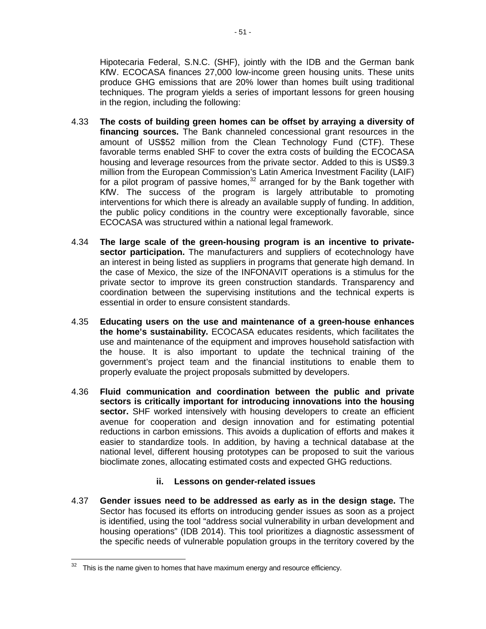Hipotecaria Federal, S.N.C. (SHF), jointly with the IDB and the German bank KfW. ECOCASA finances 27,000 low-income green housing units. These units produce GHG emissions that are 20% lower than homes built using traditional techniques. The program yields a series of important lessons for green housing in the region, including the following:

- 4.33 **The costs of building green homes can be offset by arraying a diversity of financing sources.** The Bank channeled concessional grant resources in the amount of US\$52 million from the Clean Technology Fund (CTF). These favorable terms enabled SHF to cover the extra costs of building the ECOCASA housing and leverage resources from the private sector. Added to this is US\$9.3 million from the European Commission's Latin America Investment Facility (LAIF) for a pilot program of passive homes,  $32$  arranged for by the Bank together with KfW. The success of the program is largely attributable to promoting interventions for which there is already an available supply of funding. In addition, the public policy conditions in the country were exceptionally favorable, since ECOCASA was structured within a national legal framework.
- 4.34 **The large scale of the green-housing program is an incentive to privatesector participation.** The manufacturers and suppliers of ecotechnology have an interest in being listed as suppliers in programs that generate high demand. In the case of Mexico, the size of the INFONAVIT operations is a stimulus for the private sector to improve its green construction standards. Transparency and coordination between the supervising institutions and the technical experts is essential in order to ensure consistent standards.
- 4.35 **Educating users on the use and maintenance of a green-house enhances the home's sustainability.** ECOCASA educates residents, which facilitates the use and maintenance of the equipment and improves household satisfaction with the house. It is also important to update the technical training of the government's project team and the financial institutions to enable them to properly evaluate the project proposals submitted by developers.
- 4.36 **Fluid communication and coordination between the public and private sectors is critically important for introducing innovations into the housing sector.** SHF worked intensively with housing developers to create an efficient avenue for cooperation and design innovation and for estimating potential reductions in carbon emissions. This avoids a duplication of efforts and makes it easier to standardize tools. In addition, by having a technical database at the national level, different housing prototypes can be proposed to suit the various bioclimate zones, allocating estimated costs and expected GHG reductions.

# **ii. Lessons on gender-related issues**

4.37 **Gender issues need to be addressed as early as in the design stage.** The Sector has focused its efforts on introducing gender issues as soon as a project is identified, using the tool "address social vulnerability in urban development and housing operations" (IDB 2014). This tool prioritizes a diagnostic assessment of the specific needs of vulnerable population groups in the territory covered by the

<span id="page-55-0"></span>This is the name given to homes that have maximum energy and resource efficiency.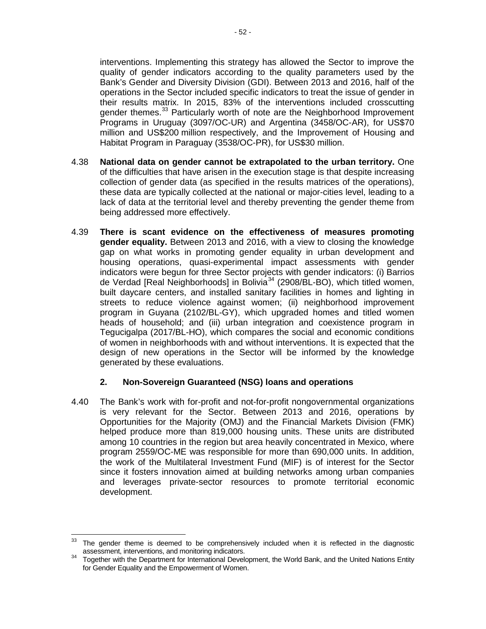- 52 -

interventions. Implementing this strategy has allowed the Sector to improve the quality of gender indicators according to the quality parameters used by the Bank's Gender and Diversity Division (GDI). Between 2013 and 2016, half of the operations in the Sector included specific indicators to treat the issue of gender in their results matrix. In 2015, 83% of the interventions included crosscutting gender themes.<sup>[33](#page-56-0)</sup> Particularly worth of note are the Neighborhood Improvement Programs in Uruguay (3097/OC-UR) and Argentina (3458/OC-AR), for US\$70 million and US\$200 million respectively, and the Improvement of Housing and Habitat Program in Paraguay (3538/OC-PR), for US\$30 million.

- 4.38 **National data on gender cannot be extrapolated to the urban territory.** One of the difficulties that have arisen in the execution stage is that despite increasing collection of gender data (as specified in the results matrices of the operations), these data are typically collected at the national or major-cities level, leading to a lack of data at the territorial level and thereby preventing the gender theme from being addressed more effectively.
- 4.39 **There is scant evidence on the effectiveness of measures promoting gender equality.** Between 2013 and 2016, with a view to closing the knowledge gap on what works in promoting gender equality in urban development and housing operations, quasi-experimental impact assessments with gender indicators were begun for three Sector projects with gender indicators: (i) Barrios de Verdad [Real Neighborhoods] in Bolivia<sup>[34](#page-56-1)</sup> (2908/BL-BO), which titled women, built daycare centers, and installed sanitary facilities in homes and lighting in streets to reduce violence against women; (ii) neighborhood improvement program in Guyana (2102/BL-GY), which upgraded homes and titled women heads of household; and (iii) urban integration and coexistence program in Tegucigalpa (2017/BL-HO), which compares the social and economic conditions of women in neighborhoods with and without interventions. It is expected that the design of new operations in the Sector will be informed by the knowledge generated by these evaluations.

# **2. Non-Sovereign Guaranteed (NSG) loans and operations**

4.40 The Bank's work with for-profit and not-for-profit nongovernmental organizations is very relevant for the Sector. Between 2013 and 2016, operations by Opportunities for the Majority (OMJ) and the Financial Markets Division (FMK) helped produce more than 819,000 housing units. These units are distributed among 10 countries in the region but area heavily concentrated in Mexico, where program 2559/OC-ME was responsible for more than 690,000 units. In addition, the work of the Multilateral Investment Fund (MIF) is of interest for the Sector since it fosters innovation aimed at building networks among urban companies and leverages private-sector resources to promote territorial economic development.

<span id="page-56-0"></span><sup>&</sup>lt;sup>33</sup> The gender theme is deemed to be comprehensively included when it is reflected in the diagnostic

<span id="page-56-1"></span>assessment, interventions, and monitoring indicators.<br><sup>34</sup> Together with the Department for International Development, the World Bank, and the United Nations Entity for Gender Equality and the Empowerment of Women.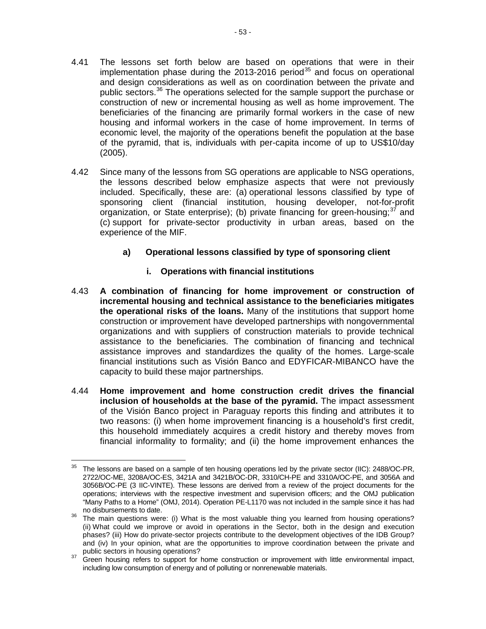- 4.41 The lessons set forth below are based on operations that were in their implementation phase during the 2013-2016 period<sup>[35](#page-57-0)</sup> and focus on operational and design considerations as well as on coordination between the private and public sectors.<sup>[36](#page-57-1)</sup> The operations selected for the sample support the purchase or construction of new or incremental housing as well as home improvement. The beneficiaries of the financing are primarily formal workers in the case of new housing and informal workers in the case of home improvement. In terms of economic level, the majority of the operations benefit the population at the base of the pyramid, that is, individuals with per-capita income of up to US\$10/day (2005).
- 4.42 Since many of the lessons from SG operations are applicable to NSG operations, the lessons described below emphasize aspects that were not previously included. Specifically, these are: (a) operational lessons classified by type of sponsoring client (financial institution, housing developer, not-for-profit organization, or State enterprise); (b) private financing for green-housing; $37$  and (c) support for private-sector productivity in urban areas, based on the experience of the MIF.
	- **a) Operational lessons classified by type of sponsoring client**
		- **i. Operations with financial institutions**
- 4.43 **A combination of financing for home improvement or construction of incremental housing and technical assistance to the beneficiaries mitigates the operational risks of the loans.** Many of the institutions that support home construction or improvement have developed partnerships with nongovernmental organizations and with suppliers of construction materials to provide technical assistance to the beneficiaries. The combination of financing and technical assistance improves and standardizes the quality of the homes. Large-scale financial institutions such as Visión Banco and EDYFICAR-MIBANCO have the capacity to build these major partnerships.
- 4.44 **Home improvement and home construction credit drives the financial inclusion of households at the base of the pyramid.** The impact assessment of the Visión Banco project in Paraguay reports this finding and attributes it to two reasons: (i) when home improvement financing is a household's first credit, this household immediately acquires a credit history and thereby moves from financial informality to formality; and (ii) the home improvement enhances the

<span id="page-57-0"></span> $35$  The lessons are based on a sample of ten housing operations led by the private sector (IIC): 2488/OC-PR, 2722/OC-ME, 3208A/OC-ES, 3421A and 3421B/OC-DR, 3310/CH-PE and 3310A/OC-PE, and 3056A and 3056B/OC-PE (3 IIC-VINTE). These lessons are derived from a review of the project documents for the operations; interviews with the respective investment and supervision officers; and the OMJ publication "Many Paths to a Home" (OMJ, 2014). Operation PE-L1170 was not included in the sample since it has had

<span id="page-57-1"></span>no disbursements to date. 36 The main questions were: (i) What is the most valuable thing you learned from housing operations? (ii) What could we improve or avoid in operations in the Sector, both in the design and execution phases? (iii) How do private-sector projects contribute to the development objectives of the IDB Group? and (iv) In your opinion, what are the opportunities to improve coordination between the private and public sectors in housing operations?

<span id="page-57-2"></span><sup>&</sup>lt;sup>37</sup> Green housing refers to support for home construction or improvement with little environmental impact, including low consumption of energy and of polluting or nonrenewable materials.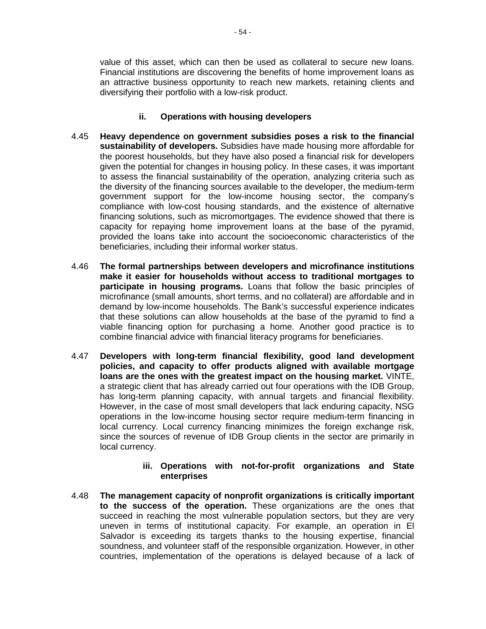value of this asset, which can then be used as collateral to secure new loans. Financial institutions are discovering the benefits of home improvement loans as an attractive business opportunity to reach new markets, retaining clients and diversifying their portfolio with a low-risk product.

# **ii. Operations with housing developers**

- 4.45 **Heavy dependence on government subsidies poses a risk to the financial sustainability of developers.** Subsidies have made housing more affordable for the poorest households, but they have also posed a financial risk for developers given the potential for changes in housing policy. In these cases, it was important to assess the financial sustainability of the operation, analyzing criteria such as the diversity of the financing sources available to the developer, the medium-term government support for the low-income housing sector, the company's compliance with low-cost housing standards, and the existence of alternative financing solutions, such as micromortgages. The evidence showed that there is capacity for repaying home improvement loans at the base of the pyramid, provided the loans take into account the socioeconomic characteristics of the beneficiaries, including their informal worker status.
- 4.46 **The formal partnerships between developers and microfinance institutions make it easier for households without access to traditional mortgages to participate in housing programs.** Loans that follow the basic principles of microfinance (small amounts, short terms, and no collateral) are affordable and in demand by low-income households. The Bank's successful experience indicates that these solutions can allow households at the base of the pyramid to find a viable financing option for purchasing a home. Another good practice is to combine financial advice with financial literacy programs for beneficiaries.
- 4.47 **Developers with long-term financial flexibility, good land development policies, and capacity to offer products aligned with available mortgage loans are the ones with the greatest impact on the housing market.** VINTE, a strategic client that has already carried out four operations with the IDB Group, has long-term planning capacity, with annual targets and financial flexibility. However, in the case of most small developers that lack enduring capacity, NSG operations in the low-income housing sector require medium-term financing in local currency. Local currency financing minimizes the foreign exchange risk, since the sources of revenue of IDB Group clients in the sector are primarily in local currency.

#### **iii. Operations with not-for-profit organizations and State enterprises**

4.48 **The management capacity of nonprofit organizations is critically important to the success of the operation.** These organizations are the ones that succeed in reaching the most vulnerable population sectors, but they are very uneven in terms of institutional capacity. For example, an operation in El Salvador is exceeding its targets thanks to the housing expertise, financial soundness, and volunteer staff of the responsible organization. However, in other countries, implementation of the operations is delayed because of a lack of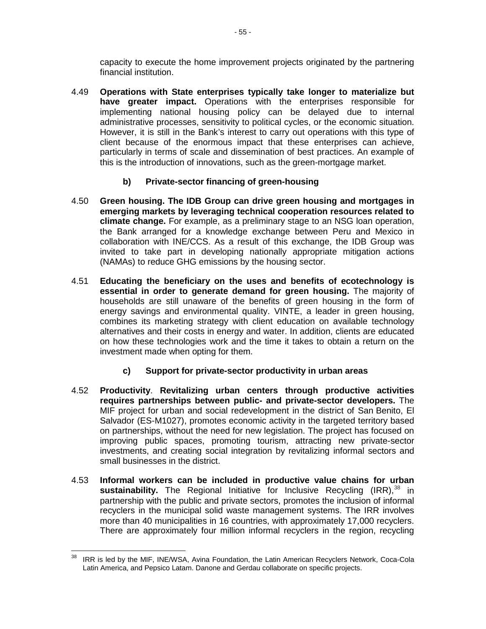capacity to execute the home improvement projects originated by the partnering financial institution.

- 4.49 **Operations with State enterprises typically take longer to materialize but have greater impact.** Operations with the enterprises responsible for implementing national housing policy can be delayed due to internal administrative processes, sensitivity to political cycles, or the economic situation. However, it is still in the Bank's interest to carry out operations with this type of client because of the enormous impact that these enterprises can achieve, particularly in terms of scale and dissemination of best practices. An example of this is the introduction of innovations, such as the green-mortgage market.
	- **b) Private-sector financing of green-housing**
- 4.50 **Green housing. The IDB Group can drive green housing and mortgages in emerging markets by leveraging technical cooperation resources related to climate change.** For example, as a preliminary stage to an NSG loan operation, the Bank arranged for a knowledge exchange between Peru and Mexico in collaboration with INE/CCS. As a result of this exchange, the IDB Group was invited to take part in developing nationally appropriate mitigation actions (NAMAs) to reduce GHG emissions by the housing sector.
- 4.51 **Educating the beneficiary on the uses and benefits of ecotechnology is essential in order to generate demand for green housing.** The majority of households are still unaware of the benefits of green housing in the form of energy savings and environmental quality. VINTE, a leader in green housing, combines its marketing strategy with client education on available technology alternatives and their costs in energy and water. In addition, clients are educated on how these technologies work and the time it takes to obtain a return on the investment made when opting for them.
	- **c) Support for private-sector productivity in urban areas**
- 4.52 **Productivity**. **Revitalizing urban centers through productive activities requires partnerships between public- and private-sector developers.** The MIF project for urban and social redevelopment in the district of San Benito, El Salvador (ES-M1027), promotes economic activity in the targeted territory based on partnerships, without the need for new legislation. The project has focused on improving public spaces, promoting tourism, attracting new private-sector investments, and creating social integration by revitalizing informal sectors and small businesses in the district.
- 4.53 **Informal workers can be included in productive value chains for urban**  sustainability. The Regional Initiative for Inclusive Recycling (IRR),<sup>[38](#page-59-0)</sup> in partnership with the public and private sectors, promotes the inclusion of informal recyclers in the municipal solid waste management systems. The IRR involves more than 40 municipalities in 16 countries, with approximately 17,000 recyclers. There are approximately four million informal recyclers in the region, recycling

<span id="page-59-0"></span><sup>&</sup>lt;sup>38</sup> IRR is led by the MIF, INE/WSA, Avina Foundation, the Latin American Recyclers Network, Coca-Cola Latin America, and Pepsico Latam. Danone and Gerdau collaborate on specific projects.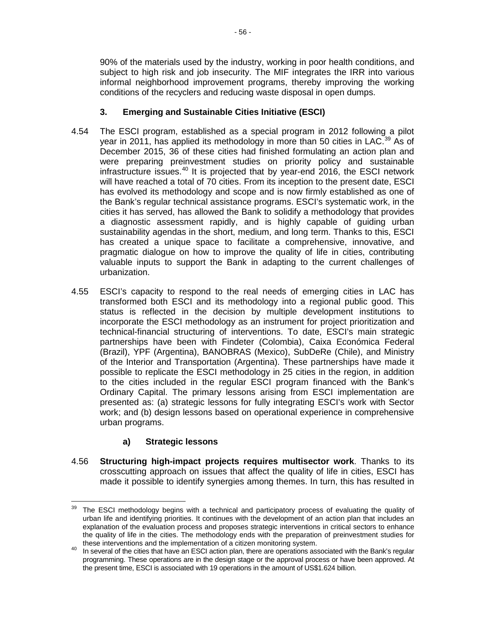90% of the materials used by the industry, working in poor health conditions, and subject to high risk and job insecurity. The MIF integrates the IRR into various informal neighborhood improvement programs, thereby improving the working conditions of the recyclers and reducing waste disposal in open dumps.

# **3. Emerging and Sustainable Cities Initiative (ESCI)**

- 4.54 The ESCI program, established as a special program in 2012 following a pilot year in 2011, has applied its methodology in more than 50 cities in LAC.<sup>[39](#page-60-0)</sup> As of December 2015, 36 of these cities had finished formulating an action plan and were preparing preinvestment studies on priority policy and sustainable infrastructure issues. $40$  It is projected that by year-end 2016, the ESCI network will have reached a total of 70 cities. From its inception to the present date, ESCI has evolved its methodology and scope and is now firmly established as one of the Bank's regular technical assistance programs. ESCI's systematic work, in the cities it has served, has allowed the Bank to solidify a methodology that provides a diagnostic assessment rapidly, and is highly capable of guiding urban sustainability agendas in the short, medium, and long term. Thanks to this, ESCI has created a unique space to facilitate a comprehensive, innovative, and pragmatic dialogue on how to improve the quality of life in cities, contributing valuable inputs to support the Bank in adapting to the current challenges of urbanization.
- 4.55 ESCI's capacity to respond to the real needs of emerging cities in LAC has transformed both ESCI and its methodology into a regional public good. This status is reflected in the decision by multiple development institutions to incorporate the ESCI methodology as an instrument for project prioritization and technical-financial structuring of interventions. To date, ESCI's main strategic partnerships have been with Findeter (Colombia), Caixa Económica Federal (Brazil), YPF (Argentina), BANOBRAS (Mexico), SubDeRe (Chile), and Ministry of the Interior and Transportation (Argentina). These partnerships have made it possible to replicate the ESCI methodology in 25 cities in the region, in addition to the cities included in the regular ESCI program financed with the Bank's Ordinary Capital. The primary lessons arising from ESCI implementation are presented as: (a) strategic lessons for fully integrating ESCI's work with Sector work; and (b) design lessons based on operational experience in comprehensive urban programs.

# **a) Strategic lessons**

4.56 **Structuring high-impact projects requires multisector work**. Thanks to its crosscutting approach on issues that affect the quality of life in cities, ESCI has made it possible to identify synergies among themes. In turn, this has resulted in

<span id="page-60-0"></span> $39$  The ESCI methodology begins with a technical and participatory process of evaluating the quality of urban life and identifying priorities. It continues with the development of an action plan that includes an explanation of the evaluation process and proposes strategic interventions in critical sectors to enhance the quality of life in the cities. The methodology ends with the preparation of preinvestment studies for

<span id="page-60-1"></span>these interventions and the implementation of a citizen monitoring system.<br><sup>40</sup> In several of the cities that have an ESCI action plan, there are operations associated with the Bank's regular programming. These operations are in the design stage or the approval process or have been approved. At the present time, ESCI is associated with 19 operations in the amount of US\$1.624 billion.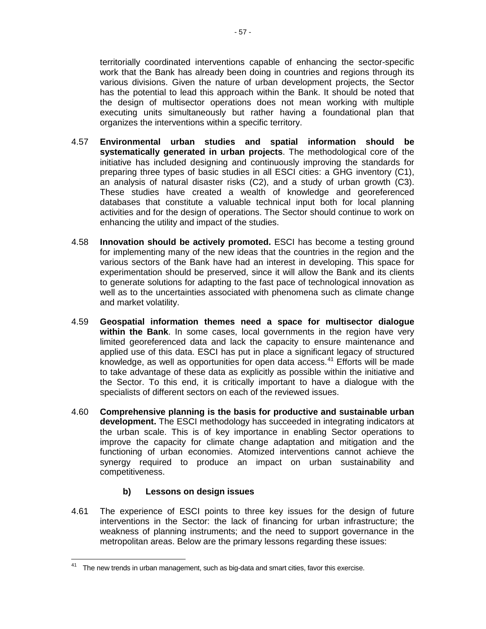territorially coordinated interventions capable of enhancing the sector-specific work that the Bank has already been doing in countries and regions through its various divisions. Given the nature of urban development projects, the Sector has the potential to lead this approach within the Bank. It should be noted that the design of multisector operations does not mean working with multiple executing units simultaneously but rather having a foundational plan that organizes the interventions within a specific territory.

- 4.57 **Environmental urban studies and spatial information should be systematically generated in urban projects**. The methodological core of the initiative has included designing and continuously improving the standards for preparing three types of basic studies in all ESCI cities: a GHG inventory (C1), an analysis of natural disaster risks (C2), and a study of urban growth (C3). These studies have created a wealth of knowledge and georeferenced databases that constitute a valuable technical input both for local planning activities and for the design of operations. The Sector should continue to work on enhancing the utility and impact of the studies.
- 4.58 **Innovation should be actively promoted.** ESCI has become a testing ground for implementing many of the new ideas that the countries in the region and the various sectors of the Bank have had an interest in developing. This space for experimentation should be preserved, since it will allow the Bank and its clients to generate solutions for adapting to the fast pace of technological innovation as well as to the uncertainties associated with phenomena such as climate change and market volatility.
- 4.59 **Geospatial information themes need a space for multisector dialogue within the Bank**. In some cases, local governments in the region have very limited georeferenced data and lack the capacity to ensure maintenance and applied use of this data. ESCI has put in place a significant legacy of structured knowledge, as well as opportunities for open data  $access<sup>41</sup>$  $access<sup>41</sup>$  $access<sup>41</sup>$  Efforts will be made to take advantage of these data as explicitly as possible within the initiative and the Sector. To this end, it is critically important to have a dialogue with the specialists of different sectors on each of the reviewed issues.
- 4.60 **Comprehensive planning is the basis for productive and sustainable urban development.** The ESCI methodology has succeeded in integrating indicators at the urban scale. This is of key importance in enabling Sector operations to improve the capacity for climate change adaptation and mitigation and the functioning of urban economies. Atomized interventions cannot achieve the synergy required to produce an impact on urban sustainability and competitiveness.

# **b) Lessons on design issues**

4.61 The experience of ESCI points to three key issues for the design of future interventions in the Sector: the lack of financing for urban infrastructure; the weakness of planning instruments; and the need to support governance in the metropolitan areas. Below are the primary lessons regarding these issues:

<span id="page-61-0"></span> $41$  The new trends in urban management, such as big-data and smart cities, favor this exercise.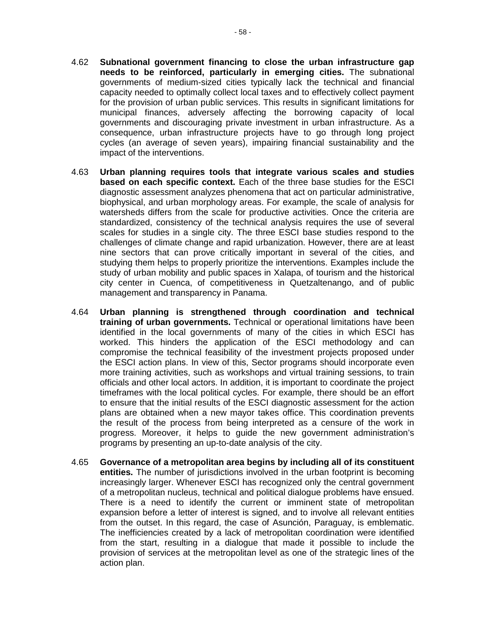- 4.62 **Subnational government financing to close the urban infrastructure gap needs to be reinforced, particularly in emerging cities.** The subnational governments of medium-sized cities typically lack the technical and financial capacity needed to optimally collect local taxes and to effectively collect payment for the provision of urban public services. This results in significant limitations for municipal finances, adversely affecting the borrowing capacity of local governments and discouraging private investment in urban infrastructure. As a consequence, urban infrastructure projects have to go through long project cycles (an average of seven years), impairing financial sustainability and the impact of the interventions.
- 4.63 **Urban planning requires tools that integrate various scales and studies based on each specific context.** Each of the three base studies for the ESCI diagnostic assessment analyzes phenomena that act on particular administrative, biophysical, and urban morphology areas. For example, the scale of analysis for watersheds differs from the scale for productive activities. Once the criteria are standardized, consistency of the technical analysis requires the use of several scales for studies in a single city. The three ESCI base studies respond to the challenges of climate change and rapid urbanization. However, there are at least nine sectors that can prove critically important in several of the cities, and studying them helps to properly prioritize the interventions. Examples include the study of urban mobility and public spaces in Xalapa, of tourism and the historical city center in Cuenca, of competitiveness in Quetzaltenango, and of public management and transparency in Panama.
- 4.64 **Urban planning is strengthened through coordination and technical training of urban governments.** Technical or operational limitations have been identified in the local governments of many of the cities in which ESCI has worked. This hinders the application of the ESCI methodology and can compromise the technical feasibility of the investment projects proposed under the ESCI action plans. In view of this, Sector programs should incorporate even more training activities, such as workshops and virtual training sessions, to train officials and other local actors. In addition, it is important to coordinate the project timeframes with the local political cycles. For example, there should be an effort to ensure that the initial results of the ESCI diagnostic assessment for the action plans are obtained when a new mayor takes office. This coordination prevents the result of the process from being interpreted as a censure of the work in progress. Moreover, it helps to guide the new government administration's programs by presenting an up-to-date analysis of the city.
- 4.65 **Governance of a metropolitan area begins by including all of its constituent entities.** The number of jurisdictions involved in the urban footprint is becoming increasingly larger. Whenever ESCI has recognized only the central government of a metropolitan nucleus, technical and political dialogue problems have ensued. There is a need to identify the current or imminent state of metropolitan expansion before a letter of interest is signed, and to involve all relevant entities from the outset. In this regard, the case of Asunción, Paraguay, is emblematic. The inefficiencies created by a lack of metropolitan coordination were identified from the start, resulting in a dialogue that made it possible to include the provision of services at the metropolitan level as one of the strategic lines of the action plan.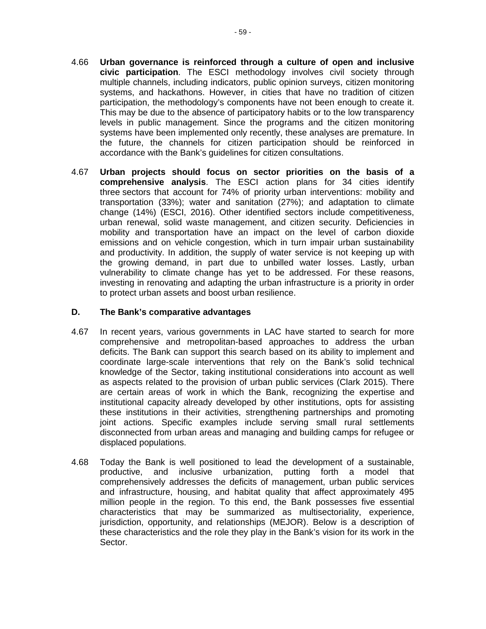- 4.66 **Urban governance is reinforced through a culture of open and inclusive civic participation**. The ESCI methodology involves civil society through multiple channels, including indicators, public opinion surveys, citizen monitoring systems, and hackathons. However, in cities that have no tradition of citizen participation, the methodology's components have not been enough to create it. This may be due to the absence of participatory habits or to the low transparency levels in public management. Since the programs and the citizen monitoring systems have been implemented only recently, these analyses are premature. In the future, the channels for citizen participation should be reinforced in accordance with the Bank's guidelines for citizen consultations.
- 4.67 **Urban projects should focus on sector priorities on the basis of a comprehensive analysis**. The ESCI action plans for 34 cities identify three sectors that account for 74% of priority urban interventions: mobility and transportation (33%); water and sanitation (27%); and adaptation to climate change (14%) (ESCI, 2016). Other identified sectors include competitiveness, urban renewal, solid waste management, and citizen security. Deficiencies in mobility and transportation have an impact on the level of carbon dioxide emissions and on vehicle congestion, which in turn impair urban sustainability and productivity. In addition, the supply of water service is not keeping up with the growing demand, in part due to unbilled water losses. Lastly, urban vulnerability to climate change has yet to be addressed. For these reasons, investing in renovating and adapting the urban infrastructure is a priority in order to protect urban assets and boost urban resilience.

#### **D. The Bank's comparative advantages**

- 4.67 In recent years, various governments in LAC have started to search for more comprehensive and metropolitan-based approaches to address the urban deficits. The Bank can support this search based on its ability to implement and coordinate large-scale interventions that rely on the Bank's solid technical knowledge of the Sector, taking institutional considerations into account as well as aspects related to the provision of urban public services (Clark 2015). There are certain areas of work in which the Bank, recognizing the expertise and institutional capacity already developed by other institutions, opts for assisting these institutions in their activities, strengthening partnerships and promoting joint actions. Specific examples include serving small rural settlements disconnected from urban areas and managing and building camps for refugee or displaced populations.
- 4.68 Today the Bank is well positioned to lead the development of a sustainable, productive, and inclusive urbanization, putting forth a model that comprehensively addresses the deficits of management, urban public services and infrastructure, housing, and habitat quality that affect approximately 495 million people in the region. To this end, the Bank possesses five essential characteristics that may be summarized as multisectoriality, experience, jurisdiction, opportunity, and relationships (MEJOR). Below is a description of these characteristics and the role they play in the Bank's vision for its work in the Sector.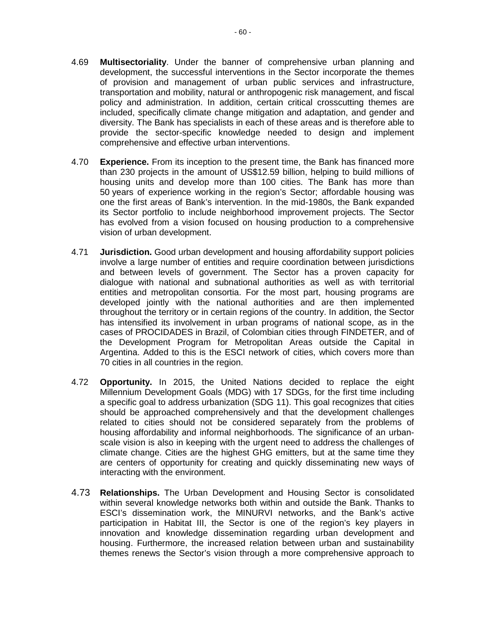- 4.69 **Multisectoriality**. Under the banner of comprehensive urban planning and development, the successful interventions in the Sector incorporate the themes of provision and management of urban public services and infrastructure, transportation and mobility, natural or anthropogenic risk management, and fiscal policy and administration. In addition, certain critical crosscutting themes are included, specifically climate change mitigation and adaptation, and gender and diversity. The Bank has specialists in each of these areas and is therefore able to provide the sector-specific knowledge needed to design and implement comprehensive and effective urban interventions.
- 4.70 **Experience.** From its inception to the present time, the Bank has financed more than 230 projects in the amount of US\$12.59 billion, helping to build millions of housing units and develop more than 100 cities. The Bank has more than 50 years of experience working in the region's Sector; affordable housing was one the first areas of Bank's intervention. In the mid-1980s, the Bank expanded its Sector portfolio to include neighborhood improvement projects. The Sector has evolved from a vision focused on housing production to a comprehensive vision of urban development.
- 4.71 **Jurisdiction.** Good urban development and housing affordability support policies involve a large number of entities and require coordination between jurisdictions and between levels of government. The Sector has a proven capacity for dialogue with national and subnational authorities as well as with territorial entities and metropolitan consortia. For the most part, housing programs are developed jointly with the national authorities and are then implemented throughout the territory or in certain regions of the country. In addition, the Sector has intensified its involvement in urban programs of national scope, as in the cases of PROCIDADES in Brazil, of Colombian cities through FINDETER, and of the Development Program for Metropolitan Areas outside the Capital in Argentina. Added to this is the ESCI network of cities, which covers more than 70 cities in all countries in the region.
- 4.72 **Opportunity.** In 2015, the United Nations decided to replace the eight Millennium Development Goals (MDG) with 17 SDGs, for the first time including a specific goal to address urbanization (SDG 11). This goal recognizes that cities should be approached comprehensively and that the development challenges related to cities should not be considered separately from the problems of housing affordability and informal neighborhoods. The significance of an urbanscale vision is also in keeping with the urgent need to address the challenges of climate change. Cities are the highest GHG emitters, but at the same time they are centers of opportunity for creating and quickly disseminating new ways of interacting with the environment.
- 4.73 **Relationships.** The Urban Development and Housing Sector is consolidated within several knowledge networks both within and outside the Bank. Thanks to ESCI's dissemination work, the MINURVI networks, and the Bank's active participation in Habitat III, the Sector is one of the region's key players in innovation and knowledge dissemination regarding urban development and housing. Furthermore, the increased relation between urban and sustainability themes renews the Sector's vision through a more comprehensive approach to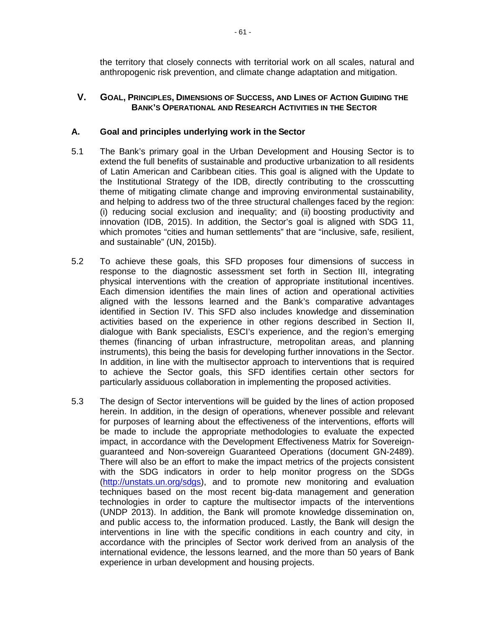the territory that closely connects with territorial work on all scales, natural and anthropogenic risk prevention, and climate change adaptation and mitigation.

# **V. GOAL, PRINCIPLES, DIMENSIONS OF SUCCESS, AND LINES OF ACTION GUIDING THE BANK'S OPERATIONAL AND RESEARCH ACTIVITIES IN THE SECTOR**

#### **A. Goal and principles underlying work in the Sector**

- 5.1 The Bank's primary goal in the Urban Development and Housing Sector is to extend the full benefits of sustainable and productive urbanization to all residents of Latin American and Caribbean cities. This goal is aligned with the Update to the Institutional Strategy of the IDB, directly contributing to the crosscutting theme of mitigating climate change and improving environmental sustainability, and helping to address two of the three structural challenges faced by the region: (i) reducing social exclusion and inequality; and (ii) boosting productivity and innovation (IDB, 2015). In addition, the Sector's goal is aligned with SDG 11, which promotes "cities and human settlements" that are "inclusive, safe, resilient, and sustainable" (UN, 2015b).
- 5.2 To achieve these goals, this SFD proposes four dimensions of success in response to the diagnostic assessment set forth in Section III, integrating physical interventions with the creation of appropriate institutional incentives. Each dimension identifies the main lines of action and operational activities aligned with the lessons learned and the Bank's comparative advantages identified in Section IV. This SFD also includes knowledge and dissemination activities based on the experience in other regions described in Section II, dialogue with Bank specialists, ESCI's experience, and the region's emerging themes (financing of urban infrastructure, metropolitan areas, and planning instruments), this being the basis for developing further innovations in the Sector. In addition, in line with the multisector approach to interventions that is required to achieve the Sector goals, this SFD identifies certain other sectors for particularly assiduous collaboration in implementing the proposed activities.
- 5.3 The design of Sector interventions will be guided by the lines of action proposed herein. In addition, in the design of operations, whenever possible and relevant for purposes of learning about the effectiveness of the interventions, efforts will be made to include the appropriate methodologies to evaluate the expected impact, in accordance with the Development Effectiveness Matrix for Sovereignguaranteed and Non-sovereign Guaranteed Operations (document GN-2489). There will also be an effort to make the impact metrics of the projects consistent with the SDG indicators in order to help monitor progress on the SDGs [\(http://unstats.un.org/sdgs\)](http://unstats.un.org/sdgs), and to promote new monitoring and evaluation techniques based on the most recent big-data management and generation technologies in order to capture the multisector impacts of the interventions (UNDP 2013). In addition, the Bank will promote knowledge dissemination on, and public access to, the information produced. Lastly, the Bank will design the interventions in line with the specific conditions in each country and city, in accordance with the principles of Sector work derived from an analysis of the international evidence, the lessons learned, and the more than 50 years of Bank experience in urban development and housing projects.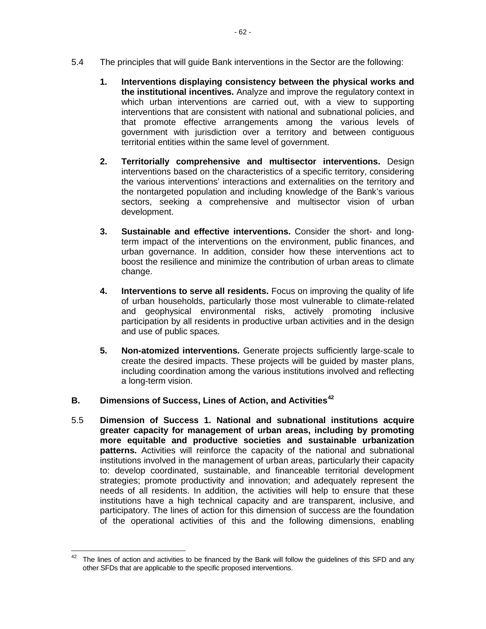- 5.4 The principles that will guide Bank interventions in the Sector are the following:
	- **1. Interventions displaying consistency between the physical works and the institutional incentives.** Analyze and improve the regulatory context in which urban interventions are carried out, with a view to supporting interventions that are consistent with national and subnational policies, and that promote effective arrangements among the various levels of government with jurisdiction over a territory and between contiguous territorial entities within the same level of government.
	- **2. Territorially comprehensive and multisector interventions.** Design interventions based on the characteristics of a specific territory, considering the various interventions' interactions and externalities on the territory and the nontargeted population and including knowledge of the Bank's various sectors, seeking a comprehensive and multisector vision of urban development.
	- **3. Sustainable and effective interventions.** Consider the short- and longterm impact of the interventions on the environment, public finances, and urban governance. In addition, consider how these interventions act to boost the resilience and minimize the contribution of urban areas to climate change.
	- **4. Interventions to serve all residents.** Focus on improving the quality of life of urban households, particularly those most vulnerable to climate-related and geophysical environmental risks, actively promoting inclusive participation by all residents in productive urban activities and in the design and use of public spaces.
	- **5. Non-atomized interventions.** Generate projects sufficiently large-scale to create the desired impacts. These projects will be guided by master plans, including coordination among the various institutions involved and reflecting a long-term vision.
- **B. Dimensions of Success, Lines of Action, and Activities[42](#page-66-0)**
- 5.5 **Dimension of Success 1. National and subnational institutions acquire greater capacity for management of urban areas, including by promoting more equitable and productive societies and sustainable urbanization patterns.** Activities will reinforce the capacity of the national and subnational institutions involved in the management of urban areas, particularly their capacity to: develop coordinated, sustainable, and financeable territorial development strategies; promote productivity and innovation; and adequately represent the needs of all residents. In addition, the activities will help to ensure that these institutions have a high technical capacity and are transparent, inclusive, and participatory. The lines of action for this dimension of success are the foundation of the operational activities of this and the following dimensions, enabling

<span id="page-66-0"></span> $42$  The lines of action and activities to be financed by the Bank will follow the guidelines of this SFD and any other SFDs that are applicable to the specific proposed interventions.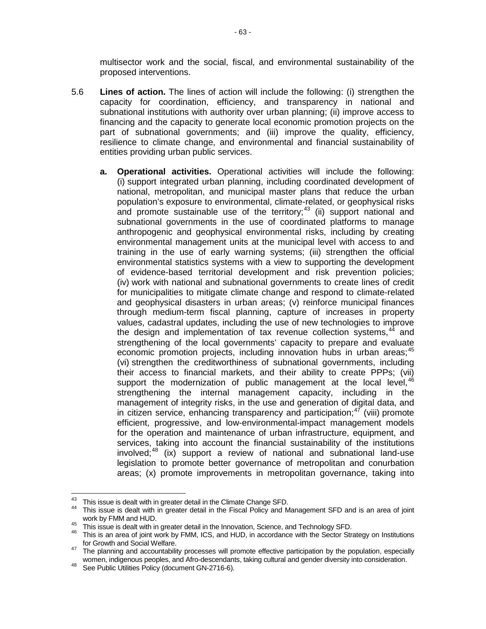multisector work and the social, fiscal, and environmental sustainability of the proposed interventions.

- 5.6 **Lines of action.** The lines of action will include the following: (i) strengthen the capacity for coordination, efficiency, and transparency in national and subnational institutions with authority over urban planning; (ii) improve access to financing and the capacity to generate local economic promotion projects on the part of subnational governments; and (iii) improve the quality, efficiency, resilience to climate change, and environmental and financial sustainability of entities providing urban public services.
	- **a. Operational activities.** Operational activities will include the following: (i) support integrated urban planning, including coordinated development of national, metropolitan, and municipal master plans that reduce the urban population's exposure to environmental, climate-related, or geophysical risks and promote sustainable use of the territory;<sup>[43](#page-67-0)</sup> (ii) support national and subnational governments in the use of coordinated platforms to manage anthropogenic and geophysical environmental risks, including by creating environmental management units at the municipal level with access to and training in the use of early warning systems; (iii) strengthen the official environmental statistics systems with a view to supporting the development of evidence-based territorial development and risk prevention policies; (iv) work with national and subnational governments to create lines of credit for municipalities to mitigate climate change and respond to climate-related and geophysical disasters in urban areas; (v) reinforce municipal finances through medium-term fiscal planning, capture of increases in property values, cadastral updates, including the use of new technologies to improve the design and implementation of tax revenue collection systems,  $44$  and strengthening of the local governments' capacity to prepare and evaluate economic promotion projects, including innovation hubs in urban areas;<sup>[45](#page-67-2)</sup> (vi) strengthen the creditworthiness of subnational governments, including their access to financial markets, and their ability to create PPPs; (vii) support the modernization of public management at the local level, [46](#page-67-3) strengthening the internal management capacity, including in the management of integrity risks, in the use and generation of digital data, and in citizen service, enhancing transparency and participation; $47$  (viii) promote efficient, progressive, and low-environmental-impact management models for the operation and maintenance of urban infrastructure, equipment, and services, taking into account the financial sustainability of the institutions involved; $48$  (ix) support a review of national and subnational land-use legislation to promote better governance of metropolitan and conurbation areas; (x) promote improvements in metropolitan governance, taking into

<span id="page-67-1"></span><span id="page-67-0"></span><sup>&</sup>lt;sup>43</sup> This issue is dealt with in greater detail in the Climate Change SFD.<br><sup>44</sup> This issue is dealt with in greater detail in the Fiscal Policy and Management SFD and is an area of joint work by FMM and HUD.

<span id="page-67-3"></span><span id="page-67-2"></span>work by Fram and HUD.<br>45 This issue is dealt with in greater detail in the Innovation, Science, and Technology SFD.<br>46 This is an area of joint work by FMM, ICS, and HUD, in accordance with the Sector Strategy on Instituti for Growth and Social Welfare.<br><sup>47</sup> The planning and accountability processes will promote effective participation by the population, especially

<span id="page-67-4"></span>women, indigenous peoples, and Afro-descendants, taking cultural and gender diversity into consideration.<br><sup>48</sup> See Public Utilities Policy (document GN-2716-6).

<span id="page-67-5"></span>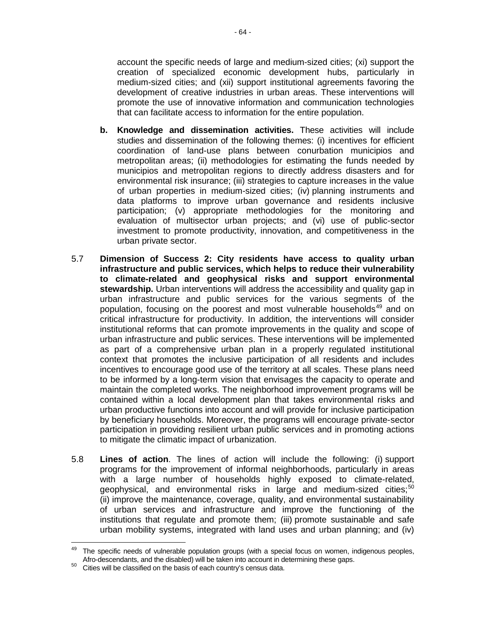account the specific needs of large and medium-sized cities; (xi) support the creation of specialized economic development hubs, particularly in medium-sized cities; and (xii) support institutional agreements favoring the development of creative industries in urban areas. These interventions will promote the use of innovative information and communication technologies that can facilitate access to information for the entire population.

- **b. Knowledge and dissemination activities.** These activities will include studies and dissemination of the following themes: (i) incentives for efficient coordination of land-use plans between conurbation municipios and metropolitan areas; (ii) methodologies for estimating the funds needed by municipios and metropolitan regions to directly address disasters and for environmental risk insurance; (iii) strategies to capture increases in the value of urban properties in medium-sized cities; (iv) planning instruments and data platforms to improve urban governance and residents inclusive participation; (v) appropriate methodologies for the monitoring and evaluation of multisector urban projects; and (vi) use of public-sector investment to promote productivity, innovation, and competitiveness in the urban private sector.
- 5.7 **Dimension of Success 2: City residents have access to quality urban infrastructure and public services, which helps to reduce their vulnerability to climate-related and geophysical risks and support environmental stewardship.** Urban interventions will address the accessibility and quality gap in urban infrastructure and public services for the various segments of the population, focusing on the poorest and most vulnerable households<sup>[49](#page-68-0)</sup> and on critical infrastructure for productivity. In addition, the interventions will consider institutional reforms that can promote improvements in the quality and scope of urban infrastructure and public services. These interventions will be implemented as part of a comprehensive urban plan in a properly regulated institutional context that promotes the inclusive participation of all residents and includes incentives to encourage good use of the territory at all scales. These plans need to be informed by a long-term vision that envisages the capacity to operate and maintain the completed works. The neighborhood improvement programs will be contained within a local development plan that takes environmental risks and urban productive functions into account and will provide for inclusive participation by beneficiary households. Moreover, the programs will encourage private-sector participation in providing resilient urban public services and in promoting actions to mitigate the climatic impact of urbanization.
- 5.8 **Lines of action**. The lines of action will include the following: (i) support programs for the improvement of informal neighborhoods, particularly in areas with a large number of households highly exposed to climate-related, geophysical, and environmental risks in large and medium-sized cities;<sup>[50](#page-68-1)</sup> (ii) improve the maintenance, coverage, quality, and environmental sustainability of urban services and infrastructure and improve the functioning of the institutions that regulate and promote them; (iii) promote sustainable and safe urban mobility systems, integrated with land uses and urban planning; and (iv)

<span id="page-68-0"></span>The specific needs of vulnerable population groups (with a special focus on women, indigenous peoples, Afro-descendants, and the disabled) will be taken into account in determining these gaps.<br><sup>50</sup> Cities will be classified on the basis of each country's census data.

<span id="page-68-1"></span>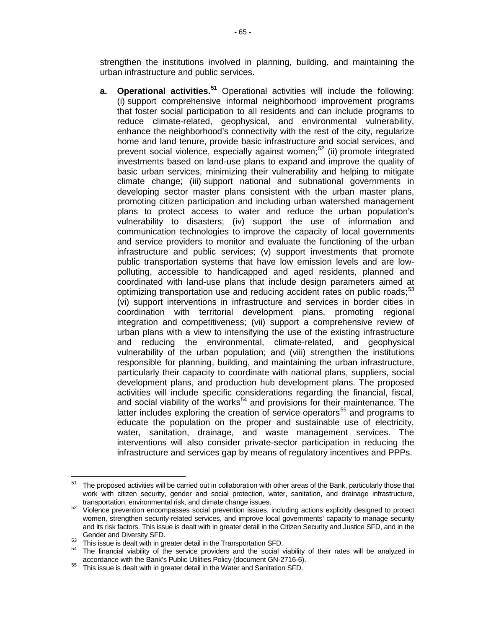strengthen the institutions involved in planning, building, and maintaining the urban infrastructure and public services.

**a. Operational activities.[51](#page-69-0)** Operational activities will include the following: (i) support comprehensive informal neighborhood improvement programs that foster social participation to all residents and can include programs to reduce climate-related, geophysical, and environmental vulnerability, enhance the neighborhood's connectivity with the rest of the city, regularize home and land tenure, provide basic infrastructure and social services, and prevent social violence, especially against women;<sup>[52](#page-69-1)</sup> (ii) promote integrated investments based on land-use plans to expand and improve the quality of basic urban services, minimizing their vulnerability and helping to mitigate climate change; (iii) support national and subnational governments in developing sector master plans consistent with the urban master plans, promoting citizen participation and including urban watershed management plans to protect access to water and reduce the urban population's vulnerability to disasters; (iv) support the use of information and communication technologies to improve the capacity of local governments and service providers to monitor and evaluate the functioning of the urban infrastructure and public services; (v) support investments that promote public transportation systems that have low emission levels and are lowpolluting, accessible to handicapped and aged residents, planned and coordinated with land-use plans that include design parameters aimed at optimizing transportation use and reducing accident rates on public roads; $53$ (vi) support interventions in infrastructure and services in border cities in coordination with territorial development plans, promoting regional integration and competitiveness; (vii) support a comprehensive review of urban plans with a view to intensifying the use of the existing infrastructure and reducing the environmental, climate-related, and geophysical vulnerability of the urban population; and (viii) strengthen the institutions responsible for planning, building, and maintaining the urban infrastructure, particularly their capacity to coordinate with national plans, suppliers, social development plans, and production hub development plans. The proposed activities will include specific considerations regarding the financial, fiscal, and social viability of the works<sup>[54](#page-69-3)</sup> and provisions for their maintenance. The latter includes exploring the creation of service operators<sup>[55](#page-69-4)</sup> and programs to educate the population on the proper and sustainable use of electricity, water, sanitation, drainage, and waste management services. The interventions will also consider private-sector participation in reducing the infrastructure and services gap by means of regulatory incentives and PPPs.

<span id="page-69-0"></span> $51$  The proposed activities will be carried out in collaboration with other areas of the Bank, particularly those that work with citizen security, gender and social protection, water, sanitation, and drainage infrastructure, transportation, environmental risk, and climate change issues.

<span id="page-69-1"></span>transportation, environmental risk, and climate change is consistent in the change is violence prevention encompasses social prevention issues, including actions explicitly designed to protect women, strengthen security-related services, and improve local governments' capacity to manage security and its risk factors. This issue is dealt with in greater detail in the Citizen Security and Justice SFD, and in the

<span id="page-69-3"></span>

<span id="page-69-2"></span>Gender and Diversity SFD.<br>
<sup>53</sup> This issue is dealt with in greater detail in the Transportation SFD.<br>
<sup>54</sup> The financial viability of the service providers and the social viability of their rates will be analyzed in<br>
acc

<span id="page-69-4"></span>accordance with the Bank's Public Utilities Policy (document GN-2716-6). <sup>55</sup> This issue is dealt with in greater detail in the Water and Sanitation SFD.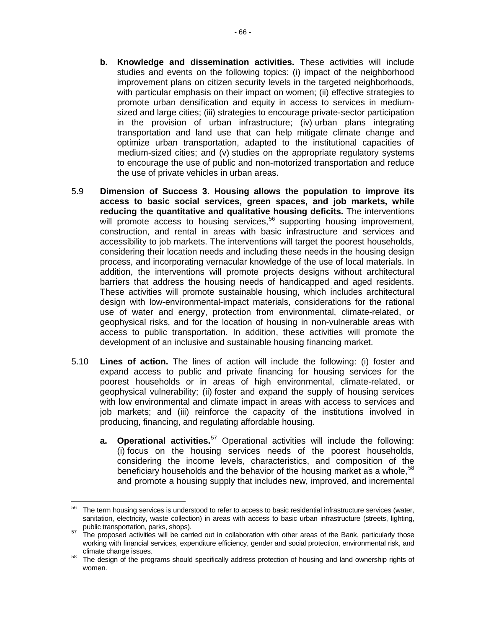- **b. Knowledge and dissemination activities.** These activities will include studies and events on the following topics: (i) impact of the neighborhood improvement plans on citizen security levels in the targeted neighborhoods, with particular emphasis on their impact on women; (ii) effective strategies to promote urban densification and equity in access to services in mediumsized and large cities; (iii) strategies to encourage private-sector participation in the provision of urban infrastructure; (iv) urban plans integrating transportation and land use that can help mitigate climate change and optimize urban transportation, adapted to the institutional capacities of medium-sized cities; and (v) studies on the appropriate regulatory systems to encourage the use of public and non-motorized transportation and reduce the use of private vehicles in urban areas.
- 5.9 **Dimension of Success 3. Housing allows the population to improve its access to basic social services, green spaces, and job markets, while reducing the quantitative and qualitative housing deficits.** The interventions will promote access to housing services,<sup>[56](#page-70-0)</sup> supporting housing improvement, construction, and rental in areas with basic infrastructure and services and accessibility to job markets. The interventions will target the poorest households, considering their location needs and including these needs in the housing design process, and incorporating vernacular knowledge of the use of local materials. In addition, the interventions will promote projects designs without architectural barriers that address the housing needs of handicapped and aged residents. These activities will promote sustainable housing, which includes architectural design with low-environmental-impact materials, considerations for the rational use of water and energy, protection from environmental, climate-related, or geophysical risks, and for the location of housing in non-vulnerable areas with access to public transportation. In addition, these activities will promote the development of an inclusive and sustainable housing financing market.
- 5.10 **Lines of action.** The lines of action will include the following: (i) foster and expand access to public and private financing for housing services for the poorest households or in areas of high environmental, climate-related, or geophysical vulnerability; (ii) foster and expand the supply of housing services with low environmental and climate impact in areas with access to services and job markets; and (iii) reinforce the capacity of the institutions involved in producing, financing, and regulating affordable housing.
	- **a. Operational activities.**[57](#page-70-1) Operational activities will include the following: (i) focus on the housing services needs of the poorest households, considering the income levels, characteristics, and composition of the beneficiary households and the behavior of the housing market as a whole,  $58$ and promote a housing supply that includes new, improved, and incremental

<span id="page-70-0"></span> $56$  The term housing services is understood to refer to access to basic residential infrastructure services (water, sanitation, electricity, waste collection) in areas with access to basic urban infrastructure (streets, lighting, public transportation, parks, shops).

<span id="page-70-1"></span>public transportation, parks, shops). 57 The proposed activities will be carried out in collaboration with other areas of the Bank, particularly those working with financial services, expenditure efficiency, gender and social protection, environmental risk, and

<span id="page-70-2"></span>climate change issues.<br><sup>58</sup> The design of the programs should specifically address protection of housing and land ownership rights of women.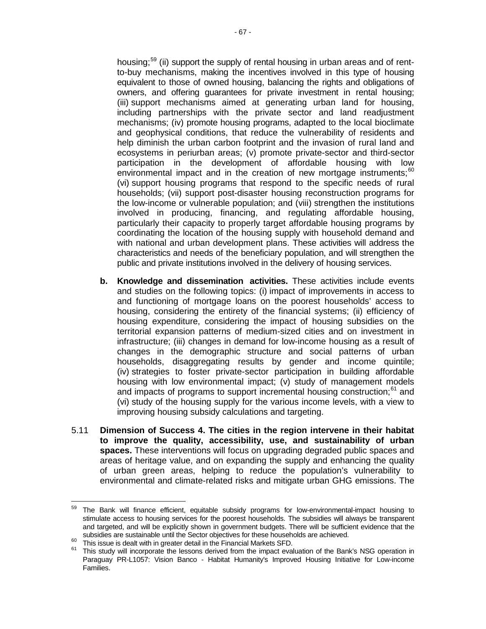housing;<sup>[59](#page-71-0)</sup> (ii) support the supply of rental housing in urban areas and of rentto-buy mechanisms, making the incentives involved in this type of housing equivalent to those of owned housing, balancing the rights and obligations of owners, and offering guarantees for private investment in rental housing; (iii) support mechanisms aimed at generating urban land for housing, including partnerships with the private sector and land readjustment mechanisms; (iv) promote housing programs, adapted to the local bioclimate and geophysical conditions, that reduce the vulnerability of residents and help diminish the urban carbon footprint and the invasion of rural land and ecosystems in periurban areas; (v) promote private-sector and third-sector participation in the development of affordable housing with low environmental impact and in the creation of new mortgage instruments;<sup>[60](#page-71-1)</sup> (vi) support housing programs that respond to the specific needs of rural households; (vii) support post-disaster housing reconstruction programs for the low-income or vulnerable population; and (viii) strengthen the institutions involved in producing, financing, and regulating affordable housing, particularly their capacity to properly target affordable housing programs by coordinating the location of the housing supply with household demand and with national and urban development plans. These activities will address the characteristics and needs of the beneficiary population, and will strengthen the public and private institutions involved in the delivery of housing services.

- **b. Knowledge and dissemination activities.** These activities include events and studies on the following topics: (i) impact of improvements in access to and functioning of mortgage loans on the poorest households' access to housing, considering the entirety of the financial systems; (ii) efficiency of housing expenditure, considering the impact of housing subsidies on the territorial expansion patterns of medium-sized cities and on investment in infrastructure; (iii) changes in demand for low-income housing as a result of changes in the demographic structure and social patterns of urban households, disaggregating results by gender and income quintile; (iv) strategies to foster private-sector participation in building affordable housing with low environmental impact; (v) study of management models and impacts of programs to support incremental housing construction;<sup>[61](#page-71-2)</sup> and (vi) study of the housing supply for the various income levels, with a view to improving housing subsidy calculations and targeting.
- 5.11 **Dimension of Success 4. The cities in the region intervene in their habitat to improve the quality, accessibility, use, and sustainability of urban spaces.** These interventions will focus on upgrading degraded public spaces and areas of heritage value, and on expanding the supply and enhancing the quality of urban green areas, helping to reduce the population's vulnerability to environmental and climate-related risks and mitigate urban GHG emissions. The

<span id="page-71-0"></span><sup>&</sup>lt;sup>59</sup> The Bank will finance efficient, equitable subsidy programs for low-environmental-impact housing to stimulate access to housing services for the poorest households. The subsidies will always be transparent and targeted, and will be explicitly shown in government budgets. There will be sufficient evidence that the

<span id="page-71-2"></span>

<span id="page-71-1"></span>subsidies are sustainable until the Sector objectives for these households are achieved.<br><sup>60</sup> This issue is dealt with in greater detail in the Financial Markets SFD.<br><sup>61</sup> This study will incorporate the lessons derived fr Paraguay PR-L1057: Vision Banco - Habitat Humanity's Improved Housing Initiative for Low-income Families.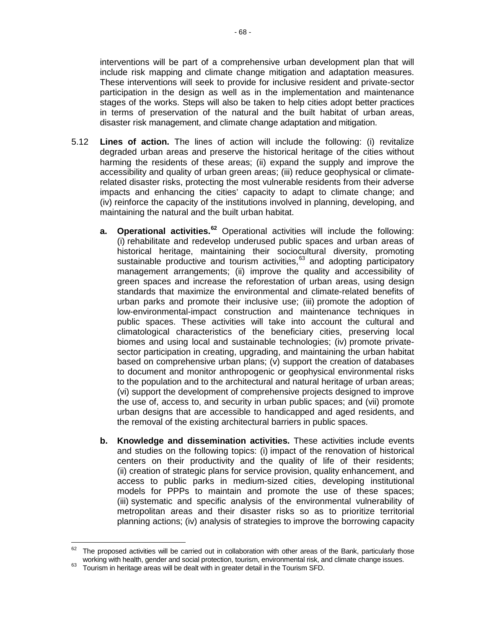interventions will be part of a comprehensive urban development plan that will include risk mapping and climate change mitigation and adaptation measures. These interventions will seek to provide for inclusive resident and private-sector participation in the design as well as in the implementation and maintenance stages of the works. Steps will also be taken to help cities adopt better practices in terms of preservation of the natural and the built habitat of urban areas, disaster risk management, and climate change adaptation and mitigation.

- 5.12 **Lines of action.** The lines of action will include the following: (i) revitalize degraded urban areas and preserve the historical heritage of the cities without harming the residents of these areas; (ii) expand the supply and improve the accessibility and quality of urban green areas; (iii) reduce geophysical or climaterelated disaster risks, protecting the most vulnerable residents from their adverse impacts and enhancing the cities' capacity to adapt to climate change; and (iv) reinforce the capacity of the institutions involved in planning, developing, and maintaining the natural and the built urban habitat.
	- **a. Operational activities.[62](#page-72-0)** Operational activities will include the following: (i) rehabilitate and redevelop underused public spaces and urban areas of historical heritage, maintaining their sociocultural diversity, promoting sustainable productive and tourism activities,<sup>[63](#page-72-1)</sup> and adopting participatory management arrangements; (ii) improve the quality and accessibility of green spaces and increase the reforestation of urban areas, using design standards that maximize the environmental and climate-related benefits of urban parks and promote their inclusive use; (iii) promote the adoption of low-environmental-impact construction and maintenance techniques in public spaces. These activities will take into account the cultural and climatological characteristics of the beneficiary cities, preserving local biomes and using local and sustainable technologies; (iv) promote privatesector participation in creating, upgrading, and maintaining the urban habitat based on comprehensive urban plans; (v) support the creation of databases to document and monitor anthropogenic or geophysical environmental risks to the population and to the architectural and natural heritage of urban areas; (vi) support the development of comprehensive projects designed to improve the use of, access to, and security in urban public spaces; and (vii) promote urban designs that are accessible to handicapped and aged residents, and the removal of the existing architectural barriers in public spaces.
	- **b. Knowledge and dissemination activities.** These activities include events and studies on the following topics: (i) impact of the renovation of historical centers on their productivity and the quality of life of their residents; (ii) creation of strategic plans for service provision, quality enhancement, and access to public parks in medium-sized cities, developing institutional models for PPPs to maintain and promote the use of these spaces; (iii) systematic and specific analysis of the environmental vulnerability of metropolitan areas and their disaster risks so as to prioritize territorial planning actions; (iv) analysis of strategies to improve the borrowing capacity

<span id="page-72-0"></span>The proposed activities will be carried out in collaboration with other areas of the Bank, particularly those working with health, gender and social protection, tourism, environmental risk, and climate change issues.<br><sup>63</sup> Tourism in heritage areas will be dealt with in greater detail in the Tourism SFD.

<span id="page-72-1"></span>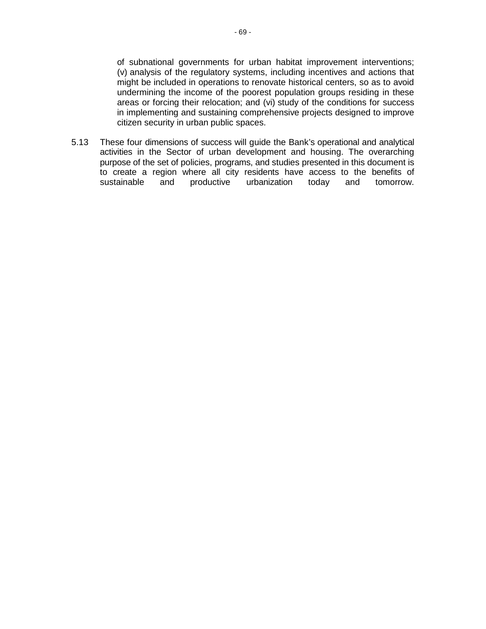of subnational governments for urban habitat improvement interventions; (v) analysis of the regulatory systems, including incentives and actions that might be included in operations to renovate historical centers, so as to avoid undermining the income of the poorest population groups residing in these areas or forcing their relocation; and (vi) study of the conditions for success in implementing and sustaining comprehensive projects designed to improve citizen security in urban public spaces.

5.13 These four dimensions of success will guide the Bank's operational and analytical activities in the Sector of urban development and housing. The overarching purpose of the set of policies, programs, and studies presented in this document is to create a region where all city residents have access to the benefits of sustainable and productive urbanization today and tomorrow.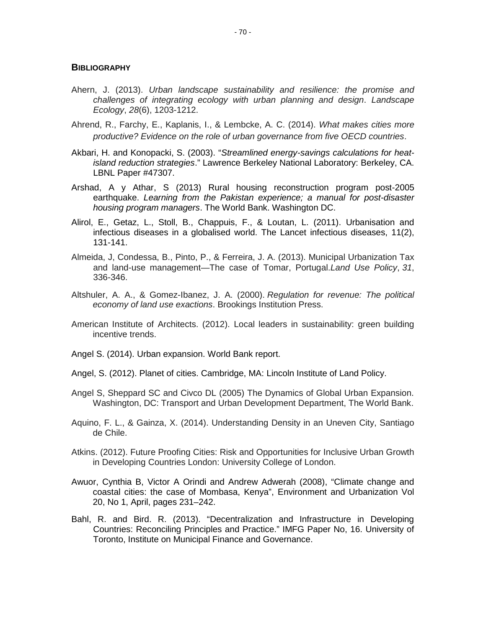## **BIBLIOGRAPHY**

- Ahern, J. (2013). *Urban landscape sustainability and resilience: the promise and challenges of integrating ecology with urban planning and design*. *Landscape Ecology*, *28*(6), 1203-1212.
- Ahrend, R., Farchy, E., Kaplanis, I., & Lembcke, A. C. (2014). *What makes cities more productive? Evidence on the role of urban governance from five OECD countries*.
- Akbari, H. and Konopacki, S. (2003). "*Streamlined energy-savings calculations for heatisland reduction strategies*." Lawrence Berkeley National Laboratory: Berkeley, CA. LBNL Paper #47307.
- Arshad, A y Athar, S (2013) Rural housing reconstruction program post-2005 earthquake. *Learning from the Pakistan experience; a manual for post-disaster housing program managers*. The World Bank. Washington DC.
- Alirol, E., Getaz, L., Stoll, B., Chappuis, F., & Loutan, L. (2011). Urbanisation and infectious diseases in a globalised world. The Lancet infectious diseases, 11(2), 131-141.
- Almeida, J, Condessa, B., Pinto, P., & Ferreira, J. A. (2013). Municipal Urbanization Tax and land-use management—The case of Tomar, Portugal.*Land Use Policy*, *31*, 336-346.
- Altshuler, A. A., & Gomez-Ibanez, J. A. (2000). *Regulation for revenue: The political economy of land use exactions*. Brookings Institution Press.
- American Institute of Architects. (2012). Local leaders in sustainability: green building incentive trends.
- Angel S. (2014). Urban expansion. World Bank report.
- Angel, S. (2012). Planet of cities. Cambridge, MA: Lincoln Institute of Land Policy.
- Angel S, Sheppard SC and Civco DL (2005) The Dynamics of Global Urban Expansion. Washington, DC: Transport and Urban Development Department, The World Bank.
- Aquino, F. L., & Gainza, X. (2014). Understanding Density in an Uneven City, Santiago de Chile.
- Atkins. (2012). Future Proofing Cities: Risk and Opportunities for Inclusive Urban Growth in Developing Countries London: University College of London.
- Awuor, Cynthia B, Victor A Orindi and Andrew Adwerah (2008), "Climate change and coastal cities: the case of Mombasa, Kenya", Environment and Urbanization Vol 20, No 1, April, pages 231–242.
- Bahl, R. and Bird. R. (2013). "Decentralization and Infrastructure in Developing Countries: Reconciling Principles and Practice." IMFG Paper No, 16. University of Toronto, Institute on Municipal Finance and Governance.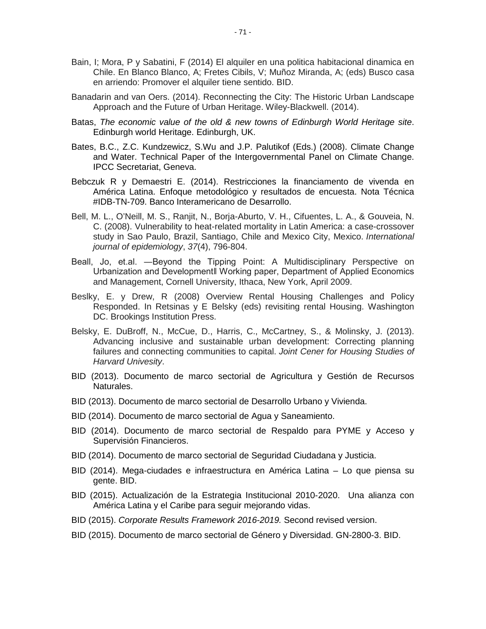- Bain, I; Mora, P y Sabatini, F (2014) El alquiler en una politica habitacional dinamica en Chile. En Blanco Blanco, A; Fretes Cibils, V; Muñoz Miranda, A; (eds) Busco casa en arriendo: Promover el alquiler tiene sentido. BID.
- Banadarin and van Oers. (2014). Reconnecting the City: The Historic Urban Landscape Approach and the Future of Urban Heritage. Wiley-Blackwell. (2014).
- Batas, *The economic value of the old & new towns of Edinburgh World Heritage site*. Edinburgh world Heritage. Edinburgh, UK.
- Bates, B.C., Z.C. Kundzewicz, S.Wu and J.P. Palutikof (Eds.) (2008). Climate Change and Water. Technical Paper of the Intergovernmental Panel on Climate Change. IPCC Secretariat, Geneva.
- Bebczuk R y Demaestri E. (2014). Restricciones la financiamento de vivenda en América Latina. Enfoque metodológico y resultados de encuesta. Nota Técnica #IDB-TN-709. Banco Interamericano de Desarrollo.
- Bell, M. L., O'Neill, M. S., Ranjit, N., Borja-Aburto, V. H., Cifuentes, L. A., & Gouveia, N. C. (2008). Vulnerability to heat-related mortality in Latin America: a case-crossover study in Sao Paulo, Brazil, Santiago, Chile and Mexico City, Mexico. *International journal of epidemiology*, *37*(4), 796-804.
- Beall, Jo, et.al. ―Beyond the Tipping Point: A Multidisciplinary Perspective on Urbanization and Development‖ Working paper, Department of Applied Economics and Management, Cornell University, Ithaca, New York, April 2009.
- Beslky, E. y Drew, R (2008) Overview Rental Housing Challenges and Policy Responded. In Retsinas y E Belsky (eds) revisiting rental Housing. Washington DC. Brookings Institution Press.
- Belsky, E. DuBroff, N., McCue, D., Harris, C., McCartney, S., & Molinsky, J. (2013). Advancing inclusive and sustainable urban development: Correcting planning failures and connecting communities to capital. *Joint Cener for Housing Studies of Harvard Univesity*.
- BID (2013). Documento de marco sectorial de Agricultura y Gestión de Recursos Naturales.
- BID (2013). Documento de marco sectorial de Desarrollo Urbano y Vivienda.
- BID (2014). Documento de marco sectorial de Agua y Saneamiento.
- BID (2014). Documento de marco sectorial de Respaldo para PYME y Acceso y Supervisión Financieros.
- BID (2014). Documento de marco sectorial de Seguridad Ciudadana y Justicia.
- BID (2014). Mega-ciudades e infraestructura en América Latina Lo que piensa su gente. BID.
- BID (2015). Actualización de la Estrategia Institucional 2010-2020. Una alianza con América Latina y el Caribe para seguir mejorando vidas.
- BID (2015). *Corporate Results Framework 2016-2019.* Second revised version.
- BID (2015). Documento de marco sectorial de Género y Diversidad. GN-2800-3. BID.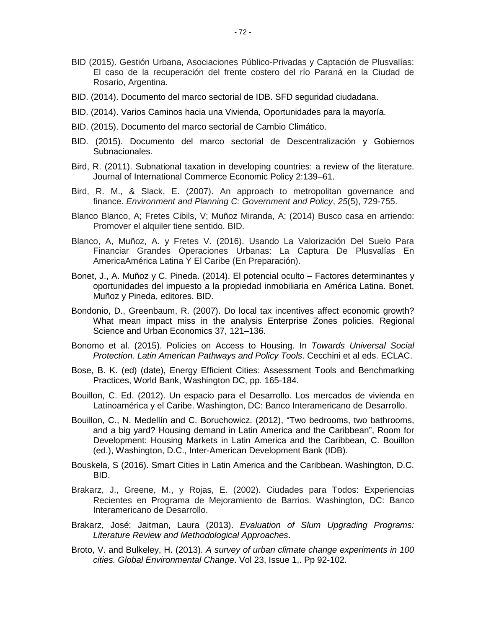- BID (2015). Gestión Urbana, Asociaciones Público-Privadas y Captación de Plusvalías: El caso de la recuperación del frente costero del río Paraná en la Ciudad de Rosario, Argentina.
- BID. (2014). Documento del marco sectorial de IDB. SFD seguridad ciudadana.
- BID. (2014). Varios Caminos hacia una Vivienda, Oportunidades para la mayoría.
- BID. (2015). Documento del marco sectorial de Cambio Climático.
- BID. (2015). Documento del marco sectorial de Descentralización y Gobiernos Subnacionales.
- Bird, R. (2011). Subnational taxation in developing countries: a review of the literature. Journal of International Commerce Economic Policy 2:139–61.
- Bird, R. M., & Slack, E. (2007). An approach to metropolitan governance and finance. *Environment and Planning C: Government and Policy*, *25*(5), 729-755.
- Blanco Blanco, A; Fretes Cibils, V; Muñoz Miranda, A; (2014) Busco casa en arriendo: Promover el alquiler tiene sentido. BID.
- Blanco, A, Muñoz, A. y Fretes V. (2016). Usando La Valorización Del Suelo Para Financiar Grandes Operaciones Urbanas: La Captura De Plusvalías En AmericaAmérica Latina Y El Caribe (En Preparación).
- Bonet, J., A. Muñoz y C. Pineda. (2014). El potencial oculto Factores determinantes y oportunidades del impuesto a la propiedad inmobiliaria en América Latina. Bonet, Muñoz y Pineda, editores. BID.
- Bondonio, D., Greenbaum, R. (2007). Do local tax incentives affect economic growth? What mean impact miss in the analysis Enterprise Zones policies. Regional Science and Urban Economics 37, 121–136.
- Bonomo et al. (2015). Policies on Access to Housing. In *Towards Universal Social Protection. Latin American Pathways and Policy Tools*. Cecchini et al eds. ECLAC.
- Bose, B. K. (ed) (date), Energy Efficient Cities: Assessment Tools and Benchmarking Practices, World Bank, Washington DC, pp. 165-184.
- Bouillon, C. Ed. (2012). Un espacio para el Desarrollo. Los mercados de vivienda en Latinoamérica y el Caribe. Washington, DC: Banco Interamericano de Desarrollo.
- Bouillon, C., N. Medellín and C. Boruchowicz. (2012), "Two bedrooms, two bathrooms, and a big yard? Housing demand in Latin America and the Caribbean", Room for Development: Housing Markets in Latin America and the Caribbean, C. Bouillon (ed.), Washington, D.C., Inter-American Development Bank (IDB).
- Bouskela, S (2016). Smart Cities in Latin America and the Caribbean. Washington, D.C. BID.
- Brakarz, J., Greene, M., y Rojas, E. (2002). Ciudades para Todos: Experiencias Recientes en Programa de Mejoramiento de Barrios. Washington, DC: Banco Interamericano de Desarrollo.
- Brakarz, José; Jaitman, Laura (2013). *Evaluation of Slum Upgrading Programs: Literature Review and Methodological Approaches*.
- Broto, V. and Bulkeley, H. (2013). *A survey of urban climate change experiments in 100 cities. Global Environmental Change*. Vol 23, Issue 1,. Pp 92-102.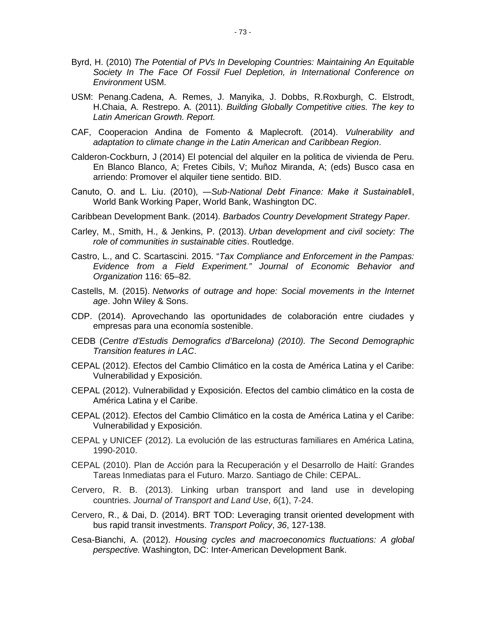- Byrd, H. (2010) *The Potential of PVs In Developing Countries: Maintaining An Equitable Society In The Face Of Fossil Fuel Depletion, in International Conference on Environment* USM.
- USM: Penang.Cadena, A. Remes, J. Manyika, J. Dobbs, R.Roxburgh, C. Elstrodt, H.Chaia, A. Restrepo. A. (2011). *Building Globally Competitive cities. The key to Latin American Growth. Report.*
- CAF, Cooperacion Andina de Fomento & Maplecroft. (2014). *Vulnerability and adaptation to climate change in the Latin American and Caribbean Region*.
- Calderon-Cockburn, J (2014) El potencial del alquiler en la politica de vivienda de Peru. En Blanco Blanco, A; Fretes Cibils, V; Muñoz Miranda, A; (eds) Busco casa en arriendo: Promover el alquiler tiene sentido. BID.
- Canuto, O. and L. Liu. (2010), ―*Sub-National Debt Finance: Make it Sustainable‖*, World Bank Working Paper, World Bank, Washington DC.
- Caribbean Development Bank. (2014). *Barbados Country Development Strategy Paper*.
- Carley, M., Smith, H., & Jenkins, P. (2013). *Urban development and civil society: The role of communities in sustainable cities*. Routledge.
- Castro, L., and C. Scartascini. 2015. "*Tax Compliance and Enforcement in the Pampas: Evidence from a Field Experiment." Journal of Economic Behavior and Organization* 116: 65–82.
- Castells, M. (2015). *Networks of outrage and hope: Social movements in the Internet age*. John Wiley & Sons.
- CDP. (2014). Aprovechando las oportunidades de colaboración entre ciudades y empresas para una economía sostenible.
- CEDB (*Centre d'Estudis Demografics d'Barcelona) (2010). The Second Demographic Transition features in LAC*.
- CEPAL (2012). Efectos del Cambio Climático en la costa de América Latina y el Caribe: Vulnerabilidad y Exposición.
- CEPAL (2012). Vulnerabilidad y Exposición. Efectos del cambio climático en la costa de América Latina y el Caribe.
- CEPAL (2012). Efectos del Cambio Climático en la costa de América Latina y el Caribe: Vulnerabilidad y Exposición.
- CEPAL y UNICEF (2012). La evolución de las estructuras familiares en América Latina, 1990-2010.
- CEPAL (2010). Plan de Acción para la Recuperación y el Desarrollo de Haití: Grandes Tareas Inmediatas para el Futuro. Marzo. Santiago de Chile: CEPAL.
- Cervero, R. B. (2013). Linking urban transport and land use in developing countries. *Journal of Transport and Land Use*, *6*(1), 7-24.
- Cervero, R., & Dai, D. (2014). BRT TOD: Leveraging transit oriented development with bus rapid transit investments. *Transport Policy*, *36*, 127-138.
- Cesa-Bianchi, A. (2012). *Housing cycles and macroeconomics fluctuations: A global perspective.* Washington, DC: Inter-American Development Bank.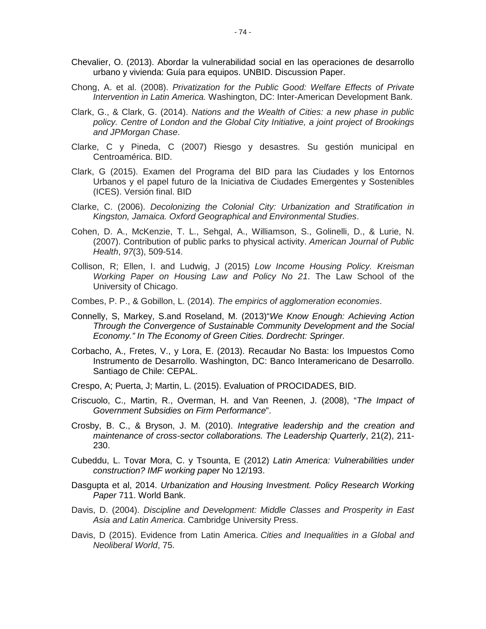- Chevalier, O. (2013). Abordar la vulnerabilidad social en las operaciones de desarrollo urbano y vivienda: Guía para equipos. UNBID. Discussion Paper.
- Chong, A. et al. (2008). *Privatization for the Public Good: Welfare Effects of Private Intervention in Latin America.* Washington, DC: Inter-American Development Bank.
- Clark, G., & Clark, G. (2014). *Nations and the Wealth of Cities: a new phase in public policy. Centre of London and the Global City Initiative, a joint project of Brookings and JPMorgan Chase*.
- Clarke, C y Pineda, C (2007) Riesgo y desastres. Su gestión municipal en Centroamérica. BID.
- Clark, G (2015). Examen del Programa del BID para las Ciudades y los Entornos Urbanos y el papel futuro de la Iniciativa de Ciudades Emergentes y Sostenibles (ICES). Versión final. BID
- Clarke, C. (2006). *Decolonizing the Colonial City: Urbanization and Stratification in Kingston, Jamaica. Oxford Geographical and Environmental Studies*.
- Cohen, D. A., McKenzie, T. L., Sehgal, A., Williamson, S., Golinelli, D., & Lurie, N. (2007). Contribution of public parks to physical activity. *American Journal of Public Health*, *97*(3), 509-514.
- Collison, R; Ellen, I. and Ludwig, J (2015) *Low Income Housing Policy. Kreisman Working Paper on Housing Law and Policy No 21*. The Law School of the University of Chicago.
- Combes, P. P., & Gobillon, L. (2014). *The empirics of agglomeration economies*.
- Connelly, S, Markey, S.and Roseland, M. (2013)"*We Know Enough: Achieving Action Through the Convergence of Sustainable Community Development and the Social Economy." In The Economy of Green Cities. Dordrecht: Springer.*
- Corbacho, A., Fretes, V., y Lora, E. (2013). Recaudar No Basta: los Impuestos Como Instrumento de Desarrollo. Washington, DC: Banco Interamericano de Desarrollo. Santiago de Chile: CEPAL.
- Crespo, A; Puerta, J; Martin, L. (2015). Evaluation of PROCIDADES, BID.
- Criscuolo, C., Martin, R., Overman, H. and Van Reenen, J. (2008), "*The Impact of Government Subsidies on Firm Performance*".
- Crosby, B. C., & Bryson, J. M. (2010). *Integrative leadership and the creation and maintenance of cross-sector collaborations. The Leadership Quarterly*, 21(2), 211- 230.
- Cubeddu, L. Tovar Mora, C. y Tsounta, E (2012) *Latin America: Vulnerabilities under construction? IMF working paper* No 12/193.
- Dasgupta et al, 2014. *Urbanization and Housing Investment. Policy Research Working Paper* 711. World Bank.
- Davis, D. (2004). *Discipline and Development: Middle Classes and Prosperity in East Asia and Latin America*. Cambridge University Press.
- Davis, D (2015). Evidence from Latin America. *Cities and Inequalities in a Global and Neoliberal World*, 75.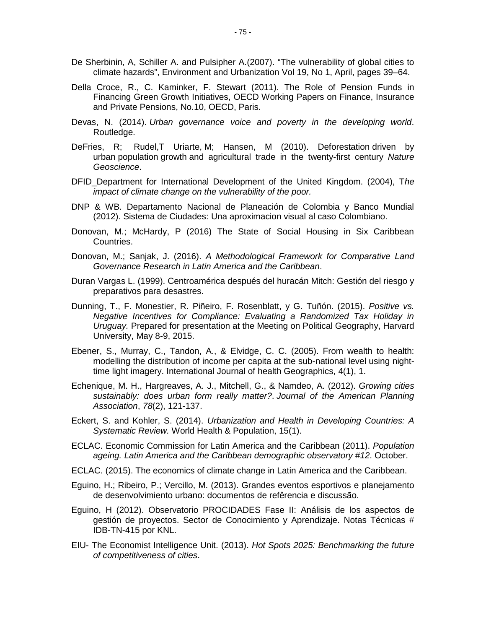- De Sherbinin, A, Schiller A. and Pulsipher A.(2007). "The vulnerability of global cities to climate hazards", Environment and Urbanization Vol 19, No 1, April, pages 39–64.
- Della Croce, R., C. Kaminker, F. Stewart (2011). The Role of Pension Funds in Financing Green Growth Initiatives, OECD Working Papers on Finance, Insurance and Private Pensions, No.10, OECD, Paris.
- Devas, N. (2014). *Urban governance voice and poverty in the developing world*. Routledge.
- DeFries, R; [Rudel,](https://scholar.google.com/citations?user=50Z2BYgAAAAJ&hl=en&oi=sra)T Uriarte, [M; Hansen,](https://scholar.google.com/citations?user=rnSx_4IAAAAJ&hl=en&oi=sra) M (2010). Deforestation driven by urban population growth and agricultural trade in the twenty-first century *Nature Geoscience*.
- DFID\_Department for International Development of the United Kingdom. (2004), T*he impact of climate change on the vulnerability of the poor.*
- DNP & WB. Departamento Nacional de Planeación de Colombia y Banco Mundial (2012). Sistema de Ciudades: Una aproximacion visual al caso Colombiano.
- Donovan, M.; McHardy, P (2016) The State of Social Housing in Six Caribbean Countries.
- Donovan, M.; Sanjak, J. (2016). *A Methodological Framework for Comparative Land Governance Research in Latin America and the Caribbean*.
- Duran Vargas L. (1999). Centroamérica después del huracán Mitch: Gestión del riesgo y preparativos para desastres.
- Dunning, T., F. Monestier, R. Piñeiro, F. Rosenblatt, y G. Tuñón. (2015). *Positive vs. Negative Incentives for Compliance: Evaluating a Randomized Tax Holiday in Uruguay.* Prepared for presentation at the Meeting on Political Geography, Harvard University, May 8-9, 2015.
- Ebener, S., Murray, C., Tandon, A., & Elvidge, C. C. (2005). From wealth to health: modelling the distribution of income per capita at the sub-national level using nighttime light imagery. International Journal of health Geographics, 4(1), 1.
- Echenique, M. H., Hargreaves, A. J., Mitchell, G., & Namdeo, A. (2012). *Growing cities sustainably: does urban form really matter?*. *Journal of the American Planning Association*, *78*(2), 121-137.
- Eckert, [S. and Kohler, S.](http://www.longwoods.com/content/23722#abtauth) (2014). *Urbanization and Health in Developing Countries: A Systematic Review.* World Health & Population, 15(1).
- ECLAC. Economic Commission for Latin America and the Caribbean (2011). *Population ageing. Latin America and the Caribbean demographic observatory #12*. October.
- ECLAC. (2015). The economics of climate change in Latin America and the Caribbean.
- Eguino, H.; Ribeiro, P.; Vercillo, M. (2013). Grandes eventos esportivos e planejamento de desenvolvimiento urbano: documentos de refêrencia e discussão.
- Eguino, H (2012). Observatorio PROCIDADES Fase II: Análisis de los aspectos de gestión de proyectos. Sector de Conocimiento y Aprendizaje. Notas Técnicas # IDB-TN-415 por KNL.
- EIU- The Economist Intelligence Unit. (2013). *Hot Spots 2025: Benchmarking the future of competitiveness of cities*.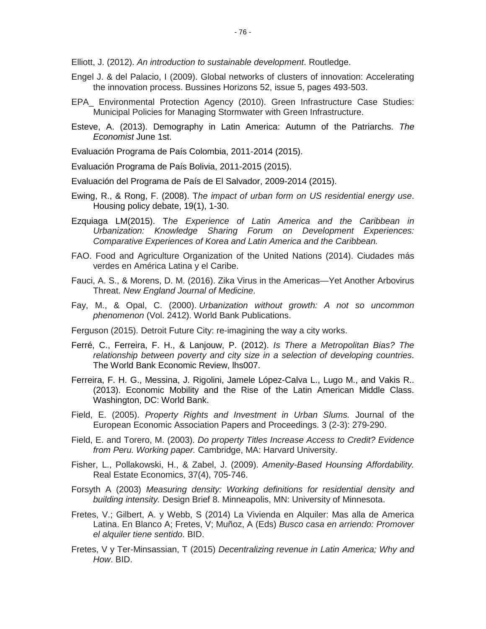Elliott, J. (2012). *An introduction to sustainable development*. Routledge.

- Engel J. & del Palacio, I (2009). Global networks of clusters of innovation: Accelerating the innovation process. Bussines Horizons 52, issue 5, pages 493-503.
- EPA\_ Environmental Protection Agency (2010). Green Infrastructure Case Studies: Municipal Policies for Managing Stormwater with Green Infrastructure.
- Esteve, A. (2013). Demography in Latin America: Autumn of the Patriarchs. *The Economist* June 1st.
- Evaluación Programa de País Colombia, 2011-2014 (2015).
- Evaluación Programa de País Bolivia, 2011-2015 (2015).
- Evaluación del Programa de País de El Salvador, 2009-2014 (2015).
- Ewing, R., & Rong, F. (2008). T*he impact of urban form on US residential energy use*. Housing policy debate, 19(1), 1-30.
- Ezquiaga LM(2015). T*he Experience of Latin America and the Caribbean in Urbanization: Knowledge Sharing Forum on Development Experiences: Comparative Experiences of Korea and Latin America and the Caribbean.*
- FAO. Food and Agriculture Organization of the United Nations (2014). Ciudades más verdes en América Latina y el Caribe.
- Fauci, A. S., & Morens, D. M. (2016). Zika Virus in the Americas—Yet Another Arbovirus Threat. *New England Journal of Medicine*.
- Fay, M., & Opal, C. (2000). *Urbanization without growth: A not so uncommon phenomenon* (Vol. 2412). World Bank Publications.
- Ferguson (2015). Detroit Future City: re-imagining the way a city works.
- Ferré, C., Ferreira, F. H., & Lanjouw, P. (2012). *Is There a Metropolitan Bias? The relationship between poverty and city size in a selection of developing countries*. The World Bank Economic Review, lhs007.
- Ferreira, F. H. G., Messina, J. Rigolini, Jamele López-Calva L., Lugo M., and Vakis R.. (2013). Economic Mobility and the Rise of the Latin American Middle Class. Washington, DC: World Bank.
- Field, E. (2005). *Property Rights and Investment in Urban Slums.* Journal of the European Economic Association Papers and Proceedings. 3 (2-3): 279-290.
- Field, E. and Torero, M. (2003). *Do property Titles Increase Access to Credit? Evidence from Peru. Working paper.* Cambridge, MA: Harvard University.
- Fisher, L., Pollakowski, H., & Zabel, J. (2009). *Amenity-Based Hounsing Affordability.* Real Estate Economics, 37(4), 705-746.
- Forsyth A (2003) *Measuring density: Working definitions for residential density and building intensity.* Design Brief 8. Minneapolis, MN: University of Minnesota.
- Fretes, V.; Gilbert, A. y Webb, S (2014) La Vivienda en Alquiler: Mas alla de America Latina. En Blanco A; Fretes, V; Muñoz, A (Eds) *Busco casa en arriendo: Promover el alquiler tiene sentido*. BID.
- Fretes, V y Ter-Minsassian, T (2015) *Decentralizing revenue in Latin America; Why and How*. BID.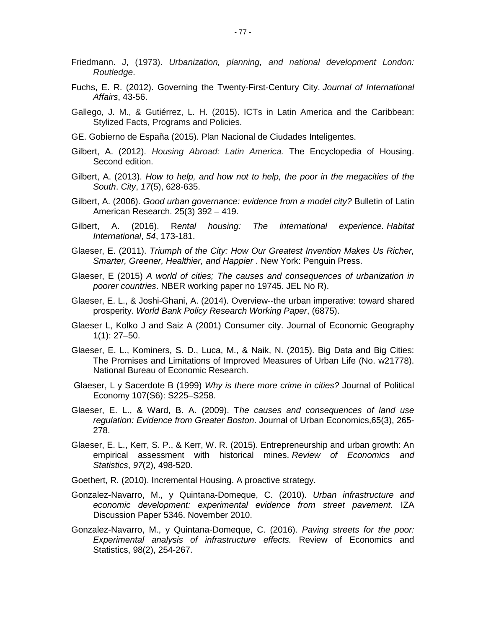- Friedmann. J, (1973). *Urbanization, planning, and national development London: Routledge*.
- Fuchs, E. R. (2012). Governing the Twenty-First-Century City. *Journal of International Affairs*, 43-56.
- Gallego, J. M., & Gutiérrez, L. H. (2015). ICTs in Latin America and the Caribbean: Stylized Facts, Programs and Policies.
- GE. Gobierno de España (2015). Plan Nacional de Ciudades Inteligentes.
- Gilbert, A. (2012). *Housing Abroad: Latin America.* The Encyclopedia of Housing. Second edition.
- Gilbert, A. (2013). *How to help, and how not to help, the poor in the megacities of the South*. *City*, *17*(5), 628-635.
- Gilbert, A. (2006). *Good urban governance: evidence from a model city?* Bulletin of Latin American Research. 25(3) 392 – 419.
- Gilbert, A. (2016). R*ental housing: The international experience. Habitat International*, *54*, 173-181.
- Glaeser, E. (2011). *Triumph of the City: How Our Greatest Invention Makes Us Richer, Smarter, Greener, Healthier, and Happier* . New York: Penguin Press.
- Glaeser, E (2015) *A world of cities; The causes and consequences of urbanization in poorer countries*. NBER working paper no 19745. JEL No R).
- Glaeser, E. L., & Joshi-Ghani, A. (2014). Overview--the urban imperative: toward shared prosperity. *World Bank Policy Research Working Paper*, (6875).
- Glaeser L, Kolko J and Saiz A (2001) Consumer city. Journal of Economic Geography 1(1): 27–50.
- Glaeser, E. L., Kominers, S. D., Luca, M., & Naik, N. (2015). Big Data and Big Cities: The Promises and Limitations of Improved Measures of Urban Life (No. w21778). National Bureau of Economic Research.
- Glaeser, L y Sacerdote B (1999) *Why is there more crime in cities?* Journal of Political Economy 107(S6): S225–S258.
- Glaeser, E. L., & Ward, B. A. (2009). T*he causes and consequences of land use regulation: Evidence from Greater Boston*. Journal of Urban Economics,65(3), 265- 278.
- Glaeser, E. L., Kerr, S. P., & Kerr, W. R. (2015). Entrepreneurship and urban growth: An empirical assessment with historical mines. *Review of Economics and Statistics*, *97*(2), 498-520.
- Goethert, R. (2010). Incremental Housing. A proactive strategy.
- Gonzalez-Navarro, M., y Quintana-Domeque, C. (2010). *Urban infrastructure and economic development: experimental evidence from street pavement.* IZA Discussion Paper 5346. November 2010.
- Gonzalez-Navarro, M., y Quintana-Domeque, C. (2016). *Paving streets for the poor: Experimental analysis of infrastructure effects.* Review of Economics and Statistics, 98(2), 254-267.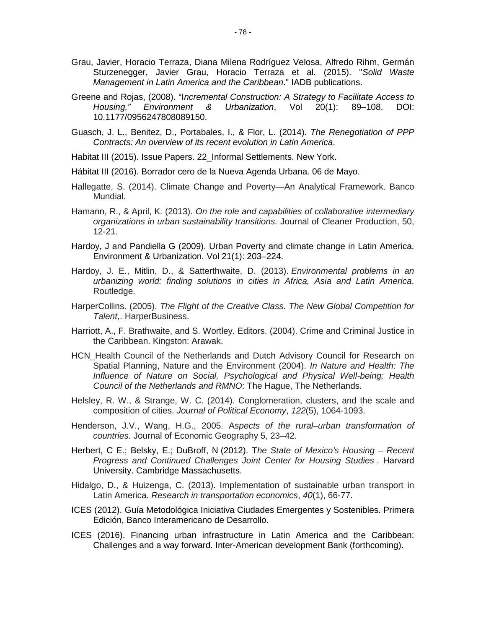- Grau, Javier, Horacio Terraza, Diana Milena Rodríguez Velosa, Alfredo Rihm, Germán Sturzenegger, Javier Grau, Horacio Terraza et al. (2015). "*Solid Waste Management in Latin America and the Caribbean*." IADB publications.
- Greene and Rojas, (2008). "I*ncremental Construction: A Strategy to Facilitate Access to Housing," Environment & Urbanization*, Vol 20(1): 89–108. DOI: 10.1177/0956247808089150.
- Guasch, J. L., Benitez, D., Portabales, I., & Flor, L. (2014). *The Renegotiation of PPP Contracts: An overview of its recent evolution in Latin America*.
- Habitat III (2015). Issue Papers. 22 Informal Settlements. New York.
- Hábitat III (2016). Borrador cero de la Nueva Agenda Urbana. 06 de Mayo.
- Hallegatte, S. (2014). Climate Change and Poverty—An Analytical Framework. Banco Mundial.
- Hamann, R., & April, K. (2013). *On the role and capabilities of collaborative intermediary organizations in urban sustainability transitions.* Journal of Cleaner Production, 50, 12-21.
- Hardoy, J and Pandiella G (2009). Urban Poverty and climate change in Latin America. Environment & Urbanization. Vol 21(1): 203–224.
- Hardoy, J. E., Mitlin, D., & Satterthwaite, D. (2013). *Environmental problems in an urbanizing world: finding solutions in cities in Africa, Asia and Latin America*. Routledge.
- HarperCollins. (2005). *The Flight of the Creative Class. The New Global Competition for Talent*,. HarperBusiness.
- Harriott, A., F. Brathwaite, and S. Wortley. Editors. (2004). Crime and Criminal Justice in the Caribbean. Kingston: Arawak.
- HCN Health Council of the Netherlands and Dutch Advisory Council for Research on Spatial Planning, Nature and the Environment (2004). *In Nature and Health: The Influence of Nature on Social, Psychological and Physical Well-being; Health Council of the Netherlands and RMNO*: The Hague, The Netherlands.
- Helsley, R. W., & Strange, W. C. (2014). Conglomeration, clusters, and the scale and composition of cities. *Journal of Political Economy*, *122*(5), 1064-1093.
- Henderson, J.V., Wang, H.G., 2005. A*spects of the rural–urban transformation of countries.* Journal of Economic Geography 5, 23–42.
- Herbert, C E.; Belsky, E.; DuBroff, N (2012). T*he State of Mexico's Housing – Recent Progress and Continued Challenges Joint Center for Housing Studies* . Harvard University. Cambridge Massachusetts.
- Hidalgo, D., & Huizenga, C. (2013). Implementation of sustainable urban transport in Latin America. *Research in transportation economics*, *40*(1), 66-77.
- ICES (2012). Guía Metodológica Iniciativa Ciudades Emergentes y Sostenibles. Primera Edición, Banco Interamericano de Desarrollo.
- ICES (2016). Financing urban infrastructure in Latin America and the Caribbean: Challenges and a way forward. Inter-American development Bank (forthcoming).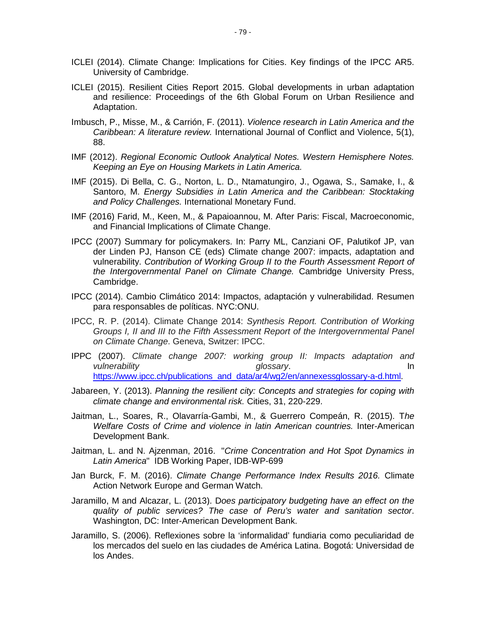- ICLEI (2014). Climate Change: Implications for Cities. Key findings of the IPCC AR5. University of Cambridge.
- ICLEI (2015). Resilient Cities Report 2015. Global developments in urban adaptation and resilience: Proceedings of the 6th Global Forum on Urban Resilience and Adaptation.
- Imbusch, P., Misse, M., & Carrión, F. (2011). *Violence research in Latin America and the Caribbean: A literature review.* International Journal of Conflict and Violence, 5(1), 88.
- IMF (2012). *Regional Economic Outlook Analytical Notes. Western Hemisphere Notes. Keeping an Eye on Housing Markets in Latin America.*
- IMF (2015). Di Bella, C. G., Norton, L. D., Ntamatungiro, J., Ogawa, S., Samake, I., & Santoro, M. *Energy Subsidies in Latin America and the Caribbean: Stocktaking and Policy Challenges.* International Monetary Fund.
- IMF (2016) Farid, M., Keen, M., & Papaioannou, M. After Paris: Fiscal, Macroeconomic, and Financial Implications of Climate Change.
- IPCC (2007) Summary for policymakers. In: Parry ML, Canziani OF, Palutikof JP, van der Linden PJ, Hanson CE (eds) Climate change 2007: impacts, adaptation and vulnerability. *Contribution of Working Group II to the Fourth Assessment Report of the Intergovernmental Panel on Climate Change.* Cambridge University Press, Cambridge.
- IPCC (2014). Cambio Climático 2014: Impactos, adaptación y vulnerabilidad. Resumen para responsables de políticas. NYC:ONU.
- IPCC, R. P. (2014). Climate Change 2014: *Synthesis Report. Contribution of Working Groups I, II and III to the Fifth Assessment Report of the Intergovernmental Panel on Climate Change*. Geneva, Switzer: IPCC.
- IPPC (2007). *Climate change 2007: working group II: Impacts adaptation and vulnerability glossary*. In [https://www.ipcc.ch/publications\\_and\\_data/ar4/wg2/en/annexessglossary-a-d.html.](https://www.ipcc.ch/publications_and_data/ar4/wg2/en/annexessglossary-a-d.html)
- Jabareen, Y. (2013). *Planning the resilient city: Concepts and strategies for coping with climate change and environmental risk.* Cities, 31, 220-229.
- Jaitman, L., Soares, R., Olavarría-Gambi, M., & Guerrero Compeán, R. (2015). T*he Welfare Costs of Crime and violence in latin American countries.* Inter-American Development Bank.
- Jaitman, L. and N. Ajzenman, 2016. "*Crime Concentration and Hot Spot Dynamics in Latin America*" IDB Working Paper, IDB-WP-699
- Jan Burck, F. M. (2016). *Climate Change Performance Index Results 2016.* Climate Action Network Europe and German Watch.
- Jaramillo, M and Alcazar, L. (2013). D*oes participatory budgeting have an effect on the quality of public services? The case of Peru's water and sanitation sector*. Washington, DC: Inter-American Development Bank.
- Jaramillo, S. (2006). Reflexiones sobre la 'informalidad' fundiaria como peculiaridad de los mercados del suelo en las ciudades de América Latina. Bogotá: Universidad de los Andes.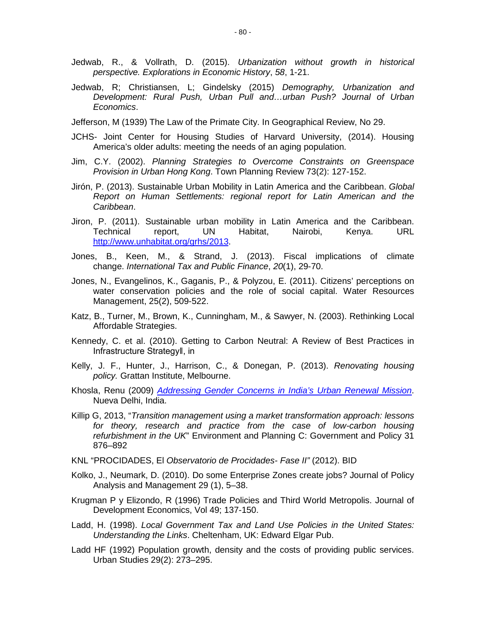- Jedwab, R., & Vollrath, D. (2015). *Urbanization without growth in historical perspective. Explorations in Economic History*, *58*, 1-21.
- Jedwab, R; Christiansen, L; Gindelsky (2015) *Demography, Urbanization and Development: Rural Push, Urban Pull and…urban Push? Journal of Urban Economics*.
- Jefferson, M (1939) The Law of the Primate City. In Geographical Review, No 29.
- JCHS- Joint Center for Housing Studies of Harvard University, (2014). Housing America's older adults: meeting the needs of an aging population.
- Jim, C.Y. (2002). *Planning Strategies to Overcome Constraints on Greenspace Provision in Urban Hong Kong*. Town Planning Review 73(2): 127-152.
- Jirón, P. (2013). Sustainable Urban Mobility in Latin America and the Caribbean. *Global Report on Human Settlements: regional report for Latin American and the Caribbean*.
- Jiron, P. (2011). Sustainable urban mobility in Latin America and the Caribbean. Technical report, UN Habitat, Nairobi, Kenya. URL [http://www.unhabitat.org/grhs/2013.](http://www.unhabitat.org/grhs/2013)
- Jones, B., Keen, M., & Strand, J. (2013). Fiscal implications of climate change. *International Tax and Public Finance*, *20*(1), 29-70.
- Jones, N., Evangelinos, K., Gaganis, P., & Polyzou, E. (2011). Citizens' perceptions on water conservation policies and the role of social capital. Water Resources Management, 25(2), 509-522.
- Katz, B., Turner, M., Brown, K., Cunningham, M., & Sawyer, N. (2003). Rethinking Local Affordable Strategies.
- Kennedy, C. et al. (2010). Getting to Carbon Neutral: A Review of Best Practices in Infrastructure Strategy‖, in
- Kelly, J. F., Hunter, J., Harrison, C., & Donegan, P. (2013). *Renovating housing policy.* Grattan Institute, Melbourne.
- Khosla, Renu (2009) *[Addressing Gender Concerns in](http://www.undp.org/content/dam/india/docs/addressinggenderconcerns.pdf) India's Urban Renewal Mission*. Nueva Delhi, India.
- Killip G, 2013, "*Transition management using a market transformation approach: lessons for theory, research and practice from the case of low-carbon housing refurbishment in the UK*" Environment and Planning C: Government and Policy 31 876–892
- KNL "PROCIDADES, El *Observatorio de Procidades- Fase II"* (2012). BID
- Kolko, J., Neumark, D. (2010). Do some Enterprise Zones create jobs? Journal of Policy Analysis and Management 29 (1), 5–38.
- Krugman P y Elizondo, R (1996) Trade Policies and Third World Metropolis. Journal of Development Economics, Vol 49; 137-150.
- Ladd, H. (1998). *Local Government Tax and Land Use Policies in the United States: Understanding the Links*. Cheltenham, UK: Edward Elgar Pub.
- Ladd HF (1992) Population growth, density and the costs of providing public services. Urban Studies 29(2): 273–295.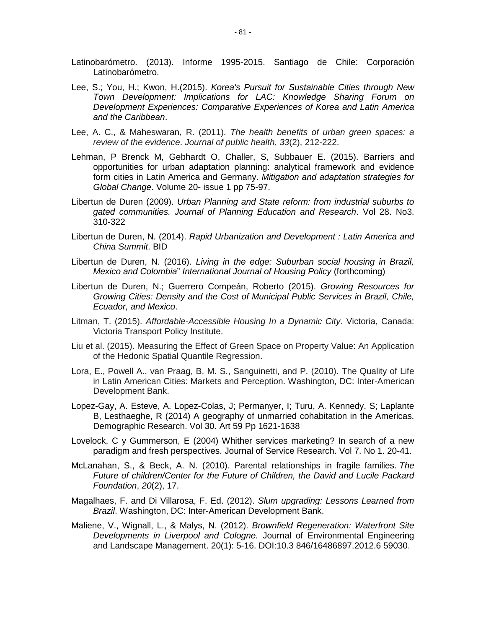- Latinobarómetro. (2013). Informe 1995-2015. Santiago de Chile: Corporación Latinobarómetro.
- Lee, S.; You, H.; Kwon, H.(2015). *Korea's Pursuit for Sustainable Cities through New Town Development: Implications for LAC: Knowledge Sharing Forum on Development Experiences: Comparative Experiences of Korea and Latin America and the Caribbean*.
- Lee, A. C., & Maheswaran, R. (2011). *The health benefits of urban green spaces: a review of the evidence*. *Journal of public health*, *33*(2), 212-222.
- Lehman, P Brenck M, Gebhardt O, Challer, S, Subbauer E. (2015). Barriers and opportunities for urban adaptation planning: analytical framework and evidence form cities in Latin America and Germany. *Mitigation and adaptation strategies for Global Change*. Volume 20- issue 1 pp 75-97.
- Libertun de Duren (2009). *Urban Planning and State reform: from industrial suburbs to gated communities. Journal of Planning Education and Research*. Vol 28. No3. 310-322
- Libertun de Duren, N. (2014). *Rapid Urbanization and Development : Latin America and China Summit*. BID
- Libertun de Duren, N. (2016). *Living in the edge: Suburban social housing in Brazil, Mexico and Colombia*" *International Journal of Housing Policy* (forthcoming)
- Libertun de Duren, N.; Guerrero Compeán, Roberto (2015). *Growing Resources for Growing Cities: Density and the Cost of Municipal Public Services in Brazil, Chile, Ecuador, and Mexico*.
- Litman, T. (2015). *Affordable-Accessible Housing In a Dynamic City*. Victoria, Canada: Victoria Transport Policy Institute.
- Liu et al. (2015). Measuring the Effect of Green Space on Property Value: An Application of the Hedonic Spatial Quantile Regression.
- Lora, E., Powell A., van Praag, B. M. S., Sanguinetti, and P. (2010). The Quality of Life in Latin American Cities: Markets and Perception. Washington, DC: Inter-American Development Bank.
- Lopez-Gay, A. Esteve, A. Lopez-Colas, J; Permanyer, I; Turu, A. Kennedy, S; Laplante B, Lesthaeghe, R (2014) A geography of unmarried cohabitation in the Americas. Demographic Research. Vol 30. Art 59 Pp 1621-1638
- Lovelock, C y Gummerson, E (2004) Whither services marketing? In search of a new paradigm and fresh perspectives. Journal of Service Research. Vol 7. No 1. 20-41.
- McLanahan, S., & Beck, A. N. (2010). Parental relationships in fragile families. *The Future of children/Center for the Future of Children, the David and Lucile Packard Foundation*, *20*(2), 17.
- Magalhaes, F. and Di Villarosa, F. Ed. (2012). *Slum upgrading: Lessons Learned from Brazil*. Washington, DC: Inter-American Development Bank.
- Maliene, V., Wignall, L., & Malys, N. (2012). *Brownfield Regeneration: Waterfront Site Developments in Liverpool and Cologne.* Journal of Environmental Engineering and Landscape Management. 20(1): 5-16. DOI:10.3 846/16486897.2012.6 59030.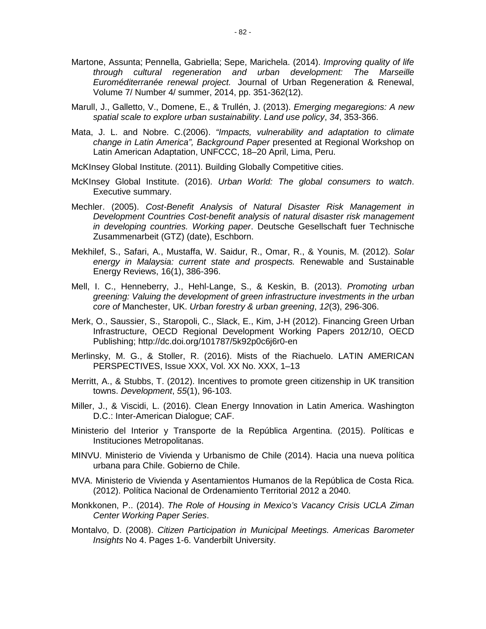- Martone, Assunta; Pennella, Gabriella; Sepe, Marichela. (2014). *Improving quality of life through cultural regeneration and urban development: The Marseille Euroméditerranée renewal project.* [Journal of Urban Regeneration & Renewal,](http://www.ingentaconnect.com/content/hsp/jurr;jsessionid=2jlo14gakprbr.victoria) Volume 7/ Number 4/ summer, 2014, pp. 351-362(12).
- Marull, J., Galletto, V., Domene, E., & Trullén, J. (2013). *Emerging megaregions: A new spatial scale to explore urban sustainability*. *Land use policy*, *34*, 353-366.
- Mata, J. L. and Nobre. C.(2006). *"Impacts, vulnerability and adaptation to climate change in Latin America", Background Paper* presented at Regional Workshop on Latin American Adaptation, UNFCCC, 18–20 April, Lima, Peru.
- McKInsey Global Institute. (2011). Building Globally Competitive cities.
- McKInsey Global Institute. (2016). *Urban World: The global consumers to watch*. Executive summary.
- Mechler. (2005). *Cost-Benefit Analysis of Natural Disaster Risk Management in Development Countries Cost-benefit analysis of natural disaster risk management in developing countries. Working paper*. Deutsche Gesellschaft fuer Technische Zusammenarbeit (GTZ) (date), Eschborn.
- Mekhilef, S., Safari, A., Mustaffa, W. Saidur, R., Omar, R., & Younis, M. (2012). *Solar energy in Malaysia: current state and prospects.* Renewable and Sustainable Energy Reviews, 16(1), 386-396.
- Mell, I. C., Henneberry, J., Hehl-Lange, S., & Keskin, B. (2013). *Promoting urban greening: Valuing the development of green infrastructure investments in the urban core of* Manchester, UK. *Urban forestry & urban greening*, *12*(3), 296-306.
- Merk, O., Saussier, S., Staropoli, C., Slack, E., Kim, J-H (2012). Financing Green Urban Infrastructure, OECD Regional Development Working Papers 2012/10, OECD Publishing; http://dc.doi.org/101787/5k92p0c6j6r0-en
- Merlinsky, M. G., & Stoller, R. (2016). Mists of the Riachuelo. LATIN AMERICAN PERSPECTIVES, Issue XXX, Vol. XX No. XXX, 1–13
- Merritt, A., & Stubbs, T. (2012). Incentives to promote green citizenship in UK transition towns. *Development*, *55*(1), 96-103.
- Miller, J., & Viscidi, L. (2016). Clean Energy Innovation in Latin America. Washington D.C.: Inter-American Dialogue; CAF.
- Ministerio del Interior y Transporte de la República Argentina. (2015). Políticas e Instituciones Metropolitanas.
- MINVU. Ministerio de Vivienda y Urbanismo de Chile (2014). Hacia una nueva política urbana para Chile. Gobierno de Chile.
- MVA. Ministerio de Vivienda y Asentamientos Humanos de la República de Costa Rica. (2012). Política Nacional de Ordenamiento Territorial 2012 a 2040.
- Monkkonen, P.. (2014). *The Role of Housing in Mexico's Vacancy Crisis UCLA Ziman Center Working Paper Series*.
- Montalvo, D. (2008). *Citizen Participation in Municipal Meetings. Americas Barometer Insights* No 4. Pages 1-6. Vanderbilt University.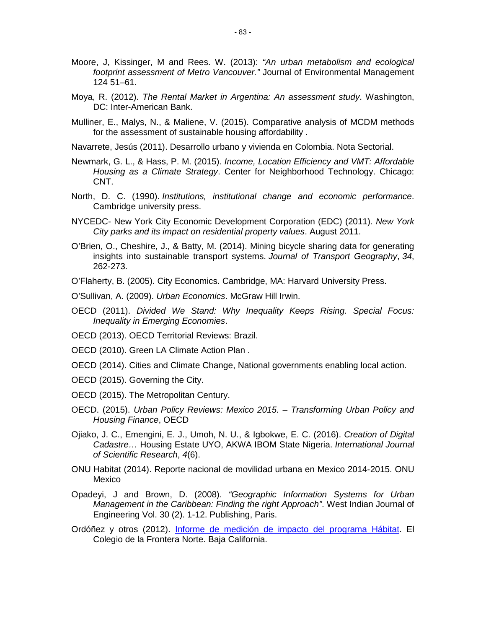- Moore, J, Kissinger, M and Rees. W. (2013): *"An urban metabolism and ecological footprint assessment of Metro Vancouver."* Journal of Environmental Management 124 51–61.
- Moya, R. (2012). *The Rental Market in Argentina: An assessment study*. Washington, DC: Inter-American Bank.
- Mulliner, E., Malys, N., & Maliene, V. (2015). Comparative analysis of MCDM methods for the assessment of sustainable housing affordability .
- Navarrete, Jesús (2011). Desarrollo urbano y vivienda en Colombia. Nota Sectorial.
- Newmark, G. L., & Hass, P. M. (2015). *Income, Location Efficiency and VMT: Affordable Housing as a Climate Strategy*. Center for Neighborhood Technology. Chicago: CNT.
- North, D. C. (1990). *Institutions, institutional change and economic performance*. Cambridge university press.
- NYCEDC- New York City Economic Development Corporation (EDC) (2011). *New York City parks and its impact on residential property values*. August 2011.
- O'Brien, O., Cheshire, J., & Batty, M. (2014). Mining bicycle sharing data for generating insights into sustainable transport systems. *Journal of Transport Geography*, *34*, 262-273.
- O'Flaherty, B. (2005). City Economics. Cambridge, MA: Harvard University Press.
- O'Sullivan, A. (2009). *Urban Economics*. McGraw Hill Irwin.
- OECD (2011). *Divided We Stand: Why Inequality Keeps Rising. Special Focus: Inequality in Emerging Economies*.
- OECD (2013). OECD Territorial Reviews: Brazil.
- OECD (2010). Green LA Climate Action Plan .
- OECD (2014). Cities and Climate Change, National governments enabling local action.
- OECD (2015). Governing the City.
- OECD (2015). The Metropolitan Century.
- OECD. (2015). *Urban Policy Reviews: Mexico 2015. – Transforming Urban Policy and Housing Finance*, OECD
- Ojiako, J. C., Emengini, E. J., Umoh, N. U., & Igbokwe, E. C. (2016). *Creation of Digital Cadastre…* Housing Estate UYO, AKWA IBOM State Nigeria. *International Journal of Scientific Research*, *4*(6).
- ONU Habitat (2014). Reporte nacional de movilidad urbana en Mexico 2014-2015. ONU Mexico
- Opadeyi, J and Brown, D. (2008). *"Geographic Information Systems for Urban Management in the Caribbean: Finding the right Approach"*. West Indian Journal of Engineering Vol. 30 (2). 1-12. Publishing, Paris.
- Ordóñez y otros (2012). [Informe de medición de impacto del programa Hábitat.](http://www.2006-2012.sedesol.gob.mx/work/models/SEDESOL/EvaluacionProgramasSociales/Evaluacion_Impacto/EI_Habitat_2008_2011/Habitat_Impacto_IF.pdf) El Colegio de la Frontera Norte. Baja California.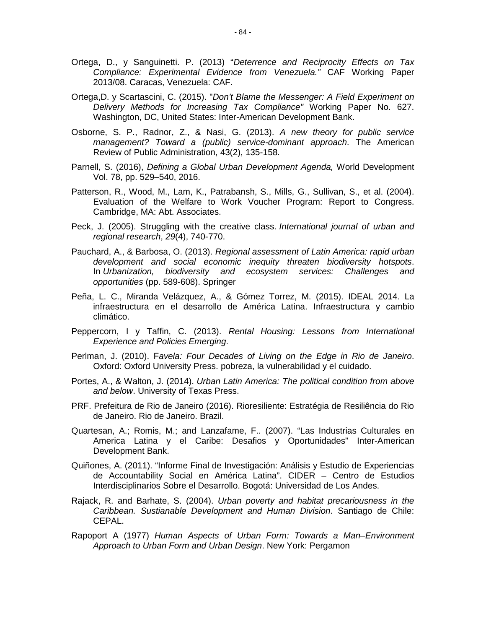- Ortega, D., y Sanguinetti. P. (2013) "*Deterrence and Reciprocity Effects on Tax Compliance: Experimental Evidence from Venezuela."* CAF Working Paper 2013/08. Caracas, Venezuela: CAF.
- Ortega,D. y Scartascini, C. (2015). "*Don't Blame the Messenger: A Field Experiment on Delivery Methods for Increasing Tax Compliance"* Working Paper No. 627. Washington, DC, United States: Inter-American Development Bank.
- Osborne, S. P., Radnor, Z., & Nasi, G. (2013). *A new theory for public service management? Toward a (public) service-dominant approach*. The American Review of Public Administration, 43(2), 135-158.
- Parnell, S. (2016), *Defining a Global Urban Development Agenda,* World Development Vol. 78, pp. 529–540, 2016.
- Patterson, R., Wood, M., Lam, K., Patrabansh, S., Mills, G., Sullivan, S., et al. (2004). Evaluation of the Welfare to Work Voucher Program: Report to Congress. Cambridge, MA: Abt. Associates.
- Peck, J. (2005). Struggling with the creative class. *International journal of urban and regional research*, *29*(4), 740-770.
- Pauchard, A., & Barbosa, O. (2013). *Regional assessment of Latin America: rapid urban development and social economic inequity threaten biodiversity hotspots*. In *Urbanization, biodiversity and ecosystem services: Challenges and opportunities* (pp. 589-608). Springer
- Peña, L. C., Miranda Velázquez, A., & Gómez Torrez, M. (2015). IDEAL 2014. La infraestructura en el desarrollo de América Latina. Infraestructura y cambio climático.
- Peppercorn, I y Taffin, C. (2013). *Rental Housing: Lessons from International Experience and Policies Emerging*.
- Perlman, J. (2010). F*avela: Four Decades of Living on the Edge in Rio de Janeiro*. Oxford: Oxford University Press. pobreza, la vulnerabilidad y el cuidado.
- Portes, A., & Walton, J. (2014). *Urban Latin America: The political condition from above and below*. University of Texas Press.
- PRF. Prefeitura de Rio de Janeiro (2016). Rioresiliente: Estratégia de Resiliência do Rio de Janeiro. Rio de Janeiro. Brazil.
- Quartesan, A.; Romis, M.; and Lanzafame, F.. (2007). "Las Industrias Culturales en America Latina y el Caribe: Desafios y Oportunidades" Inter-American Development Bank.
- Quiñones, A. (2011). "Informe Final de Investigación: Análisis y Estudio de Experiencias de Accountability Social en América Latina". CIDER – Centro de Estudios Interdisciplinarios Sobre el Desarrollo. Bogotá: Universidad de Los Andes.
- Rajack, R. and Barhate, S. (2004). *Urban poverty and habitat precariousness in the Caribbean. Sustianable Development and Human Division*. Santiago de Chile: CEPAL.
- Rapoport A (1977) *Human Aspects of Urban Form: Towards a Man–Environment Approach to Urban Form and Urban Design*. New York: Pergamon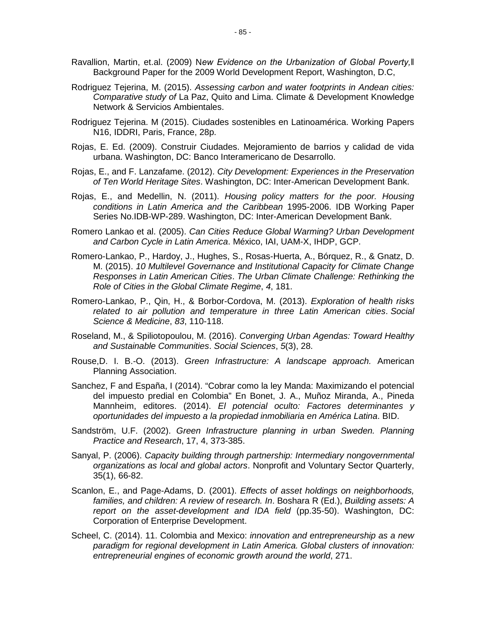- Ravallion, Martin, et.al. (2009) N*ew Evidence on the Urbanization of Global Poverty,‖* Background Paper for the 2009 World Development Report, Washington, D.C,
- Rodriguez Tejerina, M. (2015). *Assessing carbon and water footprints in Andean cities: Comparative study of* La Paz, Quito and Lima. Climate & Development Knowledge Network & Servicios Ambientales.
- Rodriguez Tejerina. M (2015). Ciudades sostenibles en Latinoamérica. Working Papers N16, IDDRI, Paris, France, 28p.
- Rojas, E. Ed. (2009). Construir Ciudades. Mejoramiento de barrios y calidad de vida urbana. Washington, DC: Banco Interamericano de Desarrollo.
- Rojas, E., and F. Lanzafame. (2012). *City Development: Experiences in the Preservation of Ten World Heritage Sites*. Washington, DC: Inter-American Development Bank.
- Rojas, E., and Medellin, N. (2011). *Housing policy matters for the poor. Housing conditions in Latin America and the Caribbean* 1995-2006. IDB Working Paper Series No.IDB-WP-289. Washington, DC: Inter-American Development Bank.
- Romero Lankao et al. (2005). *Can Cities Reduce Global Warming? Urban Development and Carbon Cycle in Latin America*. México, IAI, UAM-X, IHDP, GCP.
- Romero-Lankao, P., Hardoy, J., Hughes, S., Rosas-Huerta, A., Bórquez, R., & Gnatz, D. M. (2015). *10 Multilevel Governance and Institutional Capacity for Climate Change Responses in Latin American Cities*. *The Urban Climate Challenge: Rethinking the Role of Cities in the Global Climate Regime*, *4*, 181.
- Romero-Lankao, P., Qin, H., & Borbor-Cordova, M. (2013). *Exploration of health risks related to air pollution and temperature in three Latin American cities*. *Social Science & Medicine*, *83*, 110-118.
- Roseland, M., & Spiliotopoulou, M. (2016). *Converging Urban Agendas: Toward Healthy and Sustainable Communities*. *Social Sciences*, *5*(3), 28.
- Rouse,D. I. B.-O. (2013). *Green Infrastructure: A landscape approach.* American Planning Association.
- Sanchez, F and España, I (2014). "Cobrar como la ley Manda: Maximizando el potencial del impuesto predial en Colombia" En Bonet, J. A., Muñoz Miranda, A., Pineda Mannheim, editores. (2014). *El potencial oculto: Factores determinantes y oportunidades del impuesto a la propiedad inmobiliaria en América Latina*. BID.
- Sandström, U.F. (2002). *Green Infrastructure planning in urban Sweden. Planning Practice and Research*, 17, 4, 373-385.
- Sanyal, P. (2006). *Capacity building through partnership: Intermediary nongovernmental organizations as local and global actors*. Nonprofit and Voluntary Sector Quarterly, 35(1), 66-82.
- Scanlon, E., and Page-Adams, D. (2001). *Effects of asset holdings on neighborhoods, families, and children: A review of research. In*. Boshara R (Ed.), *Building assets: A report on the asset-development and IDA field* (pp.35-50). Washington, DC: Corporation of Enterprise Development.
- Scheel, C. (2014). 11. Colombia and Mexico: *innovation and entrepreneurship as a new paradigm for regional development in Latin America. Global clusters of innovation: entrepreneurial engines of economic growth around the world*, 271.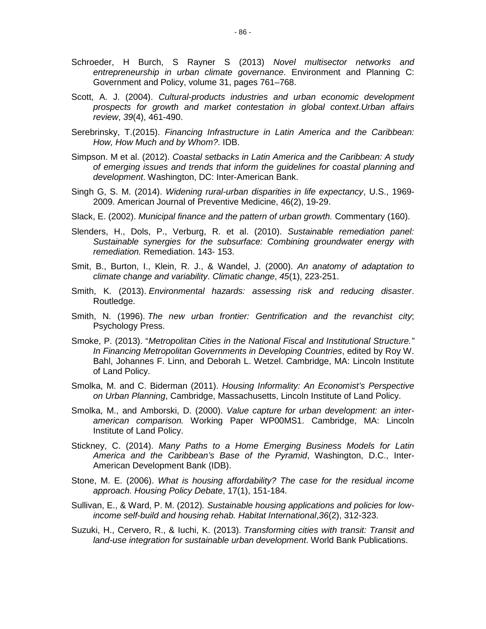- Schroeder, H Burch, S Rayner S (2013) *Novel multisector networks and entrepreneurship in urban climate governance*. Environment and Planning C: Government and Policy, volume 31, pages 761–768.
- Scott, A. J. (2004). *Cultural-products industries and urban economic development prospects for growth and market contestation in global context*.*Urban affairs review*, *39*(4), 461-490.
- Serebrinsky, T.(2015). *Financing Infrastructure in Latin America and the Caribbean: How, How Much and by Whom?*. IDB.
- Simpson. M et al. (2012). *Coastal setbacks in Latin America and the Caribbean: A study of emerging issues and trends that inform the guidelines for coastal planning and development*. Washington, DC: Inter-American Bank.
- Singh G, S. M. (2014). *Widening rural-urban disparities in life expectancy*, U.S., 1969- 2009. American Journal of Preventive Medicine, 46(2), 19-29.
- Slack, E. (2002). *Municipal finance and the pattern of urban growth.* Commentary (160).
- Slenders, H., Dols, P., Verburg, R. et al. (2010). *Sustainable remediation panel: Sustainable synergies for the subsurface: Combining groundwater energy with remediation.* Remediation. 143- 153.
- Smit, B., Burton, I., Klein, R. J., & Wandel, J. (2000). *An anatomy of adaptation to climate change and variability*. *Climatic change*, *45*(1), 223-251.
- Smith, K. (2013). *Environmental hazards: assessing risk and reducing disaster*. Routledge.
- Smith, N. (1996). *The new urban frontier: Gentrification and the revanchist city*; Psychology Press.
- Smoke, P. (2013). "*Metropolitan Cities in the National Fiscal and Institutional Structure." In Financing Metropolitan Governments in Developing Countries*, edited by Roy W. Bahl, Johannes F. Linn, and Deborah L. Wetzel. Cambridge, MA: Lincoln Institute of Land Policy.
- Smolka, M. and C. Biderman (2011). *Housing Informality: An Economist's Perspective on Urban Planning*, Cambridge, Massachusetts, Lincoln Institute of Land Policy.
- Smolka, M., and Amborski, D. (2000). *Value capture for urban development: an interamerican comparison.* Working Paper WP00MS1. Cambridge, MA: Lincoln Institute of Land Policy.
- Stickney, C. (2014). *Many Paths to a Home Emerging Business Models for Latin America and the Caribbean's Base of the Pyramid*, Washington, D.C., Inter-American Development Bank (IDB).
- Stone, M. E. (2006). *What is housing affordability? The case for the residual income approach. Housing Policy Debate*, 17(1), 151-184.
- Sullivan, E., & Ward, P. M. (2012)*. Sustainable housing applications and policies for lowincome self-build and housing rehab. Habitat International*,*36*(2), 312-323.
- Suzuki, H., Cervero, R., & Iuchi, K. (2013). *Transforming cities with transit: Transit and land-use integration for sustainable urban development*. World Bank Publications.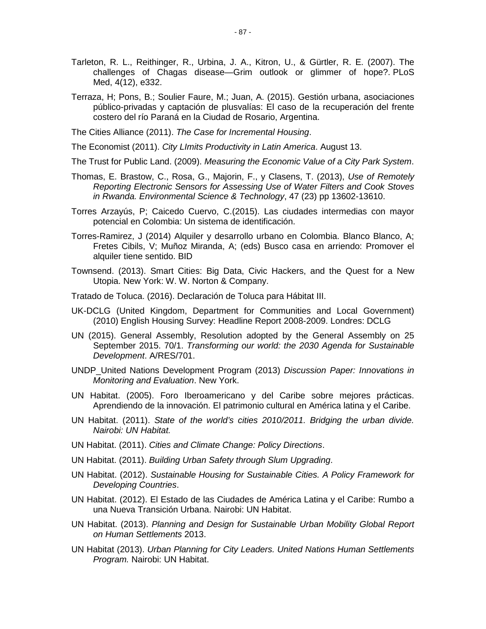- Tarleton, R. L., Reithinger, R., Urbina, J. A., Kitron, U., & Gürtler, R. E. (2007). The challenges of Chagas disease—Grim outlook or glimmer of hope?. PLoS Med, 4(12), e332.
- Terraza, H; Pons, B.; Soulier Faure, M.; Juan, A. (2015). Gestión urbana, asociaciones público-privadas y captación de plusvalías: El caso de la recuperación del frente costero del río Paraná en la Ciudad de Rosario, Argentina.

The Cities Alliance (2011). *The Case for Incremental Housing*.

The Economist (2011). *City LImits Productivity in Latin America*. August 13.

The Trust for Public Land. (2009). *Measuring the Economic Value of a City Park System*.

- Thomas, E. Brastow, C., Rosa, G., Majorin, F., y Clasens, T. (2013), *Use of Remotely Reporting Electronic Sensors for Assessing Use of Water Filters and Cook Stoves in Rwanda. Environmental Science & Technology*, 47 (23) pp 13602-13610.
- Torres Arzayús, P; Caicedo Cuervo, C.(2015). Las ciudades intermedias con mayor potencial en Colombia: Un sistema de identificación.
- Torres-Ramirez, J (2014) Alquiler y desarrollo urbano en Colombia. Blanco Blanco, A; Fretes Cibils, V; Muñoz Miranda, A; (eds) Busco casa en arriendo: Promover el alquiler tiene sentido. BID
- Townsend. (2013). Smart Cities: Big Data, Civic Hackers, and the Quest for a New Utopia. New York: W. W. Norton & Company.
- Tratado de Toluca. (2016). Declaración de Toluca para Hábitat III.
- UK-DCLG (United Kingdom, Department for Communities and Local Government) (2010) English Housing Survey: Headline Report 2008-2009. Londres: DCLG
- UN (2015). General Assembly, Resolution adopted by the General Assembly on 25 September 2015. 70/1. *Transforming our world: the 2030 Agenda for Sustainable Development*. A/RES/701.
- UNDP\_United Nations Development Program (2013) *Discussion Paper: Innovations in Monitoring and Evaluation*. New York.
- UN Habitat. (2005). Foro Iberoamericano y del Caribe sobre mejores prácticas. Aprendiendo de la innovación. El patrimonio cultural en América latina y el Caribe.
- UN Habitat. (2011). *State of the world's cities 2010/2011. Bridging the urban divide. Nairobi: UN Habitat.*
- UN Habitat. (2011). *Cities and Climate Change: Policy Directions*.
- UN Habitat. (2011). *Building Urban Safety through Slum Upgrading*.
- UN Habitat. (2012). *Sustainable Housing for Sustainable Cities. A Policy Framework for Developing Countries*.
- UN Habitat. (2012). El Estado de las Ciudades de América Latina y el Caribe: Rumbo a una Nueva Transición Urbana. Nairobi: UN Habitat.
- UN Habitat. (2013). *Planning and Design for Sustainable Urban Mobility Global Report on Human Settlements* 2013.
- UN Habitat (2013). *Urban Planning for City Leaders. United Nations Human Settlements Program.* Nairobi: UN Habitat.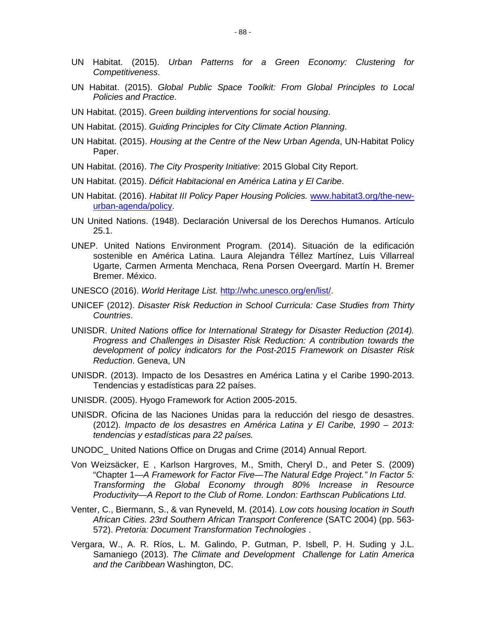- UN Habitat. (2015). *Urban Patterns for a Green Economy: Clustering for Competitiveness*.
- UN Habitat. (2015). *Global Public Space Toolkit: From Global Principles to Local Policies and Practice*.
- UN Habitat. (2015). *Green building interventions for social housing*.
- UN Habitat. (2015). *Guiding Principles for City Climate Action Planning*.
- UN Habitat. (2015). *Housing at the Centre of the New Urban Agenda*, UN-Habitat Policy Paper.
- UN Habitat. (2016). *The City Prosperity Initiative*: 2015 Global City Report.
- UN Habitat. (2015). *Déficit Habitacional en América Latina y El Caribe*.
- UN Habitat. (2016). *Habitat III Policy Paper Housing Policies.* [www.habitat3.org/the-new](http://www.habitat3.org/the-new-urban-agenda/policy)[urban-agenda/policy.](http://www.habitat3.org/the-new-urban-agenda/policy)
- UN United Nations. (1948). Declaración Universal de los Derechos Humanos. Artículo 25.1.
- UNEP. United Nations Environment Program. (2014). Situación de la edificación sostenible en América Latina. Laura Alejandra Téllez Martínez, Luis Villarreal Ugarte, Carmen Armenta Menchaca, Rena Porsen Oveergard. Martín H. Bremer Bremer. México.
- UNESCO (2016). *World Heritage List.* [http://whc.unesco.org/en/list/.](http://whc.unesco.org/en/list/)
- UNICEF (2012). *Disaster Risk Reduction in School Curricula: Case Studies from Thirty Countries*.
- UNISDR. *United Nations office for International Strategy for Disaster Reduction (2014). Progress and Challenges in Disaster Risk Reduction: A contribution towards the development of policy indicators for the Post-2015 Framework on Disaster Risk Reduction*. Geneva, UN
- UNISDR. (2013). Impacto de los Desastres en América Latina y el Caribe 1990-2013. Tendencias y estadísticas para 22 países.
- UNISDR. (2005). Hyogo Framework for Action 2005-2015.
- UNISDR. Oficina de las Naciones Unidas para la reducción del riesgo de desastres. (2012). *Impacto de los desastres en América Latina y El Caribe, 1990 – 2013: tendencias y estadísticas para 22 países.*
- UNODC\_ United Nations Office on Drugas and Crime (2014) Annual Report.
- Von Weizsäcker, E , Karlson Hargroves, M., Smith, Cheryl D., and Peter S. (2009) "Chapter 1—*A Framework for Factor Five—The Natural Edge Project." In Factor 5: Transforming the Global Economy through 80% Increase in Resource Productivity—A Report to the Club of Rome. London: Earthscan Publications Ltd*.
- Venter, C., Biermann, S., & van Ryneveld, M. (2014). *Low cots housing location in South African Cities. 23rd Southern African Transport Conference* (SATC 2004) (pp. 563- 572). *Pretoria: Document Transformation Technologies* .
- Vergara, W., A. R. Ríos, L. M. Galindo, P. Gutman, P. Isbell, P. H. Suding y J.L. Samaniego (2013). *The Climate and Development Challenge for Latin America and the Caribbean* Washington, DC.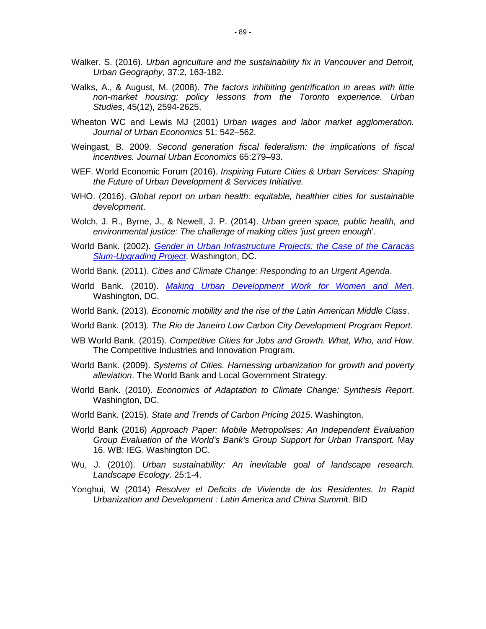- Walker, S. (2016). *Urban agriculture and the sustainability fix in Vancouver and Detroit, Urban Geography*, 37:2, 163-182.
- Walks, A., & August, M. (2008). *The factors inhibiting gentrification in areas with little non-market housing: policy lessons from the Toronto experience. Urban Studies*, 45(12), 2594-2625.
- Wheaton WC and Lewis MJ (2001) *Urban wages and labor market agglomeration. Journal of Urban Economics* 51: 542–562.
- Weingast, B. 2009. *Second generation fiscal federalism: the implications of fiscal incentives. Journal Urban Economics* 65:279–93.
- WEF. World Economic Forum (2016). *Inspiring Future Cities & Urban Services: Shaping the Future of Urban Development & Services Initiative.*
- WHO. (2016). *Global report on urban health: equitable, healthier cities for sustainable development*.
- Wolch, J. R., Byrne, J., & Newell, J. P. (2014). *Urban green space, public health, and environmental justice: The challenge of making cities 'just green enough*'.
- World Bank. (2002). *[Gender in Urban Infrastructure Projects: the Case of the Caracas](http://siteresources.worldbank.org/INTUSU/Resources/cameba.pdf)  [Slum-Upgrading Project](http://siteresources.worldbank.org/INTUSU/Resources/cameba.pdf)*. Washington, DC.
- World Bank. (2011). *Cities and Climate Change: Responding to an Urgent Agenda*.
- World Bank. (2010). *[Making Urban Development Work for Women and Men](file:///C:\Users\nathyelia\AppData\Local\Microsoft\Windows\Temporary%20Internet%20Files\Content.Outlook\8PS4YA4E\Tools%20for%20Task%20Teams%20http:\siteresources.worldbank.org\EXTSOCIALDEVELOPMENT\Resources\244362-1265299949041\6766328-1270752196897\Making_Urban_Development_Work_for_Women_and_Men.pdf)*. Washington, DC.
- World Bank. (2013). *Economic mobility and the rise of the Latin American Middle Class*.
- World Bank. (2013). *The Rio de Janeiro Low Carbon City Development Program Report*.
- WB World Bank. (2015). *Competitive Cities for Jobs and Growth. What, Who, and How*. The Competitive Industries and Innovation Program.
- World Bank. (2009). *Systems of Cities. Harnessing urbanization for growth and poverty alleviation*. The World Bank and Local Government Strategy.
- World Bank. (2010). *Economics of Adaptation to Climate Change: Synthesis Report*. Washington, DC.
- World Bank. (2015). *State and Trends of Carbon Pricing 2015*. Washington.
- World Bank (2016) *Approach Paper: Mobile Metropolises: An Independent Evaluation Group Evaluation of the World's Bank's Group Support for Urban Transport.* May 16. WB: IEG. Washington DC.
- Wu, J. (2010). *Urban sustainability: An inevitable goal of landscape research. Landscape Ecology*. 25:1-4.
- Yonghui, W (2014) *Resolver el Deficits de Vivienda de los Residentes. In Rapid Urbanization and Development : Latin America and China Summi*t. BID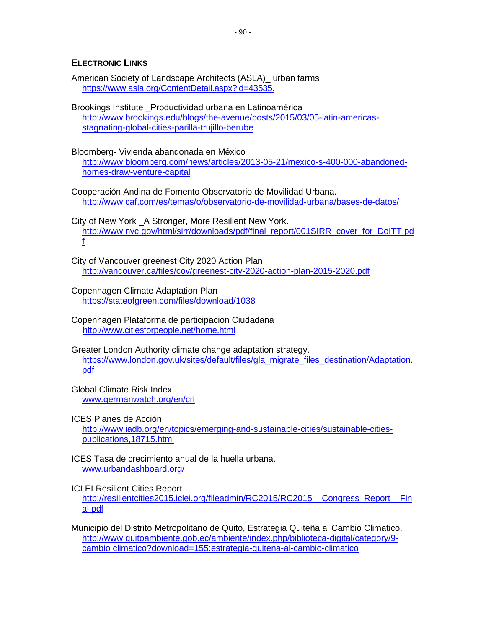## **ELECTRONIC LINKS**

American Society of Landscape Architects (ASLA)\_ urban farms [https://www.asla.org/ContentDetail.aspx?id=43535.](https://www.asla.org/ContentDetail.aspx?id=43535)

Brookings Institute \_Productividad urbana en Latinoamérica [http://www.brookings.edu/blogs/the-avenue/posts/2015/03/05-latin-americas](http://www.brookings.edu/blogs/the-avenue/posts/2015/03/05-latin-americas-stagnating-global-cities-parilla-trujillo-berube)[stagnating-global-cities-parilla-trujillo-berube](http://www.brookings.edu/blogs/the-avenue/posts/2015/03/05-latin-americas-stagnating-global-cities-parilla-trujillo-berube)

Bloomberg- Vivienda abandonada en México

http://www.bloomberg.com/news/articles/2013-05-21/mexico-s-400-000-abandonedhomes-draw-venture-capital

Cooperación Andina de Fomento Observatorio de Movilidad Urbana. <http://www.caf.com/es/temas/o/observatorio-de-movilidad-urbana/bases-de-datos/>

City of New York \_A Stronger, More Resilient New York. [http://www.nyc.gov/html/sirr/downloads/pdf/final\\_report/001SIRR\\_cover\\_for\\_DoITT.pd](http://www.nyc.gov/html/sirr/downloads/pdf/final_report/001SIRR_cover_for_DoITT.pdf) [f](http://www.nyc.gov/html/sirr/downloads/pdf/final_report/001SIRR_cover_for_DoITT.pdf)

City of Vancouver greenest City 2020 Action Plan <http://vancouver.ca/files/cov/greenest-city-2020-action-plan-2015-2020.pdf>

Copenhagen Climate Adaptation Plan <https://stateofgreen.com/files/download/1038>

Copenhagen Plataforma de participacion Ciudadana <http://www.citiesforpeople.net/home.html>

Greater London Authority climate change adaptation strategy. [https://www.london.gov.uk/sites/default/files/gla\\_migrate\\_files\\_destination/Adaptation.](https://www.london.gov.uk/sites/default/files/gla_migrate_files_destination/Adaptation-oct11.pdf) [pdf](https://www.london.gov.uk/sites/default/files/gla_migrate_files_destination/Adaptation-oct11.pdf)

Global Climate Risk Index [www.germanwatch.org/en/cri](http://www.germanwatch.org/en/cri)

ICES Planes de Acción

http://www.iadb.org/en/topics/emerging-and-sustainable-cities/sustainable-citiespublications,18715.html

ICES Tasa de crecimiento anual de la huella urbana. [www.urbandashboard.org/](http://www.urbandashboard.org/)

ICLEI Resilient Cities Report

http://resilientcities2015.iclei.org/fileadmin/RC2015/RC2015\_Congress\_Report\_\_Fin [al.pdf](http://resilientcities2015.iclei.org/fileadmin/RC2015/RC2015__Congress_Report__Final.pdf)

Municipio del Distrito Metropolitano de Quito, Estrategia Quiteña al Cambio Climatico. [http://www.quitoambiente.gob.ec/ambiente/index.php/biblioteca-digital/category/9](http://www.quitoambiente.gob.ec/ambiente/index.php/biblioteca-digital/category/9-cambio%20climatico?download=155:estrategia-quitena-al-cambio-climatico) [cambio climatico?download=155:estrategia-quitena-al-cambio-climatico](http://www.quitoambiente.gob.ec/ambiente/index.php/biblioteca-digital/category/9-cambio%20climatico?download=155:estrategia-quitena-al-cambio-climatico)